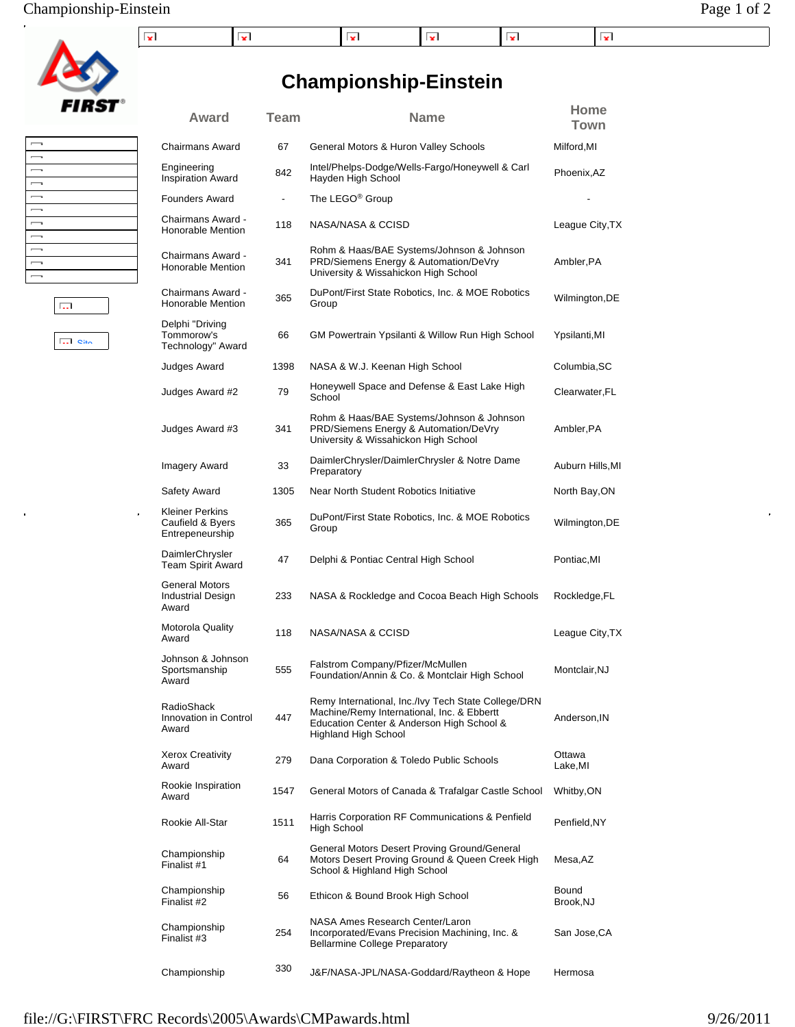#### Championship-Einstein Page 1 of 2

| .<br>. | . . | . . |  |  |
|--------|-----|-----|--|--|

**Championship-Einstein**

Chairmans Award 67 General Motors & Huron Valley Schools Milford, MI

**Award Team Name Home**

**Town**



| $\overline{\phantom{0}}$<br>$\overline{\phantom{a}}$<br>$\overline{\phantom{a}}$<br>$\overline{\phantom{0}}$<br>$\overline{\phantom{a}}$<br>$\overline{\phantom{a}}$<br>$\overline{\phantom{a}}$ |
|--------------------------------------------------------------------------------------------------------------------------------------------------------------------------------------------------|
|                                                                                                                                                                                                  |
|                                                                                                                                                                                                  |
|                                                                                                                                                                                                  |
|                                                                                                                                                                                                  |
|                                                                                                                                                                                                  |
|                                                                                                                                                                                                  |
|                                                                                                                                                                                                  |
|                                                                                                                                                                                                  |
| $\overline{\phantom{a}}$                                                                                                                                                                         |
| $\overline{\phantom{0}}$                                                                                                                                                                         |
| $\overline{\phantom{0}}$                                                                                                                                                                         |

Engineering

**Site** 

 $\overline{\mathbb{R}^{n+1}}$ 

| Engineering<br><b>Inspiration Award</b>                       | 842                      | Intel/Phelps-Dodge/Wells-Fargo/Honeywell & Carl<br>Hayden High School                                                                                                         | Phoenix, AZ        |
|---------------------------------------------------------------|--------------------------|-------------------------------------------------------------------------------------------------------------------------------------------------------------------------------|--------------------|
| <b>Founders Award</b>                                         | $\overline{\phantom{a}}$ | The LEGO <sup>®</sup> Group                                                                                                                                                   |                    |
| Chairmans Award -<br>Honorable Mention                        | 118                      | NASA/NASA & CCISD                                                                                                                                                             | League City, TX    |
| Chairmans Award -<br>Honorable Mention                        | 341                      | Rohm & Haas/BAE Systems/Johnson & Johnson<br>PRD/Siemens Energy & Automation/DeVry<br>University & Wissahickon High School                                                    | Ambler, PA         |
| Chairmans Award -<br>Honorable Mention                        | 365                      | DuPont/First State Robotics, Inc. & MOE Robotics<br>Group                                                                                                                     | Wilmington, DE     |
| Delphi "Driving<br>Tommorow's<br>Technology" Award            | 66                       | GM Powertrain Ypsilanti & Willow Run High School                                                                                                                              | Ypsilanti,MI       |
| Judges Award                                                  | 1398                     | NASA & W.J. Keenan High School                                                                                                                                                | Columbia, SC       |
| Judges Award #2                                               | 79                       | Honeywell Space and Defense & East Lake High<br>School                                                                                                                        | Clearwater, FL     |
| Judges Award #3                                               | 341                      | Rohm & Haas/BAE Systems/Johnson & Johnson<br>PRD/Siemens Energy & Automation/DeVry<br>University & Wissahickon High School                                                    | Ambler, PA         |
| Imagery Award                                                 | 33                       | DaimlerChrysler/DaimlerChrysler & Notre Dame<br>Preparatory                                                                                                                   | Auburn Hills, MI   |
| Safety Award                                                  | 1305                     | Near North Student Robotics Initiative                                                                                                                                        | North Bay, ON      |
| <b>Kleiner Perkins</b><br>Caufield & Byers<br>Entrepeneurship | 365                      | DuPont/First State Robotics, Inc. & MOE Robotics<br>Group                                                                                                                     | Wilmington, DE     |
| DaimlerChrysler<br><b>Team Spirit Award</b>                   | 47                       | Delphi & Pontiac Central High School                                                                                                                                          | Pontiac, MI        |
| General Motors<br>Industrial Design<br>Award                  | 233                      | NASA & Rockledge and Cocoa Beach High Schools                                                                                                                                 | Rockledge, FL      |
| <b>Motorola Quality</b><br>Award                              | 118                      | NASA/NASA & CCISD                                                                                                                                                             | League City, TX    |
| Johnson & Johnson<br>Sportsmanship<br>Award                   | 555                      | Falstrom Company/Pfizer/McMullen<br>Foundation/Annin & Co. & Montclair High School                                                                                            | Montclair, NJ      |
| RadioShack<br>Innovation in Control<br>Award                  | 447                      | Remy International, Inc./Ivy Tech State College/DRN<br>Machine/Remy International, Inc. & Ebbertt<br>Education Center & Anderson High School &<br><b>Highland High School</b> | Anderson, IN       |
| <b>Xerox Creativity</b><br>Award                              | 279                      | Dana Corporation & Toledo Public Schools                                                                                                                                      | Ottawa<br>Lake,MI  |
| Rookie Inspiration<br>Award                                   | 1547                     | General Motors of Canada & Trafalgar Castle School                                                                                                                            | Whitby,ON          |
| Rookie All-Star                                               | 1511                     | Harris Corporation RF Communications & Penfield<br>High School                                                                                                                | Penfield, NY       |
| Championship<br>Finalist #1                                   | 64                       | General Motors Desert Proving Ground/General<br>Motors Desert Proving Ground & Queen Creek High<br>School & Highland High School                                              | Mesa, AZ           |
| Championship<br>Finalist #2                                   | 56                       | Ethicon & Bound Brook High School                                                                                                                                             | Bound<br>Brook, NJ |
| Championship<br>Finalist #3                                   | 254                      | NASA Ames Research Center/Laron<br>Incorporated/Evans Precision Machining, Inc. &<br><b>Bellarmine College Preparatory</b>                                                    | San Jose, CA       |
| Championship                                                  | 330                      | J&F/NASA-JPL/NASA-Goddard/Raytheon & Hope                                                                                                                                     | Hermosa            |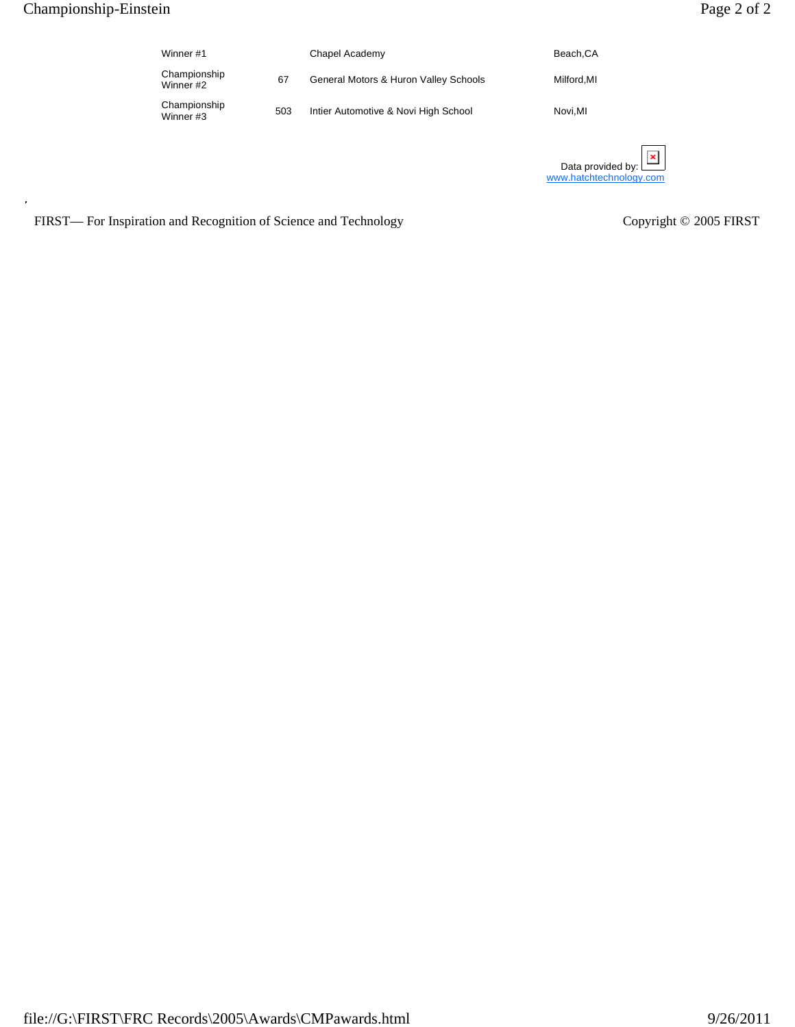$\overline{1}$ 

| Winner #1                 |     | Chapel Academy                        | Beach, CA  |
|---------------------------|-----|---------------------------------------|------------|
| Championship<br>Winner #2 | 67  | General Motors & Huron Valley Schools | Milford.MI |
| Championship<br>Winner #3 | 503 | Intier Automotive & Novi High School  | Novi.MI    |
|                           |     |                                       |            |

| Data provided by: $\mathbf{L}$ | ×l |  |
|--------------------------------|----|--|
| www.hatchtechnology.com        |    |  |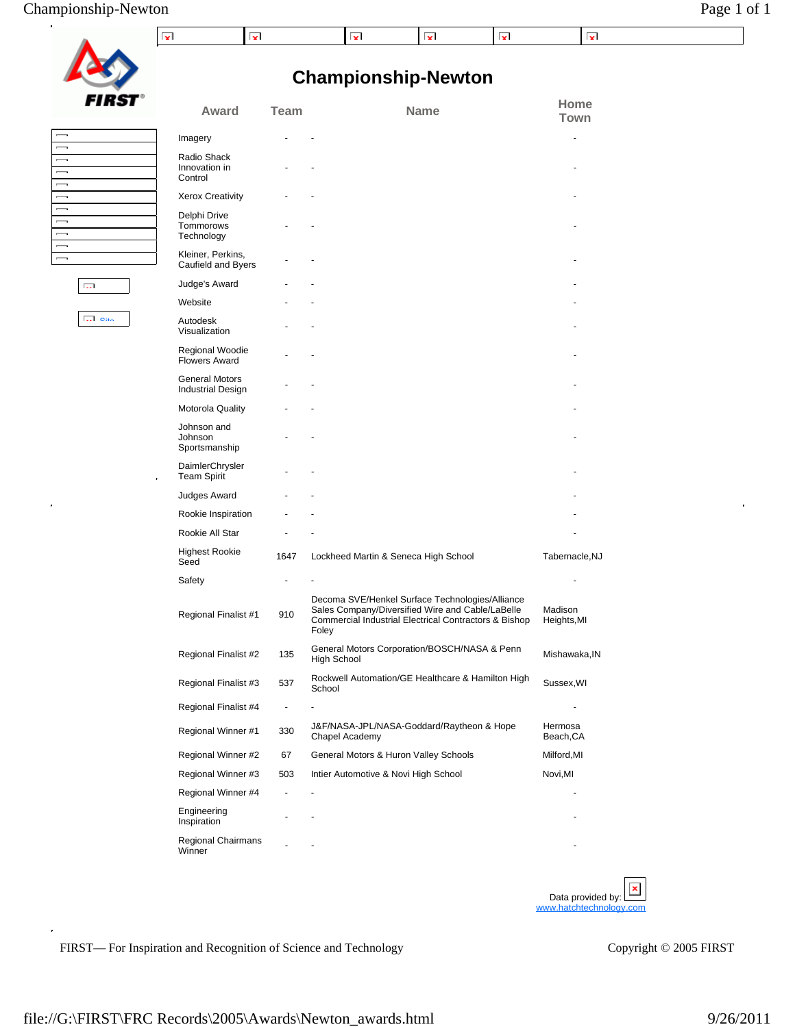Site

 $\overline{\Box}$ 

 $\hat{\mathbf{r}}$ 

|               | l vi                     |  |
|---------------|--------------------------|--|
| <b>FIRST®</b> | Award                    |  |
|               |                          |  |
|               | Imagery                  |  |
|               |                          |  |
|               | Radio Shack              |  |
|               | Innovation in<br>Control |  |
|               |                          |  |
|               | <b>Xerox Creativity</b>  |  |
|               | Delphi Drive             |  |
|               |                          |  |

## **Championship-Newton**

 $\mathbf{v}$ 

 $\vert \mathbf{v} \vert$ 

 $\mathbf{z}$ 

 $\mathbf{x}$ 

| Award                                             | Team | Name                                                                                                                                                                  | Home<br>Town           |
|---------------------------------------------------|------|-----------------------------------------------------------------------------------------------------------------------------------------------------------------------|------------------------|
| Imagery                                           |      |                                                                                                                                                                       |                        |
| Radio Shack<br>Innovation in<br>Control           |      |                                                                                                                                                                       |                        |
| <b>Xerox Creativity</b>                           |      |                                                                                                                                                                       |                        |
| Delphi Drive<br>Tommorows<br>Technology           |      |                                                                                                                                                                       |                        |
| Kleiner, Perkins,<br>Caufield and Byers           |      |                                                                                                                                                                       |                        |
| Judge's Award                                     |      |                                                                                                                                                                       |                        |
| Website                                           |      |                                                                                                                                                                       |                        |
| Autodesk<br>Visualization                         |      |                                                                                                                                                                       |                        |
| Regional Woodie<br><b>Flowers Award</b>           |      |                                                                                                                                                                       |                        |
| <b>General Motors</b><br><b>Industrial Design</b> |      |                                                                                                                                                                       |                        |
| Motorola Quality                                  |      |                                                                                                                                                                       |                        |
| Johnson and<br>Johnson<br>Sportsmanship           |      |                                                                                                                                                                       |                        |
| DaimlerChrysler<br><b>Team Spirit</b>             |      |                                                                                                                                                                       |                        |
| Judges Award                                      |      |                                                                                                                                                                       |                        |
| Rookie Inspiration                                |      |                                                                                                                                                                       |                        |
| Rookie All Star                                   |      |                                                                                                                                                                       |                        |
| <b>Highest Rookie</b><br>Seed                     | 1647 | Lockheed Martin & Seneca High School                                                                                                                                  | Tabernacle, NJ         |
| Safety                                            |      |                                                                                                                                                                       |                        |
| Regional Finalist #1                              | 910  | Decoma SVE/Henkel Surface Technologies/Alliance<br>Sales Company/Diversified Wire and Cable/LaBelle<br>Commercial Industrial Electrical Contractors & Bishop<br>Foley | Madison<br>Heights, MI |
| Regional Finalist #2                              | 135  | General Motors Corporation/BOSCH/NASA & Penn<br><b>High School</b>                                                                                                    | Mishawaka, IN          |
| Regional Finalist #3                              | 537  | Rockwell Automation/GE Healthcare & Hamilton High<br>School                                                                                                           | Sussex, WI             |
| Regional Finalist #4                              | ä,   |                                                                                                                                                                       |                        |
| Regional Winner #1                                | 330  | J&F/NASA-JPL/NASA-Goddard/Raytheon & Hope<br>Chapel Academy                                                                                                           | Hermosa<br>Beach, CA   |
| Regional Winner #2                                | 67   | General Motors & Huron Valley Schools                                                                                                                                 | Milford, MI            |
| Regional Winner #3                                | 503  | Intier Automotive & Novi High School                                                                                                                                  | Novi,MI                |
| Regional Winner #4                                |      |                                                                                                                                                                       |                        |
| Engineering<br>Inspiration                        |      |                                                                                                                                                                       |                        |
| Regional Chairmans                                |      |                                                                                                                                                                       |                        |

FIRST— For Inspiration and Recognition of Science and Technology Copyright © 2005 FIRST

Data provided by: www.hatchtech

 $\hat{\mathbf{r}}$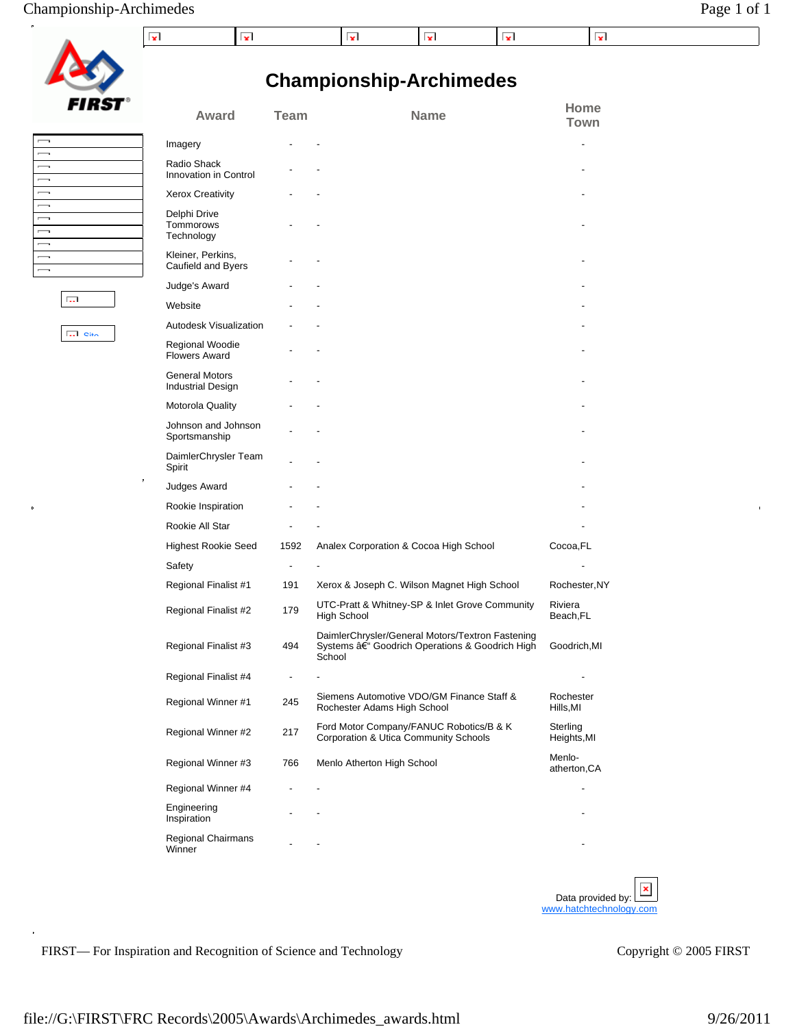#### Championship-Archimedes Page 1 of 1

| 3 I i<br>s |
|------------|

 $\frac{1}{2}$ 

Site

 $\overline{\mathrm{G}_\mathrm{m}}$ 

## **Championship-Archimedes**

| Award                                             | Team | <b>Name</b>                                                                                                 | Home<br>Town            |
|---------------------------------------------------|------|-------------------------------------------------------------------------------------------------------------|-------------------------|
| Imagery                                           |      |                                                                                                             |                         |
| Radio Shack<br>Innovation in Control              |      |                                                                                                             |                         |
| <b>Xerox Creativity</b>                           |      |                                                                                                             |                         |
| Delphi Drive<br>Tommorows<br>Technology           |      |                                                                                                             |                         |
| Kleiner, Perkins,<br>Caufield and Byers           |      |                                                                                                             |                         |
| Judge's Award                                     |      |                                                                                                             |                         |
| Website                                           |      |                                                                                                             |                         |
| Autodesk Visualization                            |      |                                                                                                             |                         |
| Regional Woodie<br><b>Flowers Award</b>           |      |                                                                                                             |                         |
| <b>General Motors</b><br><b>Industrial Design</b> |      |                                                                                                             |                         |
| Motorola Quality                                  |      |                                                                                                             |                         |
| Johnson and Johnson<br>Sportsmanship              |      |                                                                                                             |                         |
| DaimlerChrysler Team<br>Spirit                    |      |                                                                                                             |                         |
| Judges Award                                      |      |                                                                                                             |                         |
| Rookie Inspiration                                |      |                                                                                                             |                         |
| Rookie All Star                                   |      |                                                                                                             |                         |
| <b>Highest Rookie Seed</b>                        | 1592 | Analex Corporation & Cocoa High School                                                                      | Cocoa,FL                |
| Safety                                            |      |                                                                                                             |                         |
| Regional Finalist #1                              | 191  | Xerox & Joseph C. Wilson Magnet High School                                                                 | Rochester, NY           |
| Regional Finalist #2                              | 179  | UTC-Pratt & Whitney-SP & Inlet Grove Community<br>High School                                               | Riviera<br>Beach, FL    |
| Regional Finalist #3                              | 494  | DaimlerChrysler/General Motors/Textron Fastening<br>Systems – Goodrich Operations & Goodrich High<br>School | Goodrich, MI            |
| Regional Finalist #4                              |      |                                                                                                             |                         |
| Regional Winner #1                                | 245  | Siemens Automotive VDO/GM Finance Staff &<br>Rochester Adams High School                                    | Rochester<br>Hills,MI   |
| Regional Winner #2                                | 217  | Ford Motor Company/FANUC Robotics/B & K<br>Corporation & Utica Community Schools                            | Sterling<br>Heights, MI |
| Regional Winner #3                                | 766  | Menlo Atherton High School                                                                                  | Menlo-<br>atherton, CA  |
| Regional Winner #4                                |      |                                                                                                             |                         |
| Engineering<br>Inspiration                        |      |                                                                                                             |                         |
| Regional Chairmans<br>Winner                      |      |                                                                                                             |                         |
|                                                   |      |                                                                                                             |                         |

FIRST— For Inspiration and Recognition of Science and Technology Copyright © 2005 FIRST

Data provided by:  $\square$ www.hatchtechnology.com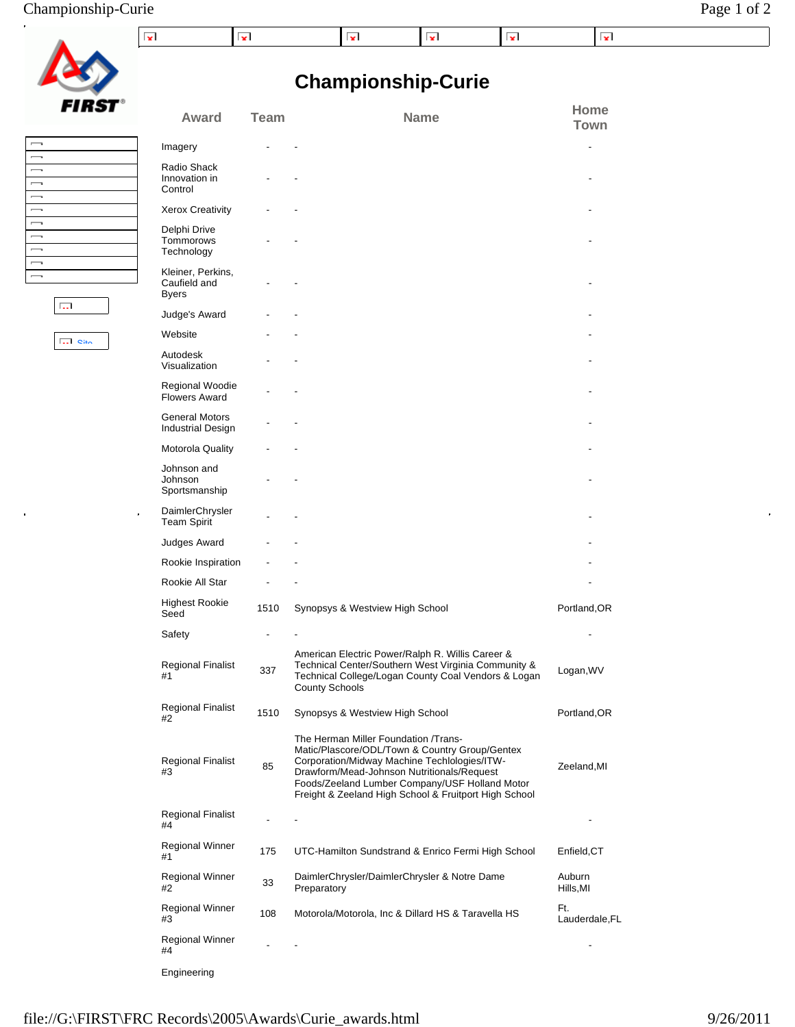## Championship-Curie Page 1 of 2

| FIRST |
|-------|

 $\ddot{\phantom{0}}$ 

## **Championship-Curie**

| гінэі                                                | Award                                             | <b>Team</b> | <b>Name</b>                                                                                                                                                                                                                                                                                     | Home<br>Town          |
|------------------------------------------------------|---------------------------------------------------|-------------|-------------------------------------------------------------------------------------------------------------------------------------------------------------------------------------------------------------------------------------------------------------------------------------------------|-----------------------|
|                                                      | Imagery                                           |             |                                                                                                                                                                                                                                                                                                 |                       |
| $\overline{\phantom{0}}$<br>$\overline{\phantom{a}}$ | Radio Shack                                       |             |                                                                                                                                                                                                                                                                                                 |                       |
| $\overline{\phantom{0}}$                             | Innovation in<br>Control                          |             |                                                                                                                                                                                                                                                                                                 |                       |
| $\overline{\phantom{0}}$                             |                                                   |             |                                                                                                                                                                                                                                                                                                 |                       |
| $\overline{\phantom{0}}$<br>$\overline{\phantom{0}}$ | <b>Xerox Creativity</b>                           |             |                                                                                                                                                                                                                                                                                                 |                       |
| $\overline{\phantom{0}}$<br>$\overline{\phantom{0}}$ | Delphi Drive<br>Tommorows<br>Technology           |             |                                                                                                                                                                                                                                                                                                 |                       |
| $\overline{\phantom{0}}$<br>$\overline{\phantom{a}}$ | Kleiner, Perkins,<br>Caufield and<br>Byers        |             |                                                                                                                                                                                                                                                                                                 |                       |
| <b>Call</b>                                          | Judge's Award                                     |             |                                                                                                                                                                                                                                                                                                 |                       |
| $\overline{}$ $\overline{}$                          | Website                                           |             |                                                                                                                                                                                                                                                                                                 |                       |
|                                                      | Autodesk<br>Visualization                         |             |                                                                                                                                                                                                                                                                                                 |                       |
|                                                      | Regional Woodie<br><b>Flowers Award</b>           |             |                                                                                                                                                                                                                                                                                                 |                       |
|                                                      | <b>General Motors</b><br><b>Industrial Design</b> |             |                                                                                                                                                                                                                                                                                                 |                       |
|                                                      | <b>Motorola Quality</b>                           |             |                                                                                                                                                                                                                                                                                                 |                       |
|                                                      | Johnson and<br>Johnson<br>Sportsmanship           |             |                                                                                                                                                                                                                                                                                                 |                       |
| o                                                    | DaimlerChrysler<br><b>Team Spirit</b>             |             |                                                                                                                                                                                                                                                                                                 |                       |
|                                                      | Judges Award                                      |             |                                                                                                                                                                                                                                                                                                 |                       |
|                                                      | Rookie Inspiration                                |             |                                                                                                                                                                                                                                                                                                 |                       |
|                                                      | Rookie All Star                                   |             |                                                                                                                                                                                                                                                                                                 |                       |
|                                                      | <b>Highest Rookie</b><br>Seed                     | 1510        | Synopsys & Westview High School                                                                                                                                                                                                                                                                 | Portland, OR          |
|                                                      | Safety                                            |             |                                                                                                                                                                                                                                                                                                 |                       |
|                                                      | <b>Regional Finalist</b><br>#1                    | 337         | American Electric Power/Ralph R. Willis Career &<br>Technical Center/Southern West Virginia Community &<br>Technical College/Logan County Coal Vendors & Logan<br><b>County Schools</b>                                                                                                         | Logan, WV             |
|                                                      | Regional Finalist<br>#2                           | 1510        | Synopsys & Westview High School                                                                                                                                                                                                                                                                 | Portland, OR          |
|                                                      | <b>Regional Finalist</b><br>#3                    | 85          | The Herman Miller Foundation /Trans-<br>Matic/Plascore/ODL/Town & Country Group/Gentex<br>Corporation/Midway Machine Techlologies/ITW-<br>Drawform/Mead-Johnson Nutritionals/Request<br>Foods/Zeeland Lumber Company/USF Holland Motor<br>Freight & Zeeland High School & Fruitport High School | Zeeland, MI           |
|                                                      | Regional Finalist<br>#4                           |             | $\overline{\phantom{a}}$                                                                                                                                                                                                                                                                        |                       |
|                                                      | Regional Winner<br>#1                             | 175         | UTC-Hamilton Sundstrand & Enrico Fermi High School                                                                                                                                                                                                                                              | Enfield, CT           |
|                                                      | Regional Winner<br>#2                             | 33          | DaimlerChrysler/DaimlerChrysler & Notre Dame<br>Preparatory                                                                                                                                                                                                                                     | Auburn<br>Hills, MI   |
|                                                      | Regional Winner<br>#3                             | 108         | Motorola/Motorola, Inc & Dillard HS & Taravella HS                                                                                                                                                                                                                                              | Ft.<br>Lauderdale, FL |
|                                                      | Regional Winner<br>#4                             |             |                                                                                                                                                                                                                                                                                                 |                       |
|                                                      | Engineering                                       |             |                                                                                                                                                                                                                                                                                                 |                       |

í.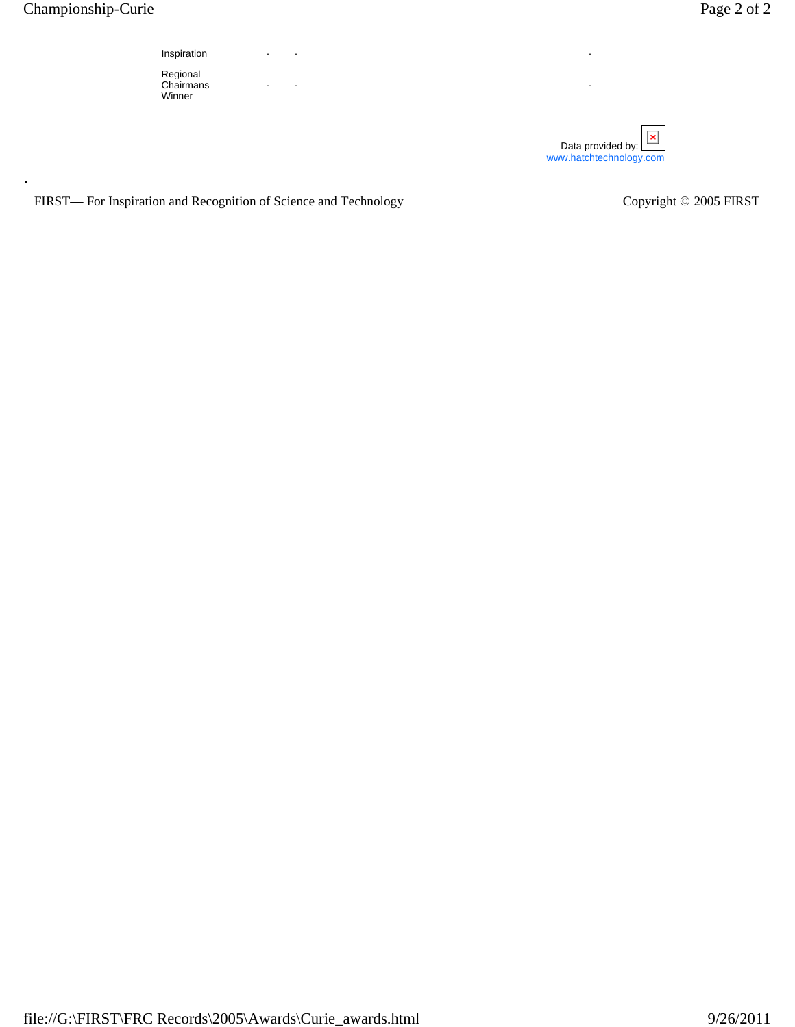

- - -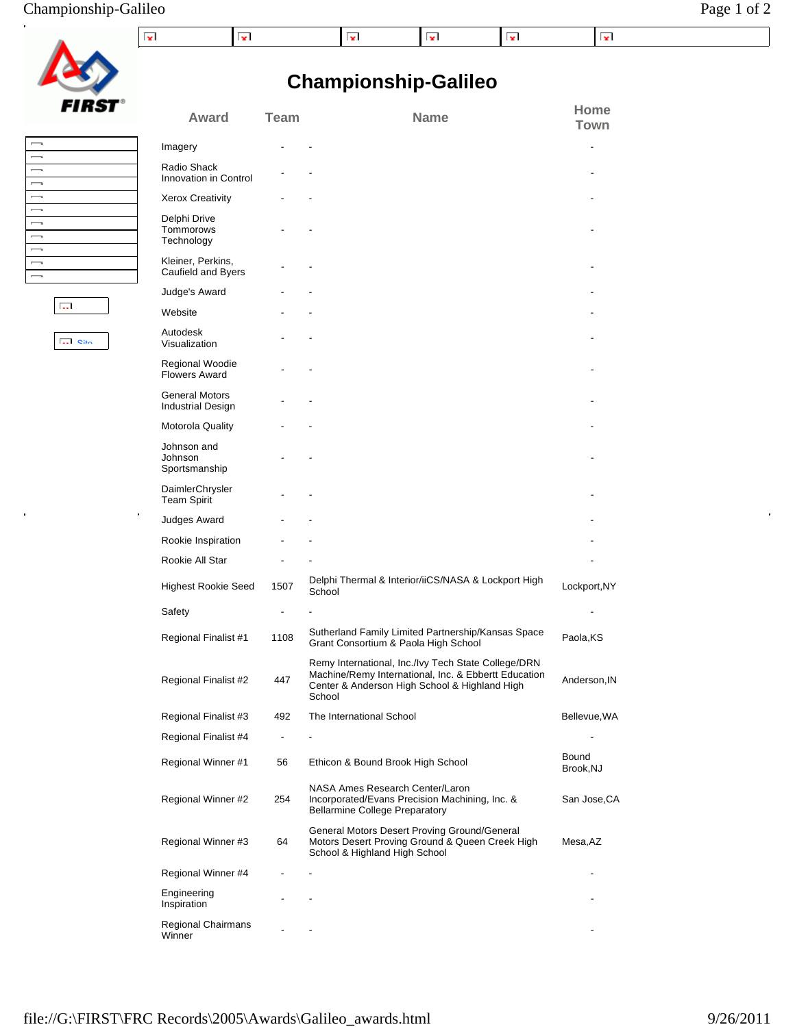## Championship-Galileo Page 1 of 2

| FIRST |
|-------|

 $\hat{\mathbf{z}}$ 

 $\overline{\phantom{a}}$  $\overline{\phantom{0}}$  $\overline{\phantom{0}}$  $\overline{\phantom{0}}$ J  $\overline{\phantom{0}}$  $\overline{\phantom{0}}$ 

 $\begin{array}{c} \boxed{1} \\ \boxed{1} \\ \boxed{1} \end{array}$ 

 $\overline{\mathbf{S}}$  out

 $\overline{\mathrm{G}_\mathrm{m}}$ 

# **Championship-Galileo**

| , | Award                                             | <b>Team</b>              | <b>Name</b>                                                                                                                                                            | Home<br>Town       |
|---|---------------------------------------------------|--------------------------|------------------------------------------------------------------------------------------------------------------------------------------------------------------------|--------------------|
|   | Imagery                                           |                          |                                                                                                                                                                        |                    |
|   | Radio Shack<br>Innovation in Control              |                          |                                                                                                                                                                        |                    |
|   | <b>Xerox Creativity</b>                           |                          |                                                                                                                                                                        |                    |
|   | Delphi Drive<br>Tommorows<br>Technology           |                          |                                                                                                                                                                        |                    |
|   | Kleiner, Perkins,<br>Caufield and Byers           |                          |                                                                                                                                                                        |                    |
|   | Judge's Award                                     |                          |                                                                                                                                                                        |                    |
|   | Website                                           |                          |                                                                                                                                                                        |                    |
|   | Autodesk<br>Visualization                         |                          |                                                                                                                                                                        |                    |
|   | Regional Woodie<br><b>Flowers Award</b>           |                          |                                                                                                                                                                        |                    |
|   | <b>General Motors</b><br><b>Industrial Design</b> |                          |                                                                                                                                                                        |                    |
|   | Motorola Quality                                  |                          |                                                                                                                                                                        |                    |
|   | Johnson and<br>Johnson<br>Sportsmanship           |                          |                                                                                                                                                                        |                    |
|   | DaimlerChrysler<br><b>Team Spirit</b>             |                          |                                                                                                                                                                        |                    |
|   | Judges Award                                      |                          |                                                                                                                                                                        |                    |
|   | Rookie Inspiration                                |                          |                                                                                                                                                                        |                    |
|   | Rookie All Star                                   |                          |                                                                                                                                                                        |                    |
|   | <b>Highest Rookie Seed</b>                        | 1507                     | Delphi Thermal & Interior/iiCS/NASA & Lockport High<br>School                                                                                                          | Lockport, NY       |
|   | Safety                                            |                          |                                                                                                                                                                        |                    |
|   | Regional Finalist #1                              | 1108                     | Sutherland Family Limited Partnership/Kansas Space<br>Grant Consortium & Paola High School                                                                             | Paola, KS          |
|   | Regional Finalist #2                              | 447                      | Remy International, Inc./Ivy Tech State College/DRN<br>Machine/Remy International, Inc. & Ebbertt Education<br>Center & Anderson High School & Highland High<br>School | Anderson, IN       |
|   | Regional Finalist #3                              | 492                      | The International School                                                                                                                                               | Bellevue, WA       |
|   | Regional Finalist #4                              | $\overline{\phantom{0}}$ |                                                                                                                                                                        |                    |
|   | Regional Winner #1                                | 56                       | Ethicon & Bound Brook High School                                                                                                                                      | Bound<br>Brook, NJ |
|   | Regional Winner #2                                | 254                      | NASA Ames Research Center/Laron<br>Incorporated/Evans Precision Machining, Inc. &<br><b>Bellarmine College Preparatory</b>                                             | San Jose, CA       |
|   | Regional Winner #3                                | 64                       | General Motors Desert Proving Ground/General<br>Motors Desert Proving Ground & Queen Creek High<br>School & Highland High School                                       | Mesa, AZ           |
|   | Regional Winner #4                                |                          |                                                                                                                                                                        |                    |
|   | Engineering<br>Inspiration                        |                          |                                                                                                                                                                        |                    |
|   | <b>Regional Chairmans</b><br>Winner               |                          |                                                                                                                                                                        |                    |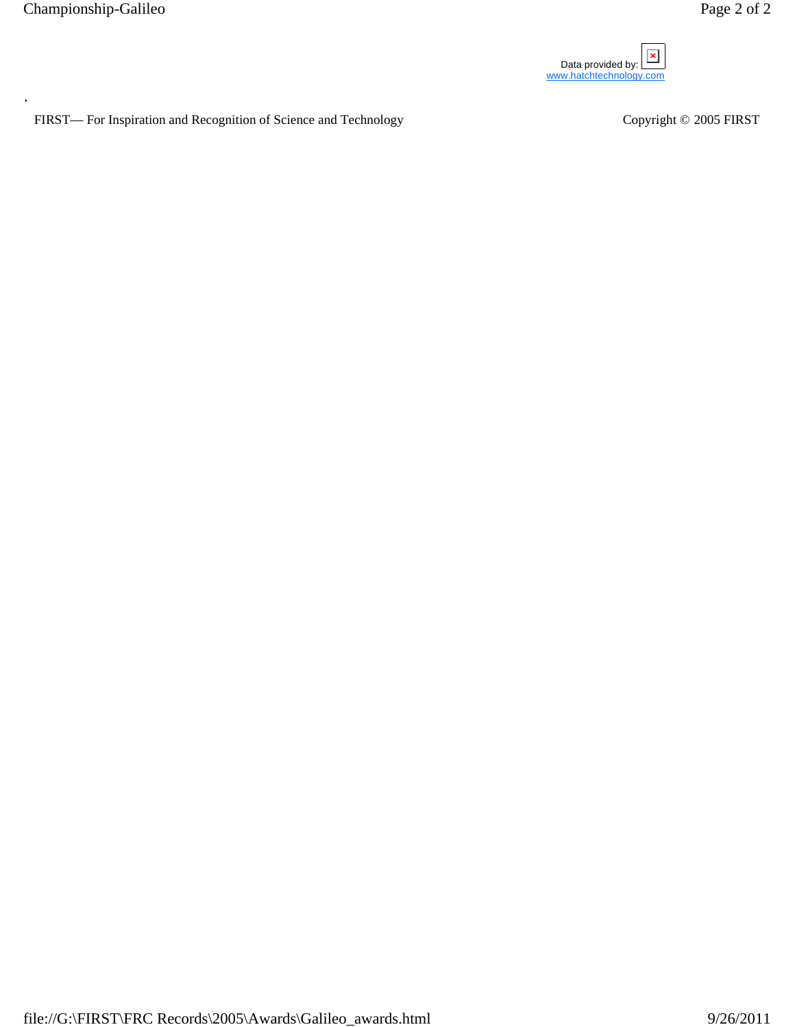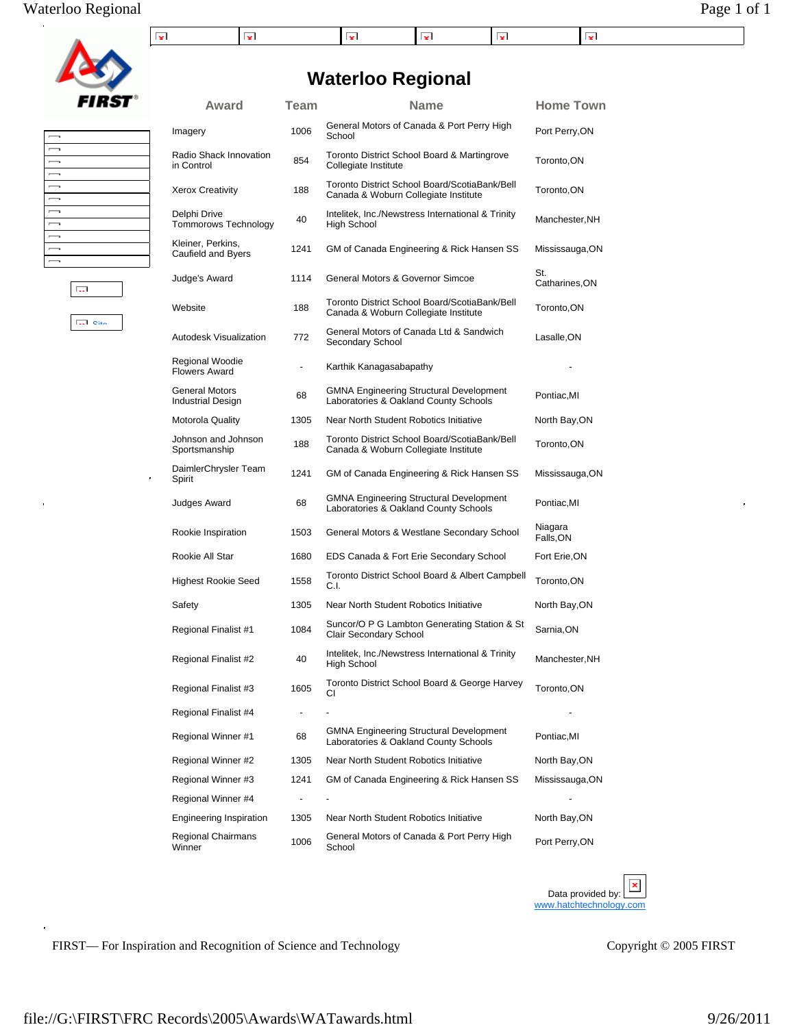

 $\mathbf{z}$ 

 $\vert \mathbf{v} \vert$ 

## **Waterloo Regional**

 $\mathbf{x}$ 

Imagery 1006 General Motors of Canada & Port Perry High School Port Perry,ON

Award Team Name Home Town

 $\vert \mathbf{v} \vert$ 

 $\mathbf{x}$ 

 $\vert \mathbf{v} \vert$ 

| $\overline{\phantom{a}}$ |     |  |
|--------------------------|-----|--|
| $\overline{\phantom{a}}$ |     |  |
| $\overline{\phantom{a}}$ |     |  |
| $\overline{\phantom{a}}$ |     |  |
| $\overline{\phantom{a}}$ |     |  |
| $\sim$                   |     |  |
| $\sim$                   |     |  |
| $\overline{\phantom{a}}$ |     |  |
| $\sim$                   |     |  |
| $\sim$                   |     |  |
| $\overline{\phantom{a}}$ |     |  |
|                          | Г., |  |

**Site** 

j,

| 854                      | Toronto District School Board & Martingrove<br>Collegiate Institute                     | Toronto, ON           |
|--------------------------|-----------------------------------------------------------------------------------------|-----------------------|
| 188                      | Toronto District School Board/ScotiaBank/Bell<br>Canada & Woburn Collegiate Institute   | Toronto, ON           |
| 40                       | Intelitek, Inc./Newstress International & Trinity<br>High School                        | Manchester, NH        |
| 1241                     | GM of Canada Engineering & Rick Hansen SS                                               | Mississauga, ON       |
| 1114                     | General Motors & Governor Simcoe                                                        | St.<br>Catharines, ON |
| 188                      | Toronto District School Board/ScotiaBank/Bell<br>Canada & Woburn Collegiate Institute   | Toronto, ON           |
| 772                      | General Motors of Canada Ltd & Sandwich<br>Secondary School                             | Lasalle, ON           |
| $\overline{\phantom{a}}$ | Karthik Kanagasabapathy                                                                 |                       |
| 68                       | <b>GMNA Engineering Structural Development</b><br>Laboratories & Oakland County Schools | Pontiac, MI           |
| 1305                     | Near North Student Robotics Initiative                                                  | North Bay, ON         |
| 188                      | Toronto District School Board/ScotiaBank/Bell<br>Canada & Woburn Collegiate Institute   | Toronto, ON           |
| 1241                     | GM of Canada Engineering & Rick Hansen SS                                               | Mississauga, ON       |
| 68                       | <b>GMNA Engineering Structural Development</b><br>Laboratories & Oakland County Schools | Pontiac, MI           |
| 1503                     | General Motors & Westlane Secondary School                                              | Niagara<br>Falls, ON  |
| 1680                     | EDS Canada & Fort Erie Secondary School                                                 | Fort Erie, ON         |
| 1558                     | Toronto District School Board & Albert Campbell<br>C.I.                                 | Toronto, ON           |
| 1305                     | Near North Student Robotics Initiative                                                  | North Bay, ON         |
| 1084                     | Suncor/O P G Lambton Generating Station & St<br>Clair Secondary School                  | Sarnia, ON            |
| 40                       | Intelitek, Inc./Newstress International & Trinity<br><b>High School</b>                 | Manchester, NH        |
| 1605                     | Toronto District School Board & George Harvey<br>СI                                     | Toronto, ON           |
|                          |                                                                                         |                       |
| 68                       | <b>GMNA Engineering Structural Development</b><br>Laboratories & Oakland County Schools | Pontiac, MI           |
| 1305                     | Near North Student Robotics Initiative                                                  | North Bay, ON         |
| 1241                     | GM of Canada Engineering & Rick Hansen SS                                               | Mississauga, ON       |
|                          |                                                                                         |                       |
| 1305                     | Near North Student Robotics Initiative                                                  | North Bay, ON         |
| 1006                     | General Motors of Canada & Port Perry High<br>School                                    | Port Perry, ON        |
|                          |                                                                                         |                       |

Data provided by:  $\mathbf{X}$ www.hatchtechnology.com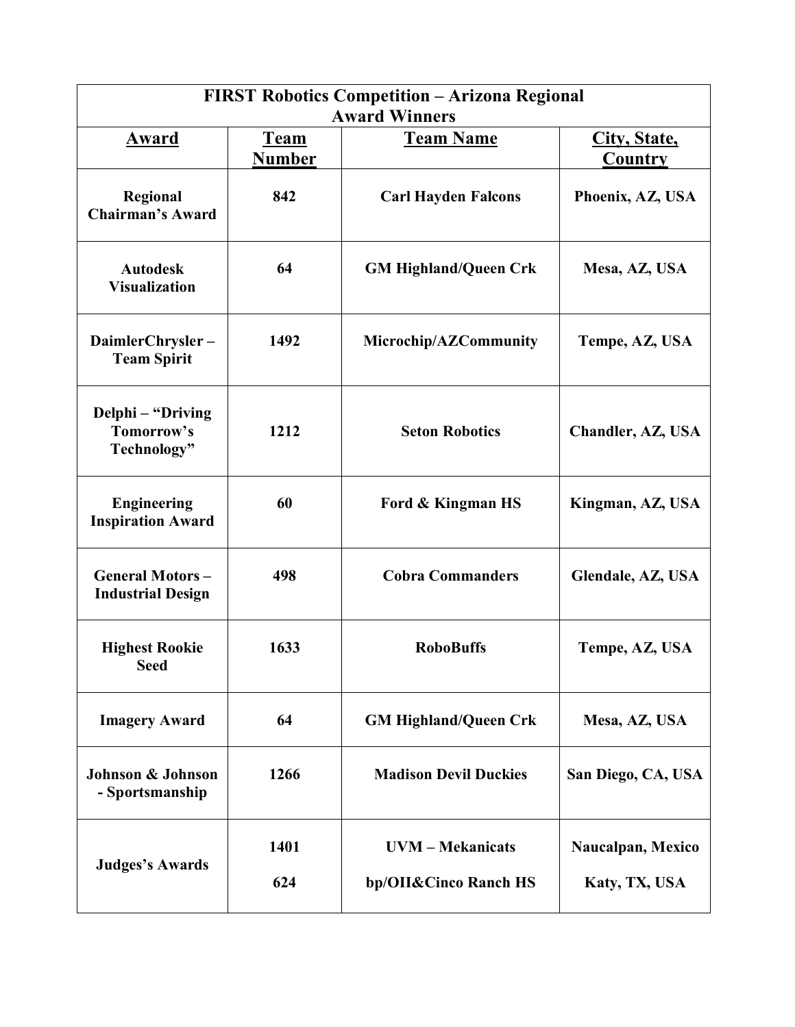| <b>FIRST Robotics Competition - Arizona Regional</b><br><b>Award Winners</b> |             |                                                  |                                    |  |
|------------------------------------------------------------------------------|-------------|--------------------------------------------------|------------------------------------|--|
| <b>Team Name</b><br>Award<br><b>Team</b><br><b>Number</b>                    |             |                                                  | City, State,<br><b>Country</b>     |  |
| Regional<br><b>Chairman's Award</b>                                          | 842         | <b>Carl Hayden Falcons</b>                       | Phoenix, AZ, USA                   |  |
| <b>Autodesk</b><br><b>Visualization</b>                                      | 64          | <b>GM Highland/Queen Crk</b>                     | Mesa, AZ, USA                      |  |
| DaimlerChrysler-<br><b>Team Spirit</b>                                       | 1492        | Microchip/AZCommunity                            | Tempe, AZ, USA                     |  |
| Delphi – "Driving<br>Tomorrow's<br>Technology"                               | 1212        | <b>Seton Robotics</b>                            | Chandler, AZ, USA                  |  |
| <b>Engineering</b><br><b>Inspiration Award</b>                               | 60          | Ford & Kingman HS                                | Kingman, AZ, USA                   |  |
| <b>General Motors-</b><br><b>Industrial Design</b>                           | 498         | <b>Cobra Commanders</b>                          | Glendale, AZ, USA                  |  |
| <b>Highest Rookie</b><br><b>Seed</b>                                         | 1633        | <b>RoboBuffs</b>                                 | Tempe, AZ, USA                     |  |
| <b>Imagery Award</b>                                                         | 64          | <b>GM Highland/Queen Crk</b>                     | Mesa, AZ, USA                      |  |
| Johnson & Johnson<br>- Sportsmanship                                         | 1266        | <b>Madison Devil Duckies</b>                     | San Diego, CA, USA                 |  |
| <b>Judges's Awards</b>                                                       | 1401<br>624 | <b>UVM</b> – Mekanicats<br>bp/OII&Cinco Ranch HS | Naucalpan, Mexico<br>Katy, TX, USA |  |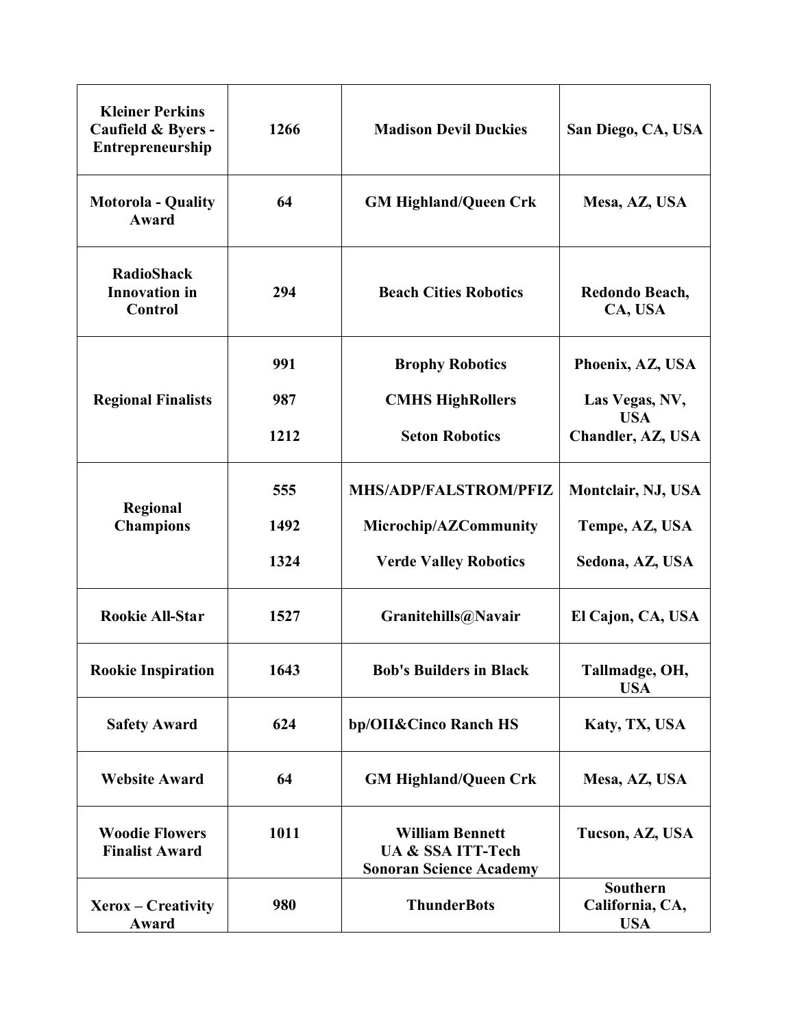| <b>Kleiner Perkins</b><br>Caufield & Byers -<br>Entrepreneurship | 1266 | <b>Madison Devil Duckies</b>                                                             | San Diego, CA, USA                        |
|------------------------------------------------------------------|------|------------------------------------------------------------------------------------------|-------------------------------------------|
| <b>Motorola - Quality</b><br>Award                               | 64   | <b>GM Highland/Queen Crk</b>                                                             | Mesa, AZ, USA                             |
| <b>RadioShack</b><br><b>Innovation</b> in<br>Control             | 294  | <b>Beach Cities Robotics</b>                                                             | Redondo Beach,<br>CA, USA                 |
|                                                                  | 991  | <b>Brophy Robotics</b>                                                                   | Phoenix, AZ, USA                          |
| <b>Regional Finalists</b>                                        | 987  | <b>CMHS HighRollers</b>                                                                  | Las Vegas, NV,                            |
|                                                                  | 1212 | <b>Seton Robotics</b>                                                                    | <b>USA</b><br>Chandler, AZ, USA           |
|                                                                  | 555  | <b>MHS/ADP/FALSTROM/PFIZ</b>                                                             | Montclair, NJ, USA                        |
| Regional<br><b>Champions</b>                                     | 1492 | Microchip/AZCommunity                                                                    | Tempe, AZ, USA                            |
|                                                                  | 1324 | <b>Verde Valley Robotics</b>                                                             | Sedona, AZ, USA                           |
| <b>Rookie All-Star</b>                                           | 1527 | Granitehills@Navair                                                                      | El Cajon, CA, USA                         |
| <b>Rookie Inspiration</b>                                        | 1643 | <b>Bob's Builders in Black</b>                                                           | Tallmadge, OH,<br><b>USA</b>              |
| <b>Safety Award</b>                                              | 624  | bp/OII&Cinco Ranch HS                                                                    | Katy, TX, USA                             |
| <b>Website Award</b>                                             | 64   | <b>GM Highland/Queen Crk</b>                                                             | Mesa, AZ, USA                             |
| <b>Woodie Flowers</b><br><b>Finalist Award</b>                   | 1011 | <b>William Bennett</b><br><b>UA &amp; SSA ITT-Tech</b><br><b>Sonoran Science Academy</b> | Tucson, AZ, USA                           |
| Xerox – Creativity<br>Award                                      | 980  | <b>ThunderBots</b>                                                                       | Southern<br>California, CA,<br><b>USA</b> |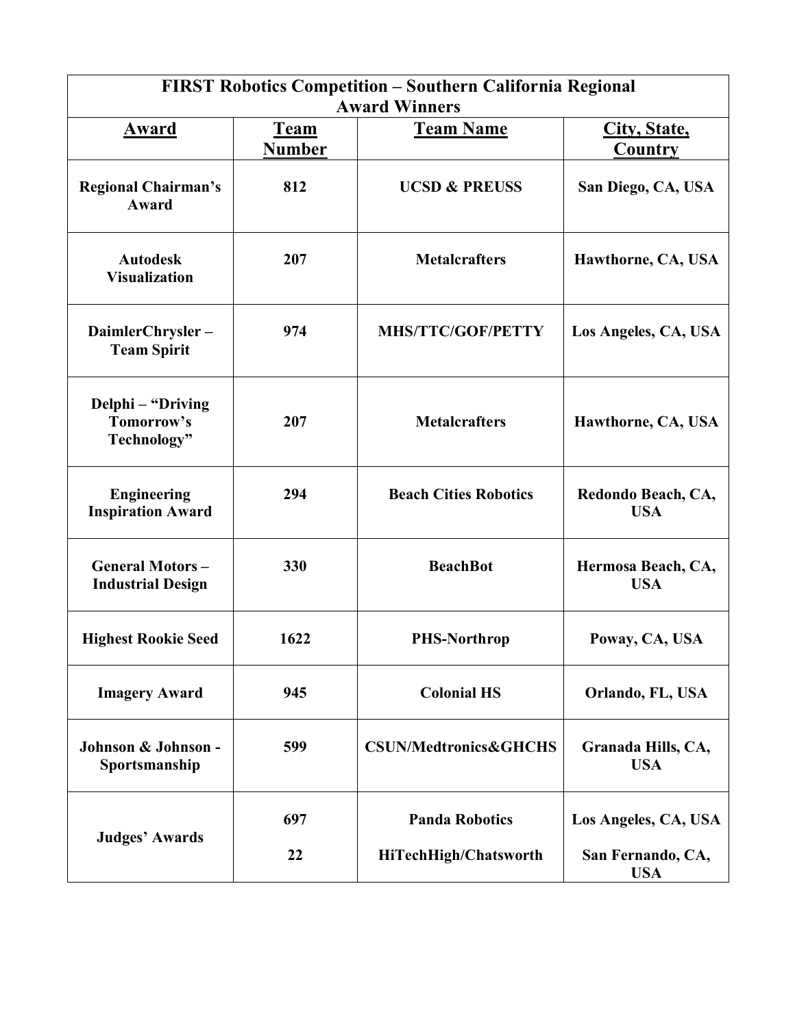| FIRST Robotics Competition - Southern California Regional<br><b>Award Winners</b> |                              |                                  |                                  |  |  |
|-----------------------------------------------------------------------------------|------------------------------|----------------------------------|----------------------------------|--|--|
| Award                                                                             | <b>Team</b><br><b>Number</b> | <b>Team Name</b>                 | City, State,<br>Country          |  |  |
| <b>Regional Chairman's</b><br>Award                                               | 812                          | <b>UCSD &amp; PREUSS</b>         | San Diego, CA, USA               |  |  |
| <b>Autodesk</b><br><b>Visualization</b>                                           | 207                          | <b>Metalcrafters</b>             | Hawthorne, CA, USA               |  |  |
| DaimlerChrysler-<br><b>Team Spirit</b>                                            | 974                          | <b>MHS/TTC/GOF/PETTY</b>         | Los Angeles, CA, USA             |  |  |
| Delphi - "Driving<br>Tomorrow's<br>Technology"                                    | 207                          | <b>Metalcrafters</b>             | Hawthorne, CA, USA               |  |  |
| <b>Engineering</b><br><b>Inspiration Award</b>                                    | 294                          | <b>Beach Cities Robotics</b>     | Redondo Beach, CA,<br><b>USA</b> |  |  |
| <b>General Motors-</b><br><b>Industrial Design</b>                                | 330                          | <b>BeachBot</b>                  | Hermosa Beach, CA,<br><b>USA</b> |  |  |
| <b>Highest Rookie Seed</b>                                                        | 1622                         | <b>PHS-Northrop</b>              | Poway, CA, USA                   |  |  |
| <b>Imagery Award</b>                                                              | 945                          | <b>Colonial HS</b>               | Orlando, FL, USA                 |  |  |
| Johnson & Johnson -<br>Sportsmanship                                              | 599                          | <b>CSUN/Medtronics&amp;GHCHS</b> | Granada Hills, CA,<br><b>USA</b> |  |  |
|                                                                                   | 697                          | <b>Panda Robotics</b>            | Los Angeles, CA, USA             |  |  |
| <b>Judges' Awards</b>                                                             | 22                           | HiTechHigh/Chatsworth            | San Fernando, CA,<br><b>USA</b>  |  |  |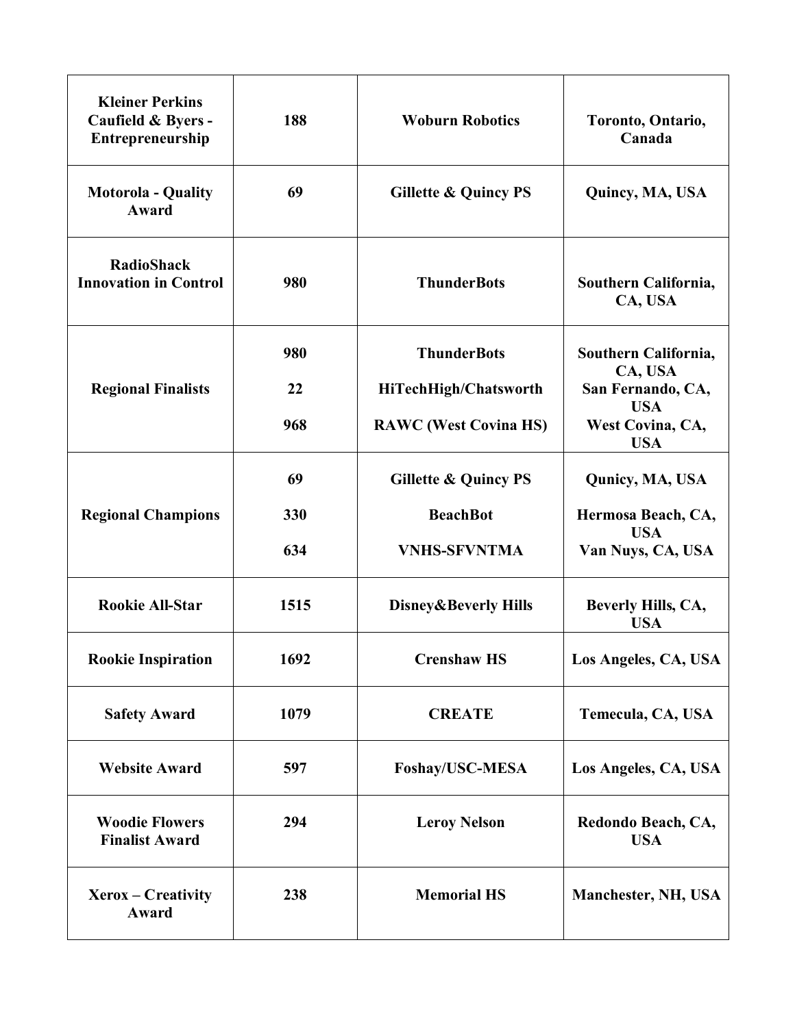| <b>Kleiner Perkins</b><br>Caufield & Byers -<br>Entrepreneurship | 188  | <b>Woburn Robotics</b>          | Toronto, Ontario,<br>Canada                  |
|------------------------------------------------------------------|------|---------------------------------|----------------------------------------------|
| <b>Motorola - Quality</b><br>Award                               | 69   | <b>Gillette &amp; Quincy PS</b> | Quincy, MA, USA                              |
| <b>RadioShack</b><br><b>Innovation in Control</b>                | 980  | <b>ThunderBots</b>              | Southern California,<br>CA, USA              |
|                                                                  | 980  | <b>ThunderBots</b>              | Southern California,<br>CA, USA              |
| <b>Regional Finalists</b>                                        | 22   | HiTechHigh/Chatsworth           | San Fernando, CA,                            |
|                                                                  | 968  | <b>RAWC</b> (West Covina HS)    | <b>USA</b><br>West Covina, CA,<br><b>USA</b> |
|                                                                  | 69   | <b>Gillette &amp; Quincy PS</b> | Qunicy, MA, USA                              |
| <b>Regional Champions</b>                                        | 330  | <b>BeachBot</b>                 | Hermosa Beach, CA,                           |
|                                                                  | 634  | <b>VNHS-SFVNTMA</b>             | <b>USA</b><br>Van Nuys, CA, USA              |
| <b>Rookie All-Star</b>                                           | 1515 | Disney&Beverly Hills            | Beverly Hills, CA,<br><b>USA</b>             |
| <b>Rookie Inspiration</b>                                        | 1692 | <b>Crenshaw HS</b>              | Los Angeles, CA, USA                         |
| <b>Safety Award</b>                                              | 1079 | <b>CREATE</b>                   | Temecula, CA, USA                            |
| <b>Website Award</b>                                             | 597  | Foshay/USC-MESA                 | Los Angeles, CA, USA                         |
| <b>Woodie Flowers</b><br><b>Finalist Award</b>                   | 294  | <b>Leroy Nelson</b>             | Redondo Beach, CA,<br><b>USA</b>             |
| Xerox – Creativity<br>Award                                      | 238  | <b>Memorial HS</b>              | Manchester, NH, USA                          |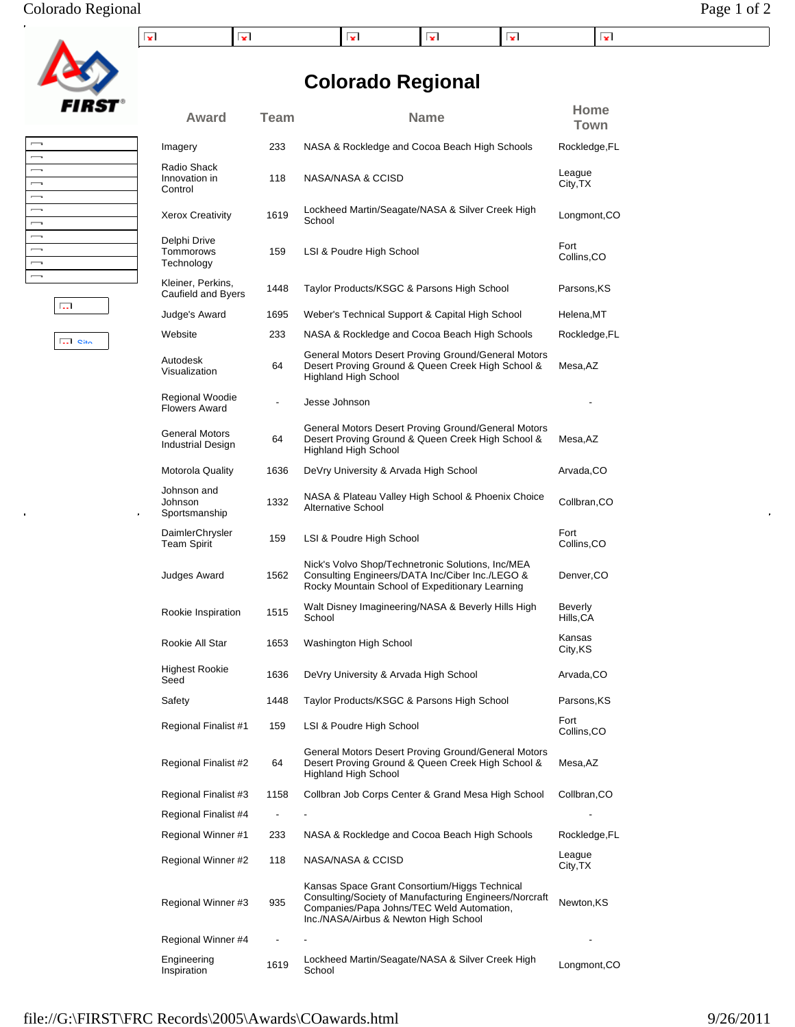## Colorado Regional Page 1 of 2

| - -<br>$\sim$ |  | ¥. | --<br>$\sim$ | - -<br>$-$ |
|---------------|--|----|--------------|------------|

## **Colorado Regional**

| Award                                             | Team                     | <b>Name</b>                                                                                                                                                                                   | Home<br>Town         |
|---------------------------------------------------|--------------------------|-----------------------------------------------------------------------------------------------------------------------------------------------------------------------------------------------|----------------------|
| Imagery                                           | 233                      | NASA & Rockledge and Cocoa Beach High Schools                                                                                                                                                 | Rockledge, FL        |
| Radio Shack<br>Innovation in<br>Control           | 118                      | NASA/NASA & CCISD                                                                                                                                                                             | League<br>City, TX   |
| Xerox Creativity                                  | 1619                     | Lockheed Martin/Seagate/NASA & Silver Creek High<br>School                                                                                                                                    | Longmont, CO         |
| Delphi Drive<br>Tommorows<br>Technology           | 159                      | LSI & Poudre High School                                                                                                                                                                      | Fort<br>Collins, CO  |
| Kleiner, Perkins,<br>Caufield and Byers           | 1448                     | Taylor Products/KSGC & Parsons High School                                                                                                                                                    | Parsons, KS          |
| Judge's Award                                     | 1695                     | Weber's Technical Support & Capital High School                                                                                                                                               | Helena,MT            |
| Website                                           | 233                      | NASA & Rockledge and Cocoa Beach High Schools                                                                                                                                                 | Rockledge, FL        |
| Autodesk<br>Visualization                         | 64                       | General Motors Desert Proving Ground/General Motors<br>Desert Proving Ground & Queen Creek High School &<br><b>Highland High School</b>                                                       | Mesa, AZ             |
| Regional Woodie<br><b>Flowers Award</b>           | $\overline{\phantom{0}}$ | Jesse Johnson                                                                                                                                                                                 |                      |
| <b>General Motors</b><br><b>Industrial Design</b> | 64                       | General Motors Desert Proving Ground/General Motors<br>Desert Proving Ground & Queen Creek High School &<br><b>Highland High School</b>                                                       | Mesa, AZ             |
| Motorola Quality                                  | 1636                     | DeVry University & Arvada High School                                                                                                                                                         | Arvada,CO            |
| Johnson and<br>Johnson<br>Sportsmanship           | 1332                     | NASA & Plateau Valley High School & Phoenix Choice<br>Alternative School                                                                                                                      | Collbran,CO          |
| DaimlerChrysler<br><b>Team Spirit</b>             | 159                      | LSI & Poudre High School                                                                                                                                                                      | Fort<br>Collins, CO  |
| Judges Award                                      | 1562                     | Nick's Volvo Shop/Technetronic Solutions, Inc/MEA<br>Consulting Engineers/DATA Inc/Ciber Inc./LEGO &<br>Rocky Mountain School of Expeditionary Learning                                       | Denver, CO           |
| Rookie Inspiration                                | 1515                     | Walt Disney Imagineering/NASA & Beverly Hills High<br>School                                                                                                                                  | Beverly<br>Hills, CA |
| Rookie All Star                                   | 1653                     | Washington High School                                                                                                                                                                        | Kansas<br>City, KS   |
| Highest Rookie<br>Seed                            | 1636                     | DeVry University & Arvada High School                                                                                                                                                         | Arvada,CO            |
| Safety                                            | 1448                     | Taylor Products/KSGC & Parsons High School                                                                                                                                                    | Parsons,KS           |
| Regional Finalist #1                              | 159                      | LSI & Poudre High School                                                                                                                                                                      | Fort<br>Collins, CO  |
| Regional Finalist #2                              | 64                       | General Motors Desert Proving Ground/General Motors<br>Desert Proving Ground & Queen Creek High School &<br><b>Highland High School</b>                                                       | Mesa, AZ             |
| Regional Finalist #3                              | 1158                     | Collbran Job Corps Center & Grand Mesa High School                                                                                                                                            | Collbran, CO         |
| Regional Finalist #4                              |                          |                                                                                                                                                                                               |                      |
| Regional Winner #1                                | 233                      | NASA & Rockledge and Cocoa Beach High Schools                                                                                                                                                 | Rockledge, FL        |
| Regional Winner #2                                | 118                      | NASA/NASA & CCISD                                                                                                                                                                             | League<br>City, TX   |
| Regional Winner #3                                | 935                      | Kansas Space Grant Consortium/Higgs Technical<br>Consulting/Society of Manufacturing Engineers/Norcraft<br>Companies/Papa Johns/TEC Weld Automation,<br>Inc./NASA/Airbus & Newton High School | Newton, KS           |
| Regional Winner #4                                |                          |                                                                                                                                                                                               |                      |
| Engineering<br>Inspiration                        | 1619                     | Lockheed Martin/Seagate/NASA & Silver Creek High<br>School                                                                                                                                    | Longmont, CO         |





 $\overline{\mathbf{S}}$  out

 $\hat{\mathbf{p}}$ 

 $\frac{1}{2}$ 

file://G:\FIRST\FRC Records\2005\Awards\COawards.html 9/26/2011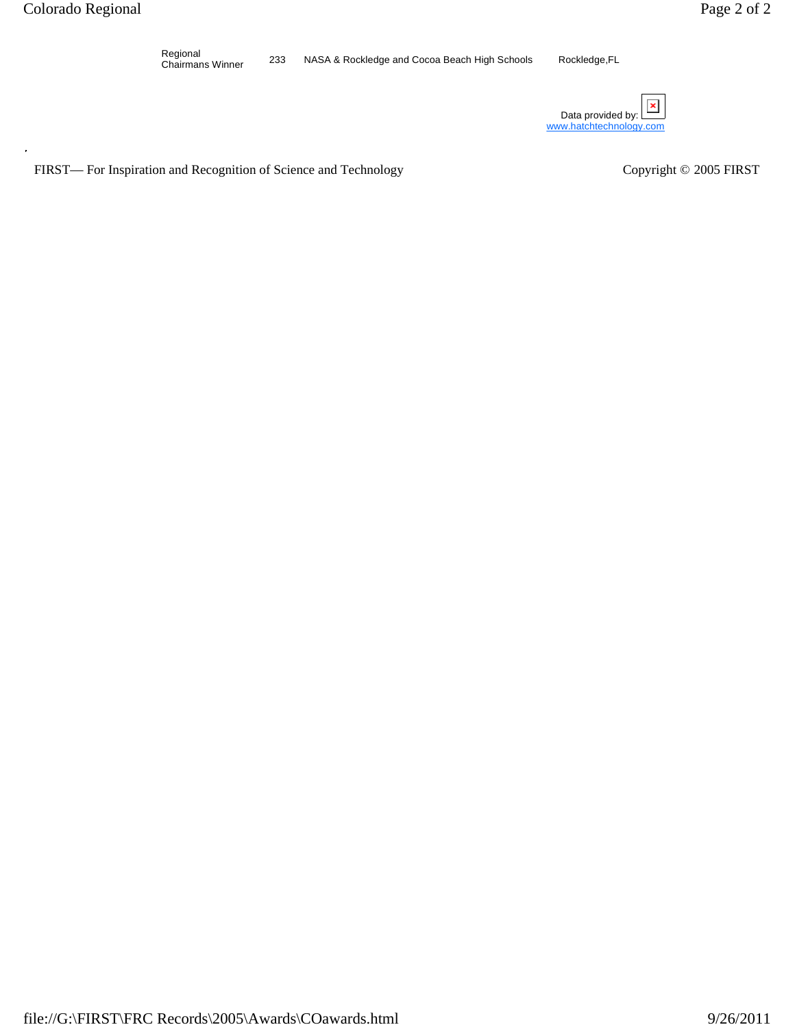Regional<br>Chairmans Winner 233 NASA & Rockledge and Cocoa Beach High Schools Rockledge,FL

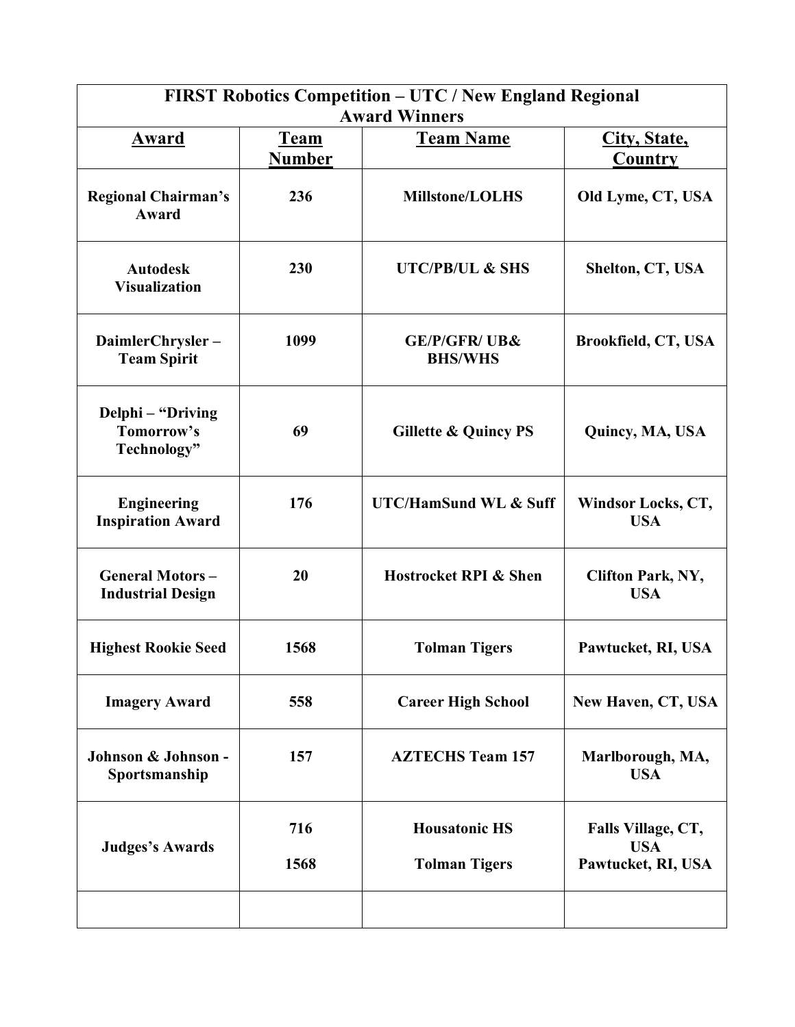| FIRST Robotics Competition - UTC / New England Regional<br><b>Award Winners</b> |                              |                                              |                                                        |
|---------------------------------------------------------------------------------|------------------------------|----------------------------------------------|--------------------------------------------------------|
| Award                                                                           | <u>Team</u><br><b>Number</b> | <b>Team Name</b>                             | City, State,<br>Country                                |
| <b>Regional Chairman's</b><br>Award                                             | 236                          | <b>Millstone/LOLHS</b>                       | Old Lyme, CT, USA                                      |
| <b>Autodesk</b><br><b>Visualization</b>                                         | 230                          | <b>UTC/PB/UL &amp; SHS</b>                   | Shelton, CT, USA                                       |
| DaimlerChrysler-<br><b>Team Spirit</b>                                          | 1099                         | <b>GE/P/GFR/ UB&amp;</b><br><b>BHS/WHS</b>   | <b>Brookfield, CT, USA</b>                             |
| Delphi - "Driving<br>Tomorrow's<br>Technology"                                  | 69                           | <b>Gillette &amp; Quincy PS</b>              | Quincy, MA, USA                                        |
| <b>Engineering</b><br><b>Inspiration Award</b>                                  | 176                          | <b>UTC/HamSund WL &amp; Suff</b>             | Windsor Locks, CT,<br><b>USA</b>                       |
| <b>General Motors-</b><br><b>Industrial Design</b>                              | 20                           | <b>Hostrocket RPI &amp; Shen</b>             | <b>Clifton Park, NY,</b><br><b>USA</b>                 |
| <b>Highest Rookie Seed</b>                                                      | 1568                         | <b>Tolman Tigers</b>                         | Pawtucket, RI, USA                                     |
| <b>Imagery Award</b>                                                            | 558                          | <b>Career High School</b>                    | New Haven, CT, USA                                     |
| Johnson & Johnson -<br>Sportsmanship                                            | 157                          | <b>AZTECHS Team 157</b>                      | Marlborough, MA,<br><b>USA</b>                         |
| <b>Judges's Awards</b>                                                          | 716<br>1568                  | <b>Housatonic HS</b><br><b>Tolman Tigers</b> | Falls Village, CT,<br><b>USA</b><br>Pawtucket, RI, USA |
|                                                                                 |                              |                                              |                                                        |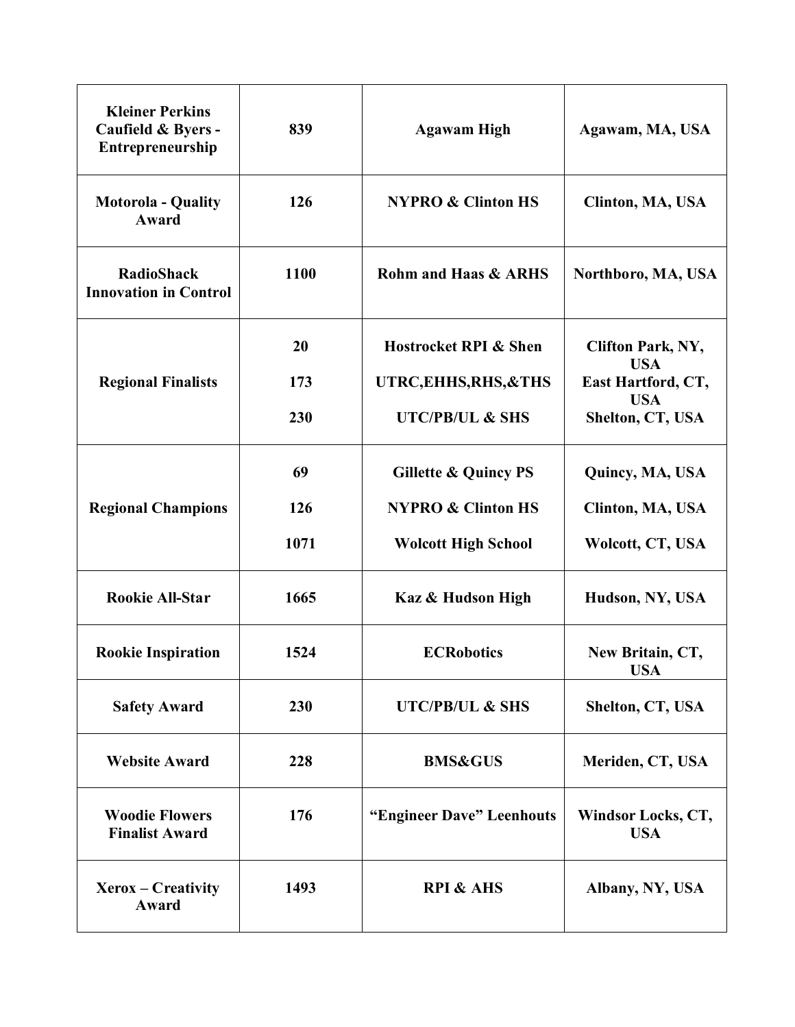| <b>Kleiner Perkins</b><br>Caufield & Byers -<br>Entrepreneurship | 839  | <b>Agawam High</b>               | Agawam, MA, USA                        |
|------------------------------------------------------------------|------|----------------------------------|----------------------------------------|
| <b>Motorola - Quality</b><br>Award                               | 126  | <b>NYPRO &amp; Clinton HS</b>    | Clinton, MA, USA                       |
| <b>RadioShack</b><br><b>Innovation in Control</b>                | 1100 | <b>Rohm and Haas &amp; ARHS</b>  | Northboro, MA, USA                     |
|                                                                  | 20   | <b>Hostrocket RPI &amp; Shen</b> | <b>Clifton Park, NY,</b><br><b>USA</b> |
| <b>Regional Finalists</b>                                        | 173  | UTRC, EHHS, RHS, & THS           | East Hartford, CT,                     |
|                                                                  | 230  | <b>UTC/PB/UL &amp; SHS</b>       | <b>USA</b><br>Shelton, CT, USA         |
|                                                                  | 69   | <b>Gillette &amp; Quincy PS</b>  | Quincy, MA, USA                        |
| <b>Regional Champions</b>                                        | 126  | <b>NYPRO &amp; Clinton HS</b>    | Clinton, MA, USA                       |
|                                                                  | 1071 | <b>Wolcott High School</b>       | Wolcott, CT, USA                       |
| <b>Rookie All-Star</b>                                           | 1665 | Kaz & Hudson High                | Hudson, NY, USA                        |
| <b>Rookie Inspiration</b>                                        | 1524 | <b>ECRobotics</b>                | New Britain, CT,<br><b>USA</b>         |
| <b>Safety Award</b>                                              | 230  | <b>UTC/PB/UL &amp; SHS</b>       | Shelton, CT, USA                       |
| <b>Website Award</b>                                             | 228  | <b>BMS&amp;GUS</b>               | Meriden, CT, USA                       |
| <b>Woodie Flowers</b><br><b>Finalist Award</b>                   | 176  | "Engineer Dave" Leenhouts        | Windsor Locks, CT,<br><b>USA</b>       |
| $Xerox - Creative$<br>Award                                      | 1493 | <b>RPI &amp; AHS</b>             | Albany, NY, USA                        |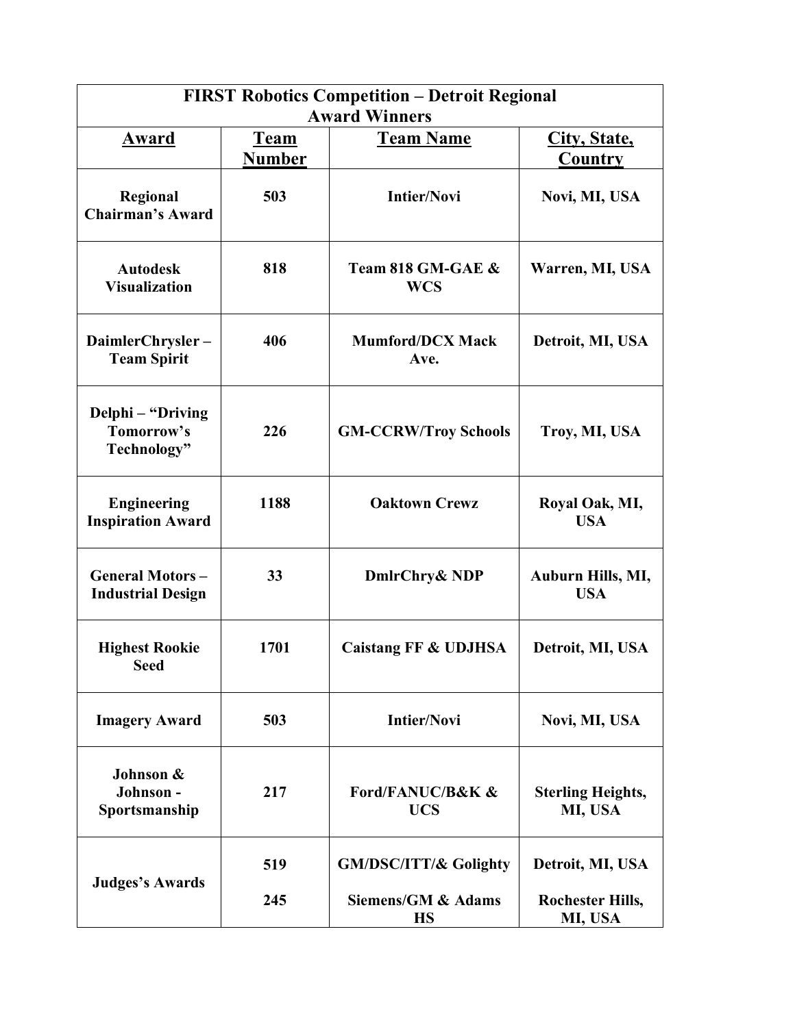| <b>FIRST Robotics Competition - Detroit Regional</b><br><b>Award Winners</b> |                              |                                  |                                     |  |
|------------------------------------------------------------------------------|------------------------------|----------------------------------|-------------------------------------|--|
| Award                                                                        | <u>Team</u><br><b>Number</b> | <b>Team Name</b>                 | City, State,<br>Country             |  |
| Regional<br><b>Chairman's Award</b>                                          | 503                          | <b>Intier/Novi</b>               | Novi, MI, USA                       |  |
| <b>Autodesk</b><br><b>Visualization</b>                                      | 818                          | Team 818 GM-GAE &<br><b>WCS</b>  | Warren, MI, USA                     |  |
| DaimlerChrysler-<br><b>Team Spirit</b>                                       | 406                          | <b>Mumford/DCX Mack</b><br>Ave.  | Detroit, MI, USA                    |  |
| Delphi – "Driving<br>Tomorrow's<br>Technology"                               | 226                          | <b>GM-CCRW/Troy Schools</b>      | Troy, MI, USA                       |  |
| <b>Engineering</b><br><b>Inspiration Award</b>                               | 1188                         | <b>Oaktown Crewz</b>             | Royal Oak, MI,<br><b>USA</b>        |  |
| <b>General Motors-</b><br><b>Industrial Design</b>                           | 33                           | DmlrChry& NDP                    | Auburn Hills, MI,<br><b>USA</b>     |  |
| <b>Highest Rookie</b><br><b>Seed</b>                                         | 1701                         | Caistang FF & UDJHSA             | Detroit, MI, USA                    |  |
| <b>Imagery Award</b>                                                         | 503                          | <b>Intier/Novi</b>               | Novi, MI, USA                       |  |
| Johnson &<br>Johnson-<br>Sportsmanship                                       | 217                          | Ford/FANUC/B&K &<br><b>UCS</b>   | <b>Sterling Heights,</b><br>MI, USA |  |
| <b>Judges's Awards</b>                                                       | 519                          | <b>GM/DSC/ITT/&amp; Golighty</b> | Detroit, MI, USA                    |  |
|                                                                              | 245                          | Siemens/GM & Adams<br><b>HS</b>  | <b>Rochester Hills,</b><br>MI, USA  |  |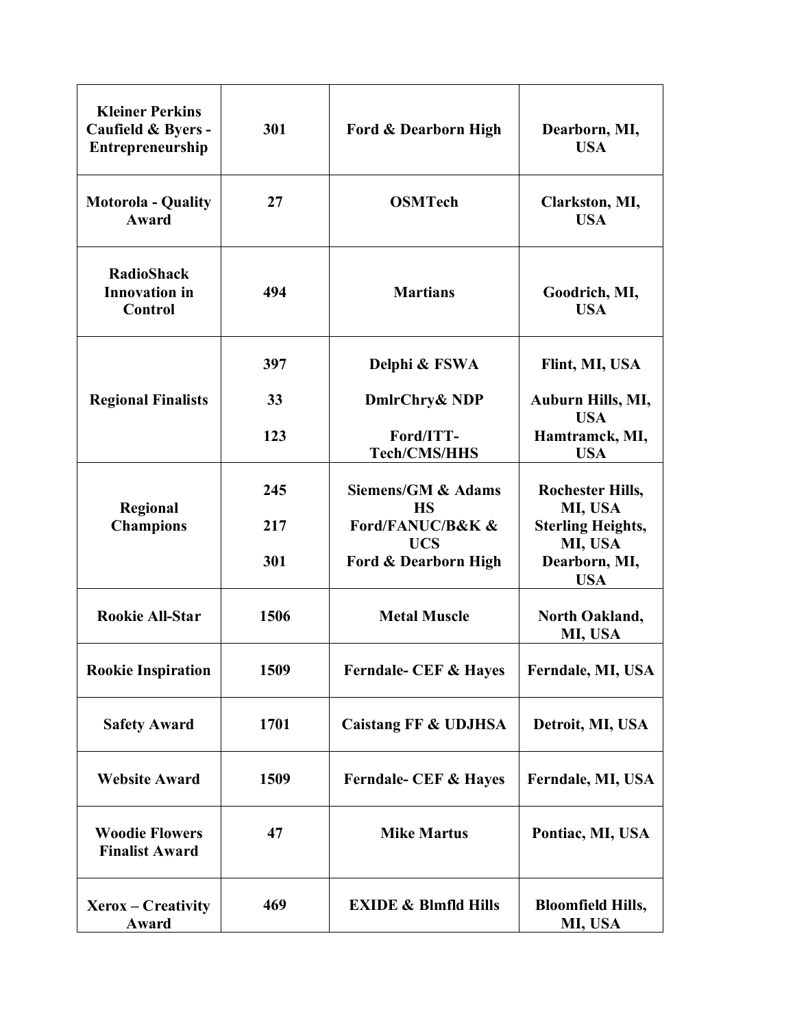| <b>Kleiner Perkins</b><br>Caufield & Byers -<br>Entrepreneurship | 301        | Ford & Dearborn High                                   | Dearborn, MI,<br><b>USA</b>                          |
|------------------------------------------------------------------|------------|--------------------------------------------------------|------------------------------------------------------|
| <b>Motorola - Quality</b><br><b>Award</b>                        | 27         | <b>OSMTech</b>                                         | Clarkston, MI,<br><b>USA</b>                         |
| <b>RadioShack</b><br><b>Innovation</b> in<br><b>Control</b>      | 494        | <b>Martians</b>                                        | Goodrich, MI,<br><b>USA</b>                          |
|                                                                  | 397        | Delphi & FSWA                                          | Flint, MI, USA                                       |
| <b>Regional Finalists</b>                                        | 33         | DmlrChry& NDP                                          | Auburn Hills, MI,<br><b>USA</b>                      |
|                                                                  | 123        | Ford/ITT-<br><b>Tech/CMS/HHS</b>                       | Hamtramck, MI,<br><b>USA</b>                         |
|                                                                  | 245        | Siemens/GM & Adams<br><b>HS</b>                        | <b>Rochester Hills,</b><br>MI, USA                   |
| Regional<br><b>Champions</b>                                     | 217<br>301 | Ford/FANUC/B&K &<br><b>UCS</b><br>Ford & Dearborn High | <b>Sterling Heights,</b><br>MI, USA<br>Dearborn, MI, |
|                                                                  |            |                                                        | <b>USA</b>                                           |
| <b>Rookie All-Star</b>                                           | 1506       | <b>Metal Muscle</b>                                    | North Oakland,<br>MI, USA                            |
| <b>Rookie Inspiration</b>                                        | 1509       | <b>Ferndale- CEF &amp; Hayes</b>                       | Ferndale, MI, USA                                    |
| <b>Safety Award</b>                                              | 1701       | Caistang FF & UDJHSA                                   | Detroit, MI, USA                                     |
| <b>Website Award</b>                                             | 1509       | <b>Ferndale- CEF &amp; Hayes</b>                       | Ferndale, MI, USA                                    |
| <b>Woodie Flowers</b><br><b>Finalist Award</b>                   | 47         | <b>Mike Martus</b>                                     | Pontiac, MI, USA                                     |
| Xerox – Creativity<br>Award                                      | 469        | <b>EXIDE &amp; Blmfld Hills</b>                        | <b>Bloomfield Hills,</b><br>MI, USA                  |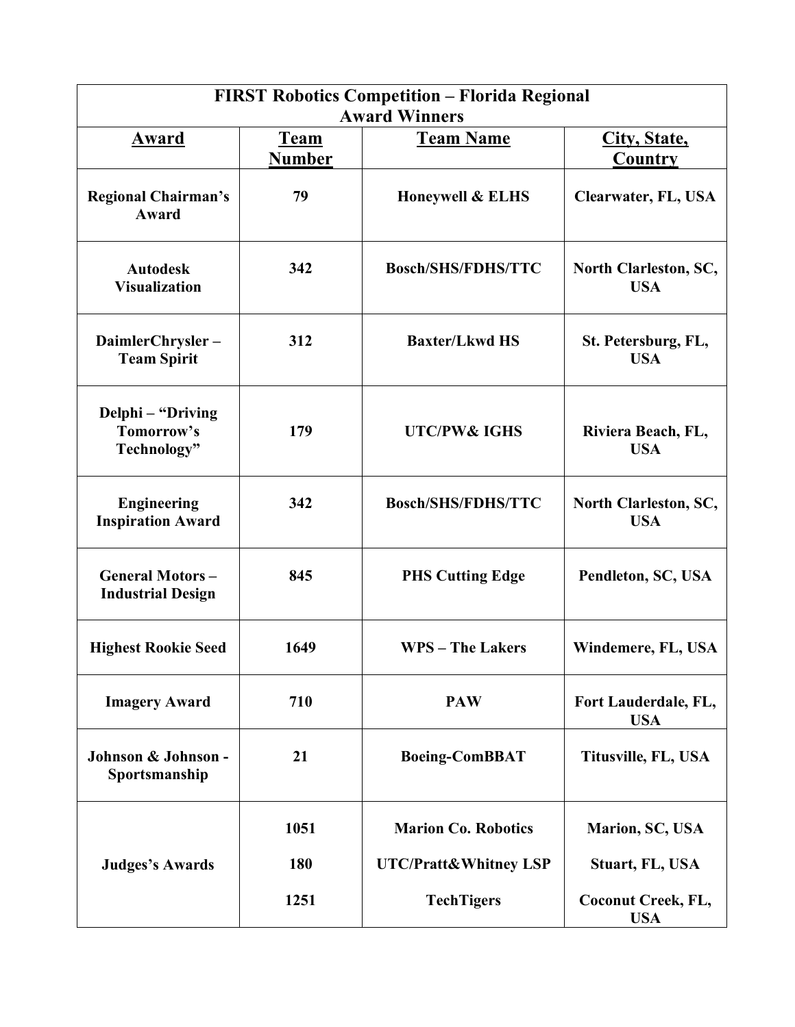| <b>FIRST Robotics Competition - Florida Regional</b><br><b>Award Winners</b> |                         |                                  |                                                           |  |
|------------------------------------------------------------------------------|-------------------------|----------------------------------|-----------------------------------------------------------|--|
| <u>Award</u>                                                                 | City, State,<br>Country |                                  |                                                           |  |
| <b>Regional Chairman's</b><br><b>Award</b>                                   | 79                      | <b>Honeywell &amp; ELHS</b>      | Clearwater, FL, USA                                       |  |
| <b>Autodesk</b><br><b>Visualization</b>                                      | 342                     | <b>Bosch/SHS/FDHS/TTC</b>        | North Clarleston, SC,<br><b>USA</b>                       |  |
| DaimlerChrysler-<br><b>Team Spirit</b>                                       | 312                     | <b>Baxter/Lkwd HS</b>            | St. Petersburg, FL,<br><b>USA</b>                         |  |
| Delphi – "Driving<br>Tomorrow's<br>Technology"                               | 179                     | <b>UTC/PW&amp; IGHS</b>          | Riviera Beach, FL,<br><b>USA</b>                          |  |
| <b>Engineering</b><br><b>Inspiration Award</b>                               | 342                     | <b>Bosch/SHS/FDHS/TTC</b>        | North Clarleston, SC,<br><b>USA</b><br>Pendleton, SC, USA |  |
| <b>General Motors-</b><br><b>Industrial Design</b>                           | 845                     | <b>PHS Cutting Edge</b>          |                                                           |  |
| <b>Highest Rookie Seed</b>                                                   | 1649                    | <b>WPS</b> – The Lakers          | Windemere, FL, USA                                        |  |
| <b>Imagery Award</b>                                                         | 710                     | <b>PAW</b>                       | Fort Lauderdale, FL,<br><b>USA</b>                        |  |
| Johnson & Johnson -<br>Sportsmanship                                         | 21                      | <b>Boeing-ComBBAT</b>            | Titusville, FL, USA                                       |  |
|                                                                              | 1051                    | <b>Marion Co. Robotics</b>       | Marion, SC, USA                                           |  |
| <b>Judges's Awards</b>                                                       | 180                     | <b>UTC/Pratt&amp;Whitney LSP</b> | Stuart, FL, USA                                           |  |
|                                                                              | 1251                    | <b>TechTigers</b>                | <b>Coconut Creek, FL,</b><br><b>USA</b>                   |  |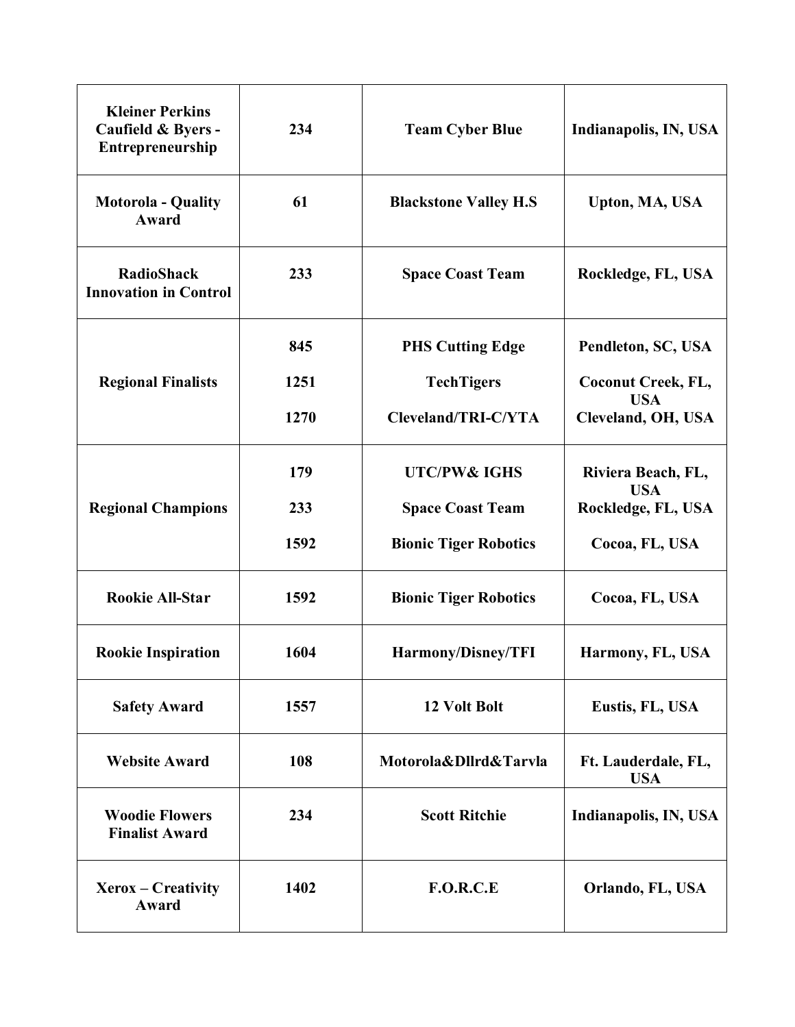| <b>Kleiner Perkins</b><br>Caufield & Byers -<br>Entrepreneurship | 234  | <b>Team Cyber Blue</b>       | Indianapolis, IN, USA             |
|------------------------------------------------------------------|------|------------------------------|-----------------------------------|
| <b>Motorola - Quality</b><br>Award                               | 61   | <b>Blackstone Valley H.S</b> | Upton, MA, USA                    |
| <b>RadioShack</b><br><b>Innovation in Control</b>                | 233  | <b>Space Coast Team</b>      | Rockledge, FL, USA                |
|                                                                  | 845  | <b>PHS Cutting Edge</b>      | Pendleton, SC, USA                |
| <b>Regional Finalists</b>                                        | 1251 | <b>TechTigers</b>            | <b>Coconut Creek, FL,</b>         |
|                                                                  | 1270 | Cleveland/TRI-C/YTA          | <b>USA</b><br>Cleveland, OH, USA  |
|                                                                  | 179  | <b>UTC/PW&amp; IGHS</b>      | Riviera Beach, FL,<br><b>USA</b>  |
| <b>Regional Champions</b>                                        | 233  | <b>Space Coast Team</b>      | Rockledge, FL, USA                |
|                                                                  | 1592 | <b>Bionic Tiger Robotics</b> | Cocoa, FL, USA                    |
| <b>Rookie All-Star</b>                                           | 1592 | <b>Bionic Tiger Robotics</b> | Cocoa, FL, USA                    |
| <b>Rookie Inspiration</b>                                        | 1604 | Harmony/Disney/TFI           | Harmony, FL, USA                  |
| <b>Safety Award</b>                                              | 1557 | 12 Volt Bolt                 | Eustis, FL, USA                   |
| <b>Website Award</b>                                             | 108  | Motorola&Dllrd&Tarvla        | Ft. Lauderdale, FL,<br><b>USA</b> |
| <b>Woodie Flowers</b><br><b>Finalist Award</b>                   | 234  | <b>Scott Ritchie</b>         | Indianapolis, IN, USA             |
| $Xerox - Creative$<br>Award                                      | 1402 | <b>F.O.R.C.E</b>             | Orlando, FL, USA                  |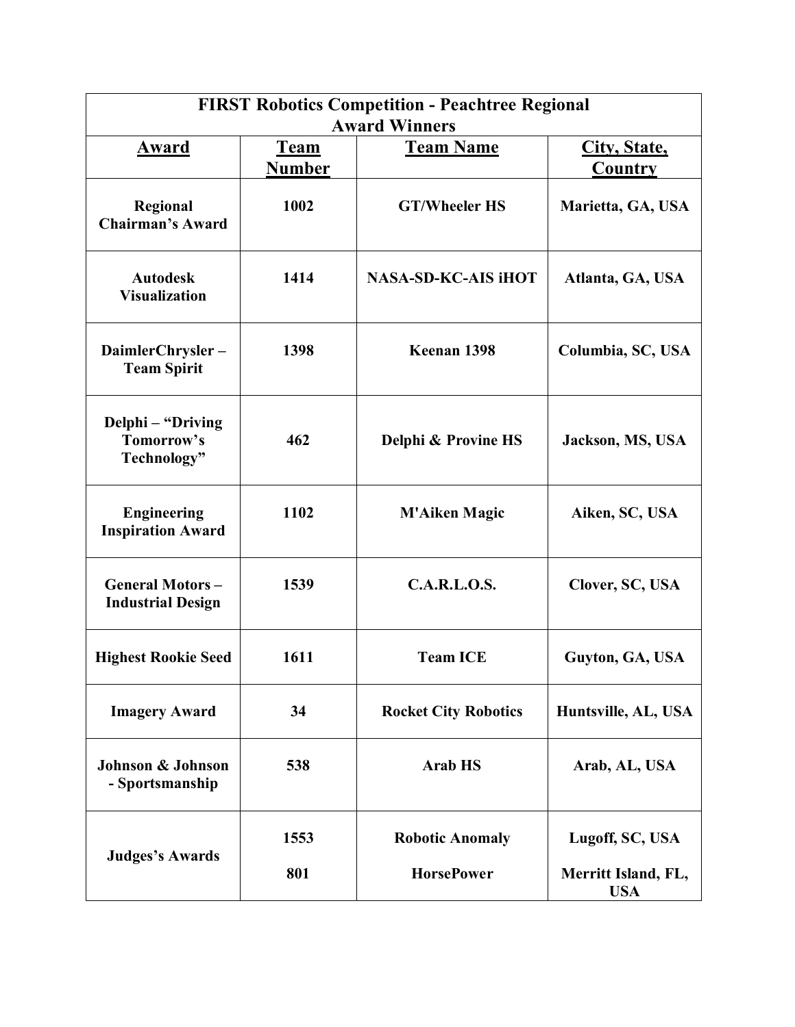| <b>FIRST Robotics Competition - Peachtree Regional</b><br><b>Award Winners</b> |                              |                             |                                   |  |
|--------------------------------------------------------------------------------|------------------------------|-----------------------------|-----------------------------------|--|
| <u>Award</u>                                                                   | City, State,                 |                             |                                   |  |
|                                                                                | <u>Team</u><br><b>Number</b> | <b>Team Name</b>            | Country                           |  |
| Regional<br><b>Chairman's Award</b>                                            | 1002                         | <b>GT/Wheeler HS</b>        | Marietta, GA, USA                 |  |
| <b>Autodesk</b><br><b>Visualization</b>                                        | 1414                         | <b>NASA-SD-KC-AIS iHOT</b>  | Atlanta, GA, USA                  |  |
| DaimlerChrysler-<br><b>Team Spirit</b>                                         | 1398                         | Keenan 1398                 | Columbia, SC, USA                 |  |
| Delphi - "Driving<br>Tomorrow's<br>Technology"                                 | 462                          | Delphi & Provine HS         | Jackson, MS, USA                  |  |
| <b>Engineering</b><br><b>Inspiration Award</b>                                 | 1102                         | <b>M'Aiken Magic</b>        | Aiken, SC, USA                    |  |
| <b>General Motors-</b><br><b>Industrial Design</b>                             | 1539                         | C.A.R.L.O.S.                | Clover, SC, USA                   |  |
| <b>Highest Rookie Seed</b>                                                     | 1611                         | <b>Team ICE</b>             | Guyton, GA, USA                   |  |
| <b>Imagery Award</b>                                                           | 34                           | <b>Rocket City Robotics</b> | Huntsville, AL, USA               |  |
| <b>Johnson &amp; Johnson</b><br>- Sportsmanship                                | 538                          | <b>Arab HS</b>              | Arab, AL, USA                     |  |
| <b>Judges's Awards</b>                                                         | 1553                         | <b>Robotic Anomaly</b>      | Lugoff, SC, USA                   |  |
|                                                                                | 801                          | <b>HorsePower</b>           | Merritt Island, FL,<br><b>USA</b> |  |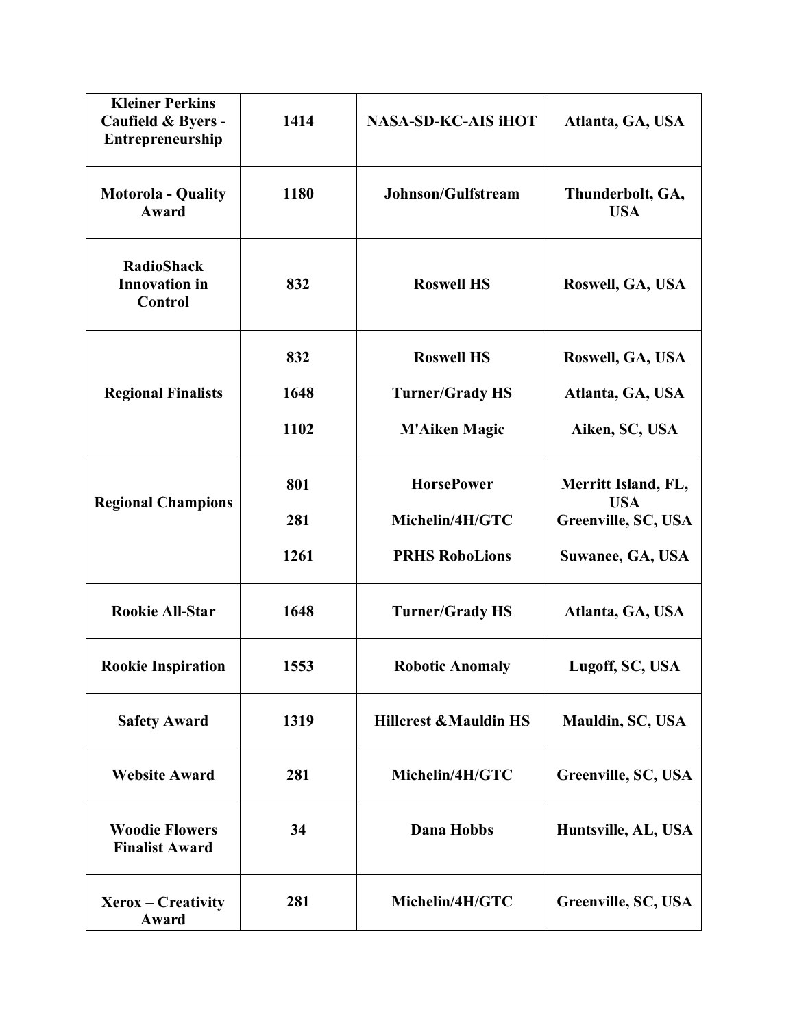| <b>Kleiner Perkins</b><br>Caufield & Byers -<br>Entrepreneurship | 1414 | <b>NASA-SD-KC-AIS IHOT</b>       | Atlanta, GA, USA                  |
|------------------------------------------------------------------|------|----------------------------------|-----------------------------------|
| <b>Motorola - Quality</b><br>Award                               | 1180 | Johnson/Gulfstream               | Thunderbolt, GA,<br><b>USA</b>    |
| <b>RadioShack</b><br><b>Innovation</b> in<br>Control             | 832  | <b>Roswell HS</b>                | Roswell, GA, USA                  |
|                                                                  | 832  | <b>Roswell HS</b>                | Roswell, GA, USA                  |
| <b>Regional Finalists</b>                                        | 1648 | <b>Turner/Grady HS</b>           | Atlanta, GA, USA                  |
|                                                                  | 1102 | <b>M'Aiken Magic</b>             | Aiken, SC, USA                    |
| <b>Regional Champions</b>                                        | 801  | <b>HorsePower</b>                | Merritt Island, FL,<br><b>USA</b> |
|                                                                  | 281  | Michelin/4H/GTC                  | Greenville, SC, USA               |
|                                                                  | 1261 | <b>PRHS RoboLions</b>            | Suwanee, GA, USA                  |
| <b>Rookie All-Star</b>                                           | 1648 | <b>Turner/Grady HS</b>           | Atlanta, GA, USA                  |
| <b>Rookie Inspiration</b>                                        | 1553 | <b>Robotic Anomaly</b>           | Lugoff, SC, USA                   |
| <b>Safety Award</b>                                              | 1319 | <b>Hillcrest &amp;Mauldin HS</b> | Mauldin, SC, USA                  |
| <b>Website Award</b>                                             | 281  | Michelin/4H/GTC                  | Greenville, SC, USA               |
| <b>Woodie Flowers</b><br><b>Finalist Award</b>                   | 34   | <b>Dana Hobbs</b>                | Huntsville, AL, USA               |
| Xerox – Creativity<br>Award                                      | 281  | Michelin/4H/GTC                  | Greenville, SC, USA               |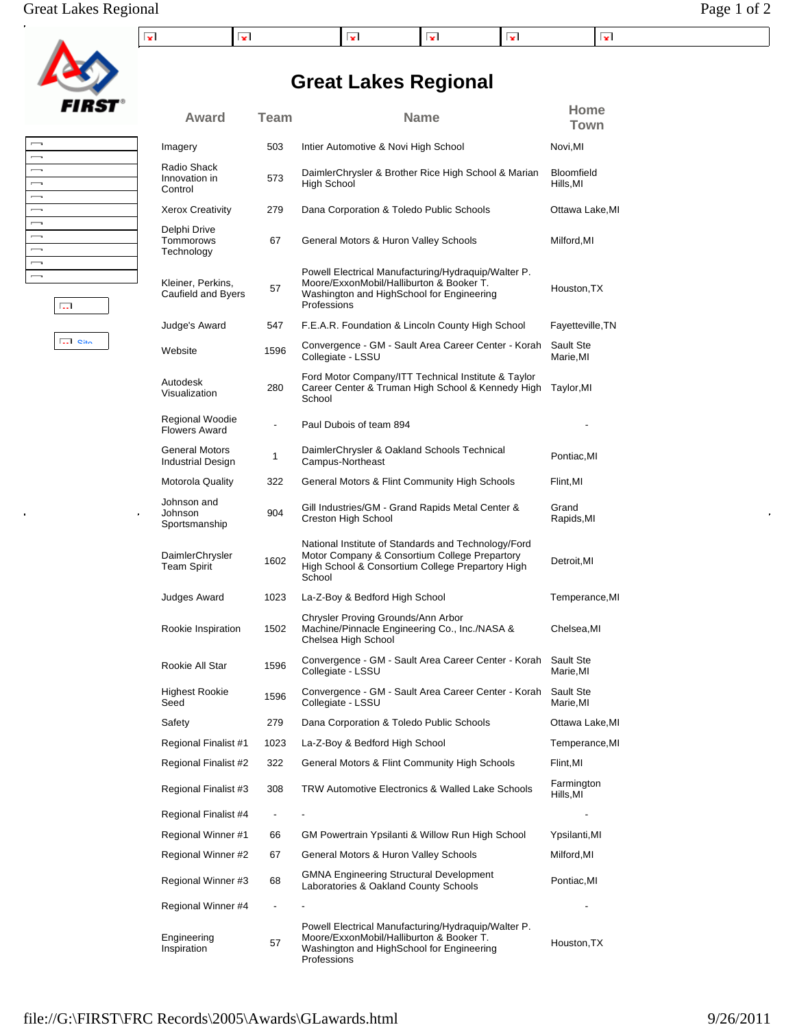## Great Lakes Regional Page 1 of 2

| ×<br>$\overline{\phantom{a}}$<br>1×1<br>. .<br>. . |  |
|----------------------------------------------------|--|

**Great Lakes Regional**

**Award Team Name Home**

**Town**



| $\overline{\phantom{a}}$ |  |
|--------------------------|--|
| $\overline{\phantom{a}}$ |  |
| $\overline{\phantom{a}}$ |  |
| $\overline{\phantom{a}}$ |  |
| $\overline{\phantom{0}}$ |  |
| $\overline{\phantom{a}}$ |  |
| $\overline{\phantom{0}}$ |  |
| $\overline{\phantom{a}}$ |  |
| $\overline{\phantom{a}}$ |  |
| $\overline{\phantom{a}}$ |  |
| $\overline{\phantom{a}}$ |  |
|                          |  |

Site

Г.

| Radio Shack<br>Innovation in<br>Control | 573  | DaimlerChrysler & Brother Rice High School & Marian<br>High School                                                                                                 | Bloomfield<br>Hills,MI |
|-----------------------------------------|------|--------------------------------------------------------------------------------------------------------------------------------------------------------------------|------------------------|
| Xerox Creativity                        | 279  | Dana Corporation & Toledo Public Schools                                                                                                                           | Ottawa Lake, MI        |
| Delphi Drive<br>Tommorows<br>Technology | 67   | General Motors & Huron Valley Schools                                                                                                                              | Milford, MI            |
| Kleiner, Perkins,<br>Caufield and Byers | 57   | Powell Electrical Manufacturing/Hydraquip/Walter P.<br>Moore/ExxonMobil/Halliburton & Booker T.<br>Washington and HighSchool for Engineering<br>Professions        | Houston, TX            |
| Judge's Award                           | 547  | F.E.A.R. Foundation & Lincoln County High School                                                                                                                   | Fayetteville, TN       |
| Website                                 | 1596 | Convergence - GM - Sault Area Career Center - Korah<br>Collegiate - LSSU                                                                                           | Sault Ste<br>Marie, MI |
| Autodesk<br>Visualization               | 280  | Ford Motor Company/ITT Technical Institute & Taylor<br>Career Center & Truman High School & Kennedy High<br>School                                                 | Taylor, MI             |
| Regional Woodie<br><b>Flowers Award</b> | ÷,   | Paul Dubois of team 894                                                                                                                                            |                        |
| General Motors<br>Industrial Design     | 1    | DaimlerChrysler & Oakland Schools Technical<br>Campus-Northeast                                                                                                    | Pontiac, MI            |
| Motorola Quality                        | 322  | General Motors & Flint Community High Schools                                                                                                                      | Flint, MI              |
| Johnson and<br>Johnson<br>Sportsmanship | 904  | Gill Industries/GM - Grand Rapids Metal Center &<br>Creston High School                                                                                            | Grand<br>Rapids,MI     |
| DaimlerChrysler<br><b>Team Spirit</b>   | 1602 | National Institute of Standards and Technology/Ford<br>Motor Company & Consortium College Prepartory<br>High School & Consortium College Prepartory High<br>School | Detroit, MI            |
| Judges Award                            | 1023 | La-Z-Boy & Bedford High School                                                                                                                                     | Temperance,MI          |
| Rookie Inspiration                      | 1502 | Chrysler Proving Grounds/Ann Arbor<br>Machine/Pinnacle Engineering Co., Inc./NASA &<br>Chelsea High School                                                         | Chelsea, MI            |
| Rookie All Star                         | 1596 | Convergence - GM - Sault Area Career Center - Korah<br>Collegiate - LSSU                                                                                           | Sault Ste<br>Marie.MI  |
| Highest Rookie<br>Seed                  | 1596 | Convergence - GM - Sault Area Career Center - Korah<br>Collegiate - LSSU                                                                                           | Sault Ste<br>Marie, MI |
| Safety                                  | 279  | Dana Corporation & Toledo Public Schools                                                                                                                           | Ottawa Lake, MI        |
| Regional Finalist #1                    | 1023 | La-Z-Boy & Bedford High School                                                                                                                                     | Temperance, MI         |
| Regional Finalist #2                    | 322  | General Motors & Flint Community High Schools                                                                                                                      | Flint, MI              |
| Regional Finalist #3                    | 308  | TRW Automotive Electronics & Walled Lake Schools                                                                                                                   | Farmington<br>Hills,MI |
| Regional Finalist #4                    | ۰    |                                                                                                                                                                    |                        |
| Regional Winner #1                      | 66   | GM Powertrain Ypsilanti & Willow Run High School                                                                                                                   | Ypsilanti,MI           |
| Regional Winner #2                      | 67   | General Motors & Huron Valley Schools                                                                                                                              | Milford, MI            |

Regional Winner #3 68 GMNA Engineering Structural Development

Professions

Regional Winner #4  $-$  -  $-$ 

GMNA Engineering Structural Development<br>Laboratories & Oakland County Schools Pontiac,MI

Houston,TX

Powell Electrical Manufacturing/Hydraquip/Walter P. Moore/ExxonMobil/Halliburton & Booker T. Washington and HighSchool for Engineering

| Imagery                                 | 503 | Intier Automotive & Novi High School                               | Novi, MI            |
|-----------------------------------------|-----|--------------------------------------------------------------------|---------------------|
| Radio Shack<br>Innovation in<br>Control | 573 | DaimlerChrysler & Brother Rice High School & Marian<br>High School | Bloomfi<br>Hills.MI |
| <b>Xerox Creativity</b>                 | 279 | Dana Corporation & Toledo Public Schools                           | Ottawa              |

file://G:\FIRST\FRC Records\2005\Awards\GLawards.html 9/26/2011

Engineering 57<br>Inspiration 57

Engineering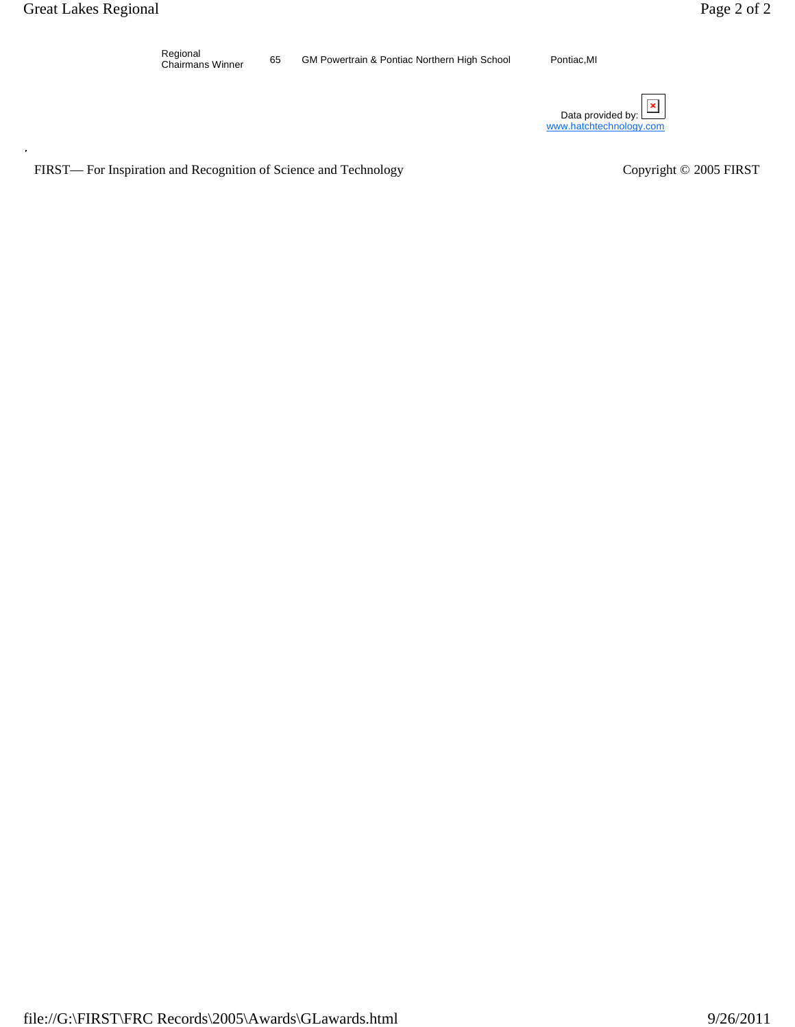Regional<br>Chairmans Winner

65 GM Powertrain & Pontiac Northern High School Pontiac,MI

Data provided by:  $\square$ www.hatchtechnology.com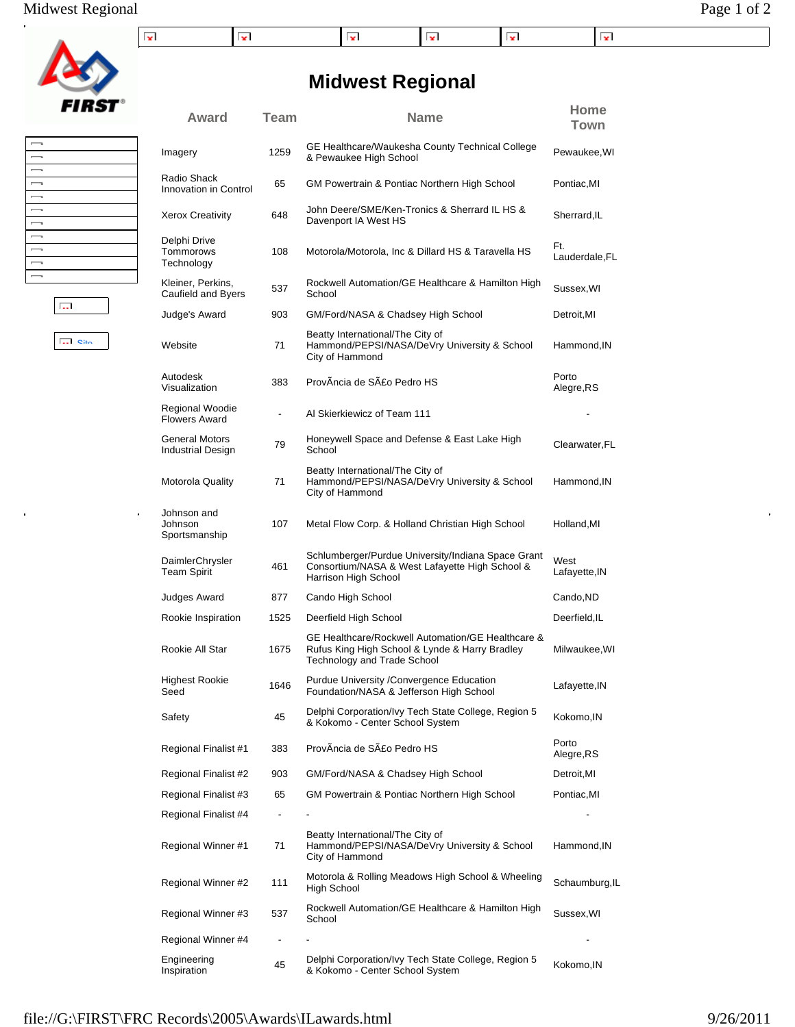## Midwest Regional Page 1 of 2

RS1

| -- | $\overline{\phantom{a}}$<br>. . |  | . . |  |
|----|---------------------------------|--|-----|--|

# **Midwest Regional**

|                                                                                                              |               | Award                                             | Team |                |
|--------------------------------------------------------------------------------------------------------------|---------------|---------------------------------------------------|------|----------------|
| $\overline{\phantom{0}}$<br>$\overline{\phantom{0}}$<br>$\overline{\phantom{0}}$                             |               | Imagery                                           | 1259 | GI<br>&        |
| $\overline{\phantom{0}}$<br>$\overline{\phantom{0}}$                                                         |               | Radio Shack<br>Innovation in Control              | 65   | GI             |
| $\overline{\phantom{0}}$<br>$\overline{\phantom{0}}$                                                         |               | <b>Xerox Creativity</b>                           | 648  | Jc<br>D        |
| $\overline{\phantom{0}}$<br>$\overline{\phantom{0}}$<br>$\overline{\phantom{a}}$<br>$\overline{\phantom{0}}$ |               | Delphi Drive<br>Tommorows<br>Technology           | 108  | M              |
|                                                                                                              |               | Kleiner, Perkins,<br>Caufield and Byers           | 537  | R<br>Sο        |
|                                                                                                              | <b>Card</b>   | Judge's Award                                     | 903  | GI             |
|                                                                                                              | $\Box$ $\Box$ | Website                                           | 71   | Bε<br>Ha<br>Ci |
|                                                                                                              |               | Autodesk<br>Visualization                         | 383  | Pr             |
|                                                                                                              |               | Regional Woodie<br><b>Flowers Award</b>           |      | Al             |
|                                                                                                              |               | <b>General Motors</b><br><b>Industrial Design</b> | 79   | H<br>S         |
|                                                                                                              |               | Motorola Quality                                  | 71   | Bε<br>Ha<br>Ci |
| a                                                                                                            | o             | Johnson and<br>Johnson<br>Sportsmanship           | 107  | M              |
|                                                                                                              |               | DaimlerChrysler<br><b>Team Spirit</b>             | 461  | Sc<br>C<br>Ha  |
|                                                                                                              |               | <b>Judges Award</b>                               | 877  | Cέ             |
|                                                                                                              |               |                                                   |      |                |

| Award                                   | <b>Team</b>              | <b>Name</b>                                                                                                                        | Home<br><b>Town</b>   |
|-----------------------------------------|--------------------------|------------------------------------------------------------------------------------------------------------------------------------|-----------------------|
| Imagery                                 | 1259                     | GE Healthcare/Waukesha County Technical College<br>& Pewaukee High School                                                          | Pewaukee, WI          |
| Radio Shack<br>Innovation in Control    | 65                       | GM Powertrain & Pontiac Northern High School                                                                                       | Pontiac, MI           |
| <b>Xerox Creativity</b>                 | 648                      | John Deere/SME/Ken-Tronics & Sherrard IL HS &<br>Davenport IA West HS                                                              | Sherrard, IL          |
| Delphi Drive<br>Tommorows<br>Technology | 108                      | Motorola/Motorola, Inc & Dillard HS & Taravella HS                                                                                 | Ft.<br>Lauderdale, FL |
| Kleiner, Perkins,<br>Caufield and Byers | 537                      | Rockwell Automation/GE Healthcare & Hamilton High<br>School                                                                        | Sussex, WI            |
| Judge's Award                           | 903                      | GM/Ford/NASA & Chadsey High School                                                                                                 | Detroit, MI           |
| Website                                 | 71                       | Beatty International/The City of<br>Hammond/PEPSI/NASA/DeVry University & School<br>City of Hammond                                | Hammond,IN            |
| Autodesk<br>Visualization               | 383                      | ProvÂncia de São Pedro HS                                                                                                          | Porto<br>Alegre,RS    |
| Regional Woodie<br><b>Flowers Award</b> | $\overline{\phantom{a}}$ | Al Skierkiewicz of Team 111                                                                                                        |                       |
| General Motors<br>Industrial Design     | 79                       | Honeywell Space and Defense & East Lake High<br>School                                                                             | Clearwater, FL        |
| <b>Motorola Quality</b>                 | 71                       | Beatty International/The City of<br>Hammond/PEPSI/NASA/DeVry University & School<br>City of Hammond                                | Hammond, IN           |
| Johnson and<br>Johnson<br>Sportsmanship | 107                      | Metal Flow Corp. & Holland Christian High School                                                                                   | Holland, MI           |
| DaimlerChrysler<br><b>Team Spirit</b>   | 461                      | Schlumberger/Purdue University/Indiana Space Grant<br>Consortium/NASA & West Lafayette High School &<br>Harrison High School       | West<br>Lafayette,IN  |
| Judges Award                            | 877                      | Cando High School                                                                                                                  | Cando, ND             |
| Rookie Inspiration                      | 1525                     | Deerfield High School                                                                                                              | Deerfield, IL         |
| Rookie All Star                         | 1675                     | GE Healthcare/Rockwell Automation/GE Healthcare &<br>Rufus King High School & Lynde & Harry Bradley<br>Technology and Trade School | Milwaukee, WI         |
| <b>Highest Rookie</b><br>Seed           | 1646                     | Purdue University / Convergence Education<br>Foundation/NASA & Jefferson High School                                               | Lafayette, IN         |
| Safety                                  | 45                       | Delphi Corporation/Ivy Tech State College, Region 5<br>& Kokomo - Center School System                                             | Kokomo,IN             |
| Regional Finalist #1                    | 383                      | ProvÂncia de São Pedro HS                                                                                                          | Porto<br>Alegre,RS    |
| Regional Finalist #2                    | 903                      | GM/Ford/NASA & Chadsey High School                                                                                                 | Detroit, MI           |
| Regional Finalist #3                    | 65                       | GM Powertrain & Pontiac Northern High School                                                                                       | Pontiac,MI            |
| Regional Finalist #4                    |                          |                                                                                                                                    |                       |
| Regional Winner #1                      | 71                       | Beatty International/The City of<br>Hammond/PEPSI/NASA/DeVry University & School<br>City of Hammond                                | Hammond, IN           |
| Regional Winner #2                      | 111                      | Motorola & Rolling Meadows High School & Wheeling<br>High School                                                                   | Schaumburg, IL        |
| Regional Winner #3                      | 537                      | Rockwell Automation/GE Healthcare & Hamilton High<br>School                                                                        | Sussex, WI            |
| Regional Winner #4                      |                          |                                                                                                                                    |                       |
| Engineering<br>Inspiration              | 45                       | Delphi Corporation/Ivy Tech State College, Region 5<br>& Kokomo - Center School System                                             | Kokomo,IN             |

#### file://G:\FIRST\FRC Records\2005\Awards\ILawards.html 9/26/2011

í.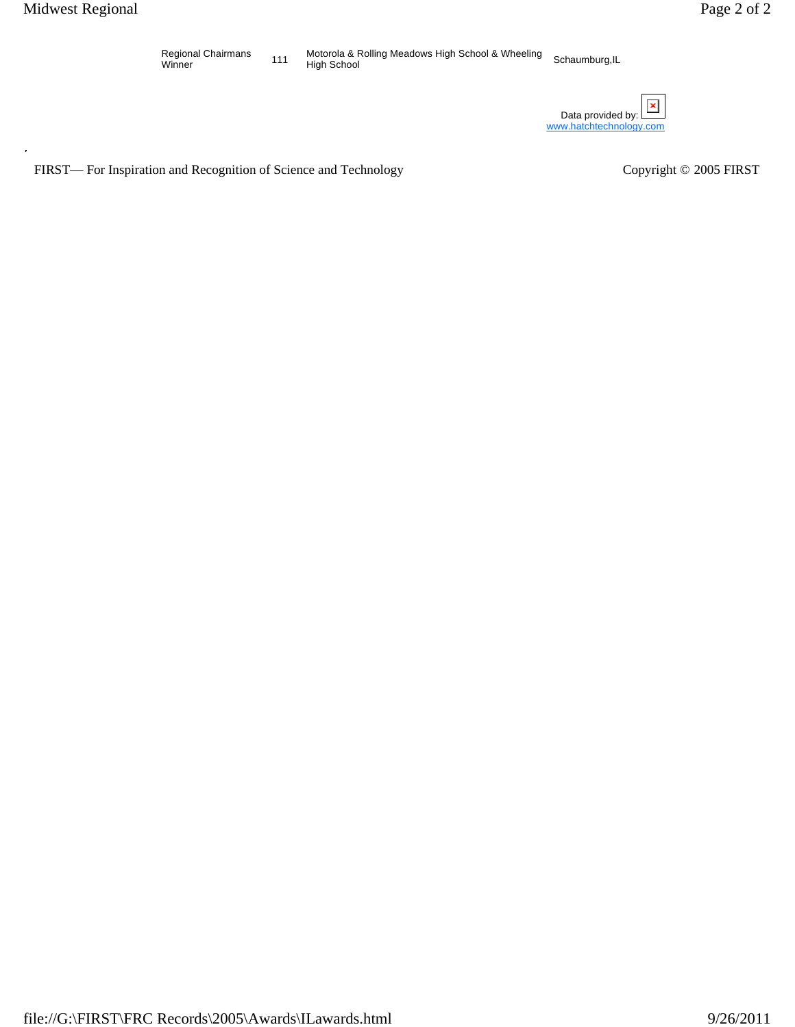

Regional Chairmans<br>Winner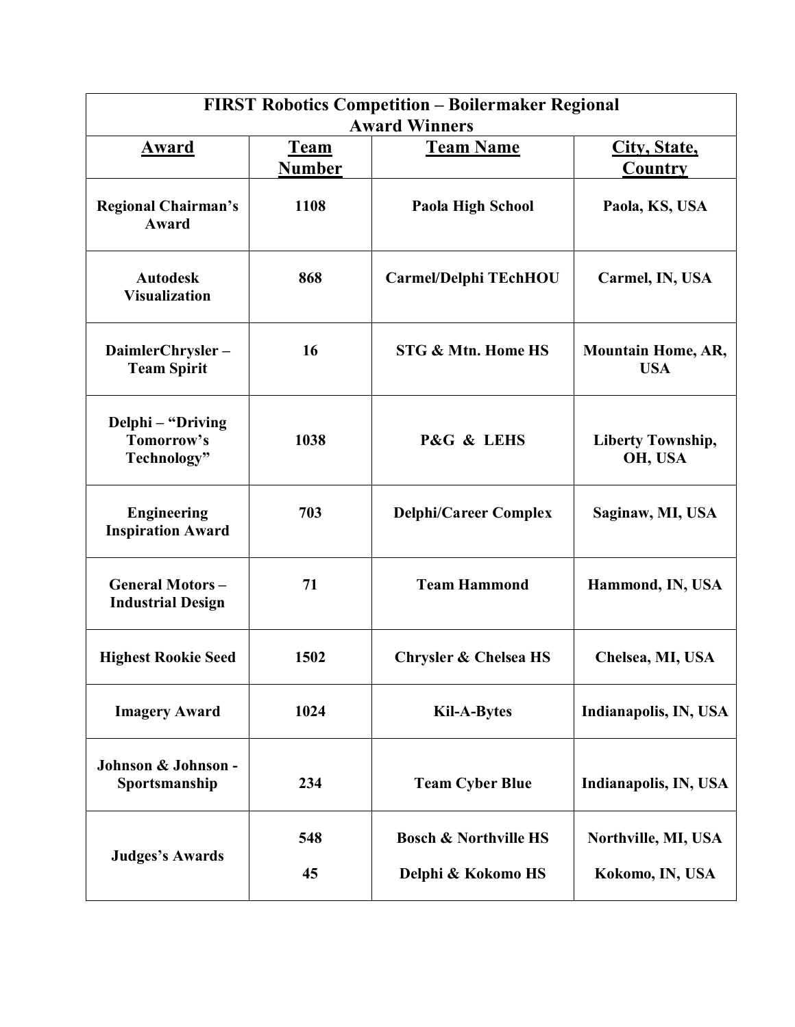| <b>FIRST Robotics Competition - Boilermaker Regional</b><br><b>Award Winners</b> |                                                  |                                  |                                         |  |  |
|----------------------------------------------------------------------------------|--------------------------------------------------|----------------------------------|-----------------------------------------|--|--|
| Award                                                                            | <b>Team Name</b><br><b>Team</b><br><b>Number</b> |                                  | City, State,<br>Country                 |  |  |
| <b>Regional Chairman's</b><br>Award                                              | 1108                                             | Paola High School                | Paola, KS, USA                          |  |  |
| <b>Autodesk</b><br><b>Visualization</b>                                          | 868                                              | <b>Carmel/Delphi TEchHOU</b>     | Carmel, IN, USA                         |  |  |
| DaimlerChrysler-<br><b>Team Spirit</b>                                           | 16                                               | STG & Mtn. Home HS               | <b>Mountain Home, AR,</b><br><b>USA</b> |  |  |
| Delphi – "Driving<br>Tomorrow's<br>Technology"                                   | 1038                                             | P&G & LEHS                       | <b>Liberty Township,</b><br>OH, USA     |  |  |
| <b>Engineering</b><br><b>Inspiration Award</b>                                   | 703                                              | <b>Delphi/Career Complex</b>     | Saginaw, MI, USA                        |  |  |
| <b>General Motors-</b><br><b>Industrial Design</b>                               | 71                                               | <b>Team Hammond</b>              | Hammond, IN, USA                        |  |  |
| <b>Highest Rookie Seed</b>                                                       | 1502                                             | <b>Chrysler &amp; Chelsea HS</b> | Chelsea, MI, USA                        |  |  |
| <b>Imagery Award</b>                                                             | 1024                                             | <b>Kil-A-Bytes</b>               | Indianapolis, IN, USA                   |  |  |
| Johnson & Johnson -<br>Sportsmanship                                             | 234                                              | <b>Team Cyber Blue</b>           | Indianapolis, IN, USA                   |  |  |
|                                                                                  | 548                                              | <b>Bosch &amp; Northville HS</b> | Northville, MI, USA                     |  |  |
| <b>Judges's Awards</b>                                                           | 45                                               | Delphi & Kokomo HS               | Kokomo, IN, USA                         |  |  |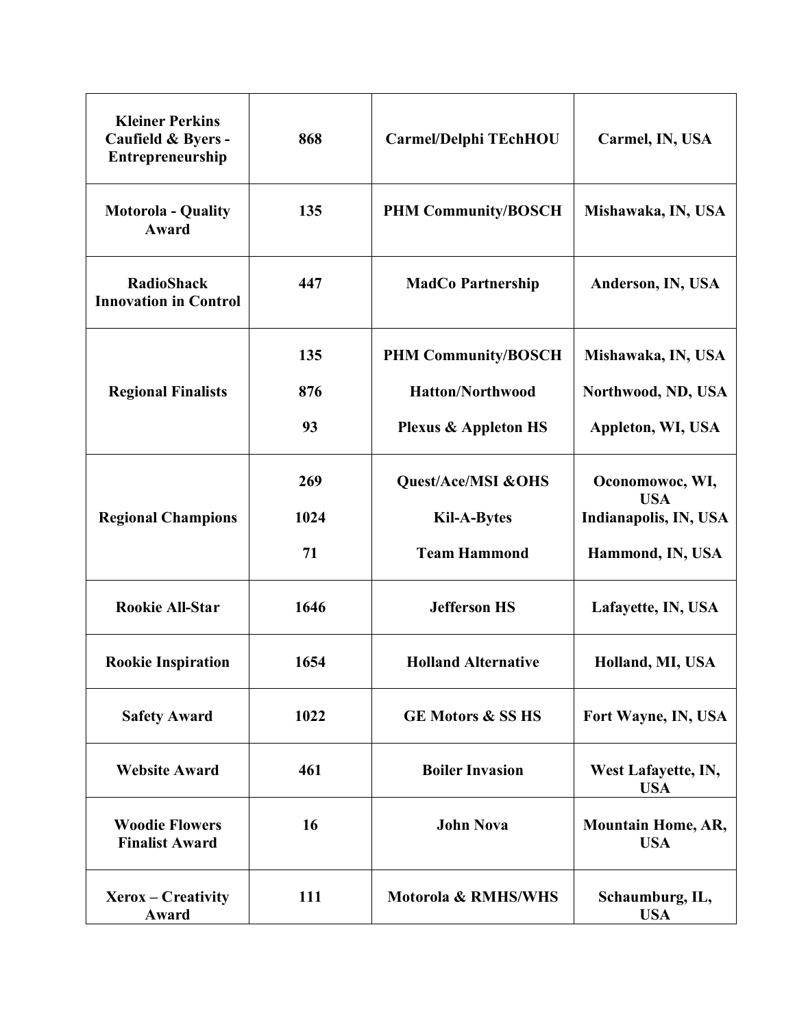| <b>Kleiner Perkins</b><br>Caufield & Byers -<br>Entrepreneurship | 868  | Carmel/Delphi TEchHOU           | Carmel, IN, USA                         |
|------------------------------------------------------------------|------|---------------------------------|-----------------------------------------|
| <b>Motorola - Quality</b><br>Award                               | 135  | <b>PHM Community/BOSCH</b>      | Mishawaka, IN, USA                      |
| <b>RadioShack</b><br><b>Innovation in Control</b>                | 447  | <b>MadCo Partnership</b>        | Anderson, IN, USA                       |
|                                                                  | 135  | <b>PHM Community/BOSCH</b>      | Mishawaka, IN, USA                      |
| <b>Regional Finalists</b>                                        | 876  | <b>Hatton/Northwood</b>         | Northwood, ND, USA                      |
|                                                                  | 93   | <b>Plexus &amp; Appleton HS</b> | Appleton, WI, USA                       |
|                                                                  | 269  | Quest/Ace/MSI &OHS              | Oconomowoc, WI,<br><b>USA</b>           |
| <b>Regional Champions</b>                                        | 1024 | <b>Kil-A-Bytes</b>              | Indianapolis, IN, USA                   |
|                                                                  | 71   | <b>Team Hammond</b>             | Hammond, IN, USA                        |
| <b>Rookie All-Star</b>                                           | 1646 | <b>Jefferson HS</b>             | Lafayette, IN, USA                      |
| <b>Rookie Inspiration</b>                                        | 1654 | <b>Holland Alternative</b>      | Holland, MI, USA                        |
| <b>Safety Award</b>                                              | 1022 | <b>GE Motors &amp; SS HS</b>    | Fort Wayne, IN, USA                     |
| <b>Website Award</b>                                             | 461  | <b>Boiler Invasion</b>          | West Lafayette, IN,<br><b>USA</b>       |
| <b>Woodie Flowers</b><br><b>Finalist Award</b>                   | 16   | <b>John Nova</b>                | <b>Mountain Home, AR,</b><br><b>USA</b> |
| Xerox – Creativity<br>Award                                      | 111  | Motorola & RMHS/WHS             | Schaumburg, IL,<br><b>USA</b>           |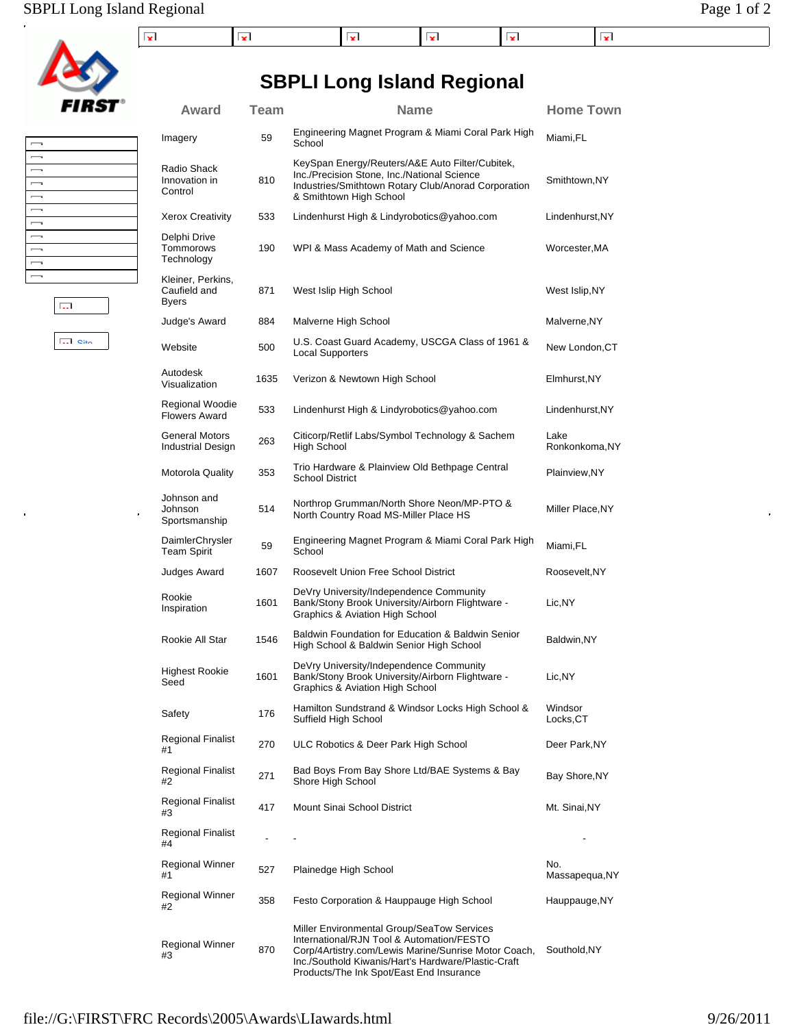## SBPLI Long Island Regional Page 1 of 2



| $\overline{\phantom{0}}$ |  |
|--------------------------|--|
| $\overline{\phantom{a}}$ |  |
| $\overline{\phantom{a}}$ |  |
| $\overline{\phantom{a}}$ |  |
| $\overline{\phantom{a}}$ |  |
| $\overline{\phantom{a}}$ |  |
| $\overline{\phantom{a}}$ |  |
| $\overline{\phantom{0}}$ |  |
| $\overline{\phantom{0}}$ |  |
| $\overline{\phantom{0}}$ |  |
| $\overline{\phantom{0}}$ |  |
|                          |  |

**Site** 

 $\ddot{\phantom{0}}$ 

 $\overline{\mathbb{Q}_2\mathbb{Z}}$ 

 $\ddot{ }$ 

| Award                                             | <b>Team</b> | <b>Name</b>                                                                                                                                                                                            | <b>Home Town</b>       |
|---------------------------------------------------|-------------|--------------------------------------------------------------------------------------------------------------------------------------------------------------------------------------------------------|------------------------|
| Imagery                                           | 59          | Engineering Magnet Program & Miami Coral Park High<br>School                                                                                                                                           | Miami,FL               |
| Radio Shack<br>Innovation in<br>Control           | 810         | KeySpan Energy/Reuters/A&E Auto Filter/Cubitek,<br>Inc./Precision Stone, Inc./National Science<br>Industries/Smithtown Rotary Club/Anorad Corporation<br>& Smithtown High School                       | Smithtown, NY          |
| <b>Xerox Creativity</b>                           | 533         | Lindenhurst High & Lindyrobotics@yahoo.com                                                                                                                                                             | Lindenhurst,NY         |
| Delphi Drive<br>Tommorows<br>Technology           | 190         | WPI & Mass Academy of Math and Science                                                                                                                                                                 | Worcester,MA           |
| Kleiner, Perkins,<br>Caufield and<br><b>Byers</b> | 871         | West Islip High School                                                                                                                                                                                 | West Islip,NY          |
| Judge's Award                                     | 884         | Malverne High School                                                                                                                                                                                   | Malverne,NY            |
| Website                                           | 500         | U.S. Coast Guard Academy, USCGA Class of 1961 &<br><b>Local Supporters</b>                                                                                                                             | New London, CT         |
| Autodesk<br>Visualization                         | 1635        | Verizon & Newtown High School                                                                                                                                                                          | Elmhurst.NY            |
| Regional Woodie<br><b>Flowers Award</b>           | 533         | Lindenhurst High & Lindyrobotics@yahoo.com                                                                                                                                                             | Lindenhurst, NY        |
| <b>General Motors</b><br>Industrial Design        | 263         | Citicorp/Retlif Labs/Symbol Technology & Sachem<br><b>High School</b>                                                                                                                                  | Lake<br>Ronkonkoma, NY |
| <b>Motorola Quality</b>                           | 353         | Trio Hardware & Plainview Old Bethpage Central<br><b>School District</b>                                                                                                                               | Plainview,NY           |
| Johnson and<br>Johnson<br>Sportsmanship           | 514         | Northrop Grumman/North Shore Neon/MP-PTO &<br>North Country Road MS-Miller Place HS                                                                                                                    | Miller Place, NY       |
| DaimlerChrysler<br><b>Team Spirit</b>             | 59          | Engineering Magnet Program & Miami Coral Park High<br>School                                                                                                                                           | Miami,FL               |
| Judges Award                                      | 1607        | Roosevelt Union Free School District                                                                                                                                                                   | Roosevelt, NY          |
| Rookie<br>Inspiration                             | 1601        | DeVry University/Independence Community<br>Bank/Stony Brook University/Airborn Flightware -<br><b>Graphics &amp; Aviation High School</b>                                                              | Lic,NY                 |
| Rookie All Star                                   | 1546        | Baldwin Foundation for Education & Baldwin Senior<br>High School & Baldwin Senior High School                                                                                                          | Baldwin,NY             |
| <b>Highest Rookie</b><br>Seed                     | 1601        | DeVry University/Independence Community<br>Bank/Stony Brook University/Airborn Flightware -<br>Graphics & Aviation High School                                                                         | Lic, NY                |
| Safety                                            | 176         | Hamilton Sundstrand & Windsor Locks High School &<br>Suffield High School                                                                                                                              | Windsor<br>Locks, CT   |
| Regional Finalist<br>#1                           | 270         | ULC Robotics & Deer Park High School                                                                                                                                                                   | Deer Park, NY          |
| Regional Finalist<br>#2                           | 271         | Bad Boys From Bay Shore Ltd/BAE Systems & Bay<br>Shore High School                                                                                                                                     | Bay Shore, NY          |
| <b>Regional Finalist</b><br>#3                    | 417         | Mount Sinai School District                                                                                                                                                                            | Mt. Sinai, NY          |
| Regional Finalist<br>#4                           |             |                                                                                                                                                                                                        |                        |
| Regional Winner<br>#1                             | 527         | Plainedge High School                                                                                                                                                                                  | No.<br>Massapequa, NY  |
| Regional Winner<br>#2                             | 358         | Festo Corporation & Hauppauge High School                                                                                                                                                              | Hauppauge, NY          |
| Regional Winner<br>#3                             | 870         | Miller Environmental Group/SeaTow Services<br>International/RJN Tool & Automation/FESTO<br>Corp/4Artistry.com/Lewis Marine/Sunrise Motor Coach,<br>Inc./Southold Kiwanis/Hart's Hardware/Plastic-Craft | Southold, NY           |

Products/The Ink Spot/East End Insurance

## **SBPLI Long Island Regional**

í.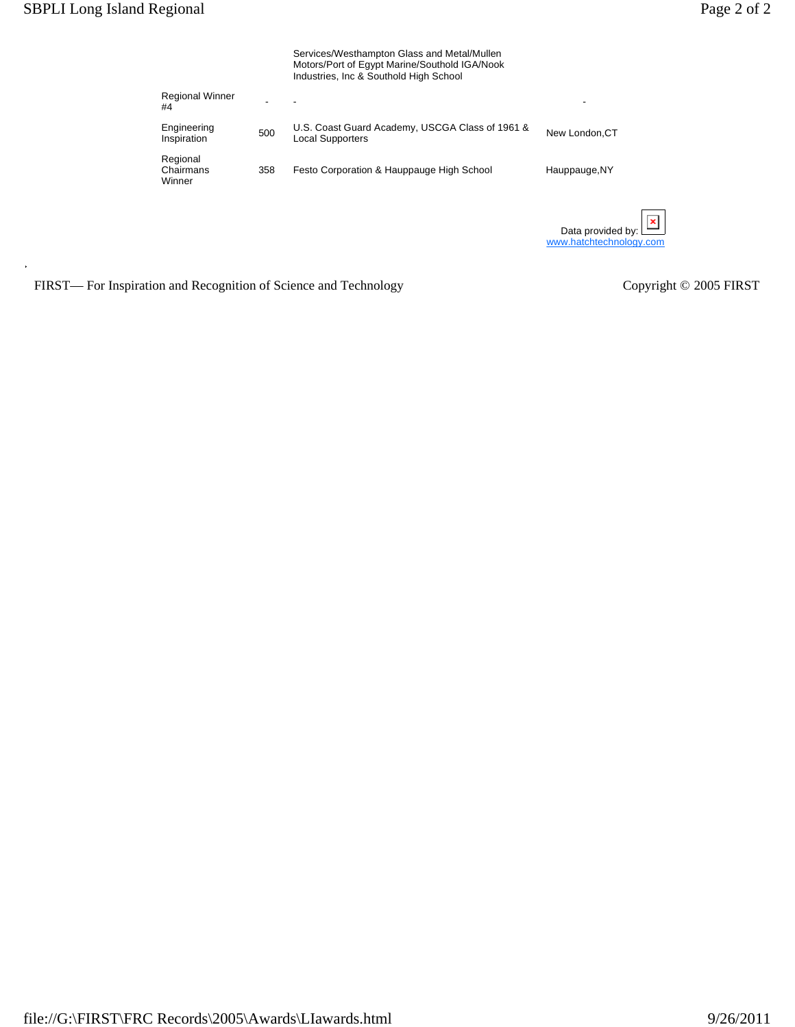|                                 |     | Services/Westhampton Glass and Metal/Mullen<br>Motors/Port of Egypt Marine/Southold IGA/Nook<br>Industries, Inc & Southold High School |                                              |
|---------------------------------|-----|----------------------------------------------------------------------------------------------------------------------------------------|----------------------------------------------|
| <b>Regional Winner</b><br>#4    |     |                                                                                                                                        |                                              |
| Engineering<br>Inspiration      | 500 | U.S. Coast Guard Academy, USCGA Class of 1961 &<br><b>Local Supporters</b>                                                             | New London.CT                                |
| Regional<br>Chairmans<br>Winner | 358 | Festo Corporation & Hauppauge High School                                                                                              | Hauppauge, NY                                |
|                                 |     |                                                                                                                                        | Data provided by:<br>www.hatchtechnology.com |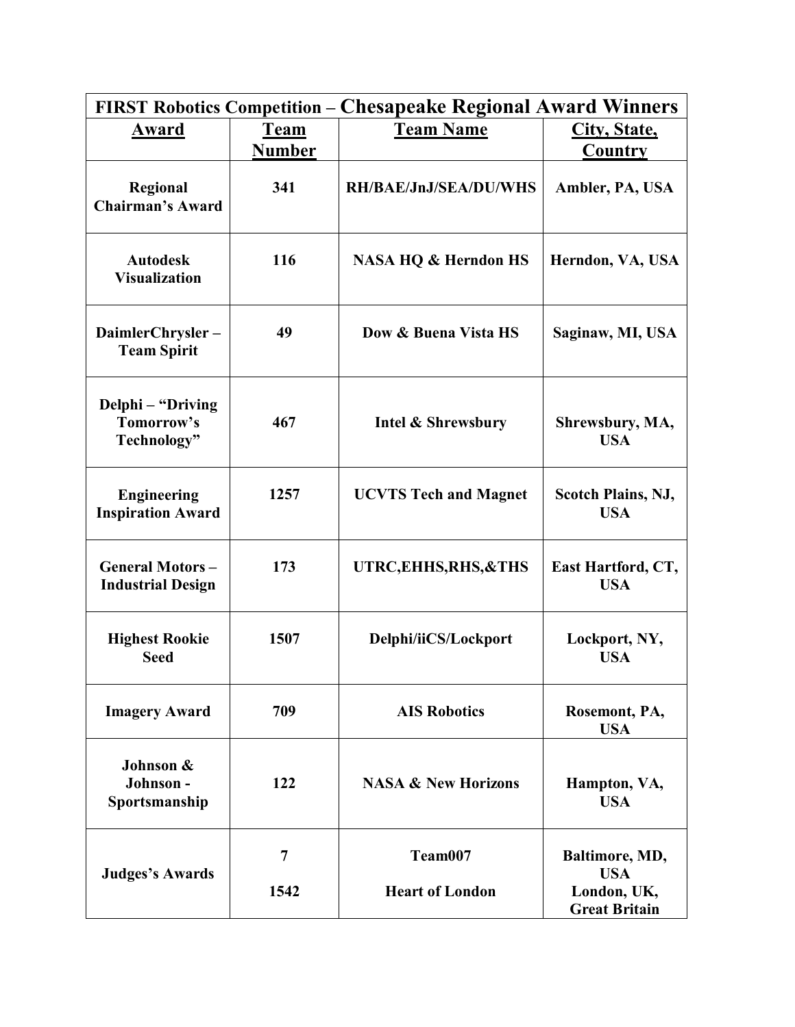|                                                    |                              | <b>FIRST Robotics Competition – Chesapeake Regional Award Winners</b> |                                         |  |  |
|----------------------------------------------------|------------------------------|-----------------------------------------------------------------------|-----------------------------------------|--|--|
| Award                                              | <b>Team</b><br><b>Number</b> | <b>Team Name</b>                                                      | City, State,<br>Country                 |  |  |
| Regional<br><b>Chairman's Award</b>                | 341                          | <b>RH/BAE/JnJ/SEA/DU/WHS</b>                                          | Ambler, PA, USA                         |  |  |
| <b>Autodesk</b><br><b>Visualization</b>            | 116                          | <b>NASA HQ &amp; Herndon HS</b>                                       | Herndon, VA, USA                        |  |  |
| DaimlerChrysler-<br><b>Team Spirit</b>             | 49                           | Dow & Buena Vista HS                                                  | Saginaw, MI, USA                        |  |  |
| Delphi – "Driving<br>Tomorrow's<br>Technology"     | 467                          | Intel & Shrewsbury                                                    | Shrewsbury, MA,<br><b>USA</b>           |  |  |
| <b>Engineering</b><br><b>Inspiration Award</b>     | 1257                         | <b>UCVTS Tech and Magnet</b>                                          | <b>Scotch Plains, NJ,</b><br><b>USA</b> |  |  |
| <b>General Motors-</b><br><b>Industrial Design</b> | 173                          | UTRC, EHHS, RHS, & THS                                                | East Hartford, CT,<br><b>USA</b>        |  |  |
| <b>Highest Rookie</b><br><b>Seed</b>               | 1507                         | Delphi/iiCS/Lockport                                                  | Lockport, NY,<br><b>USA</b>             |  |  |
| <b>Imagery Award</b>                               | 709                          | <b>AIS Robotics</b>                                                   | Rosemont, PA,<br><b>USA</b>             |  |  |
| Johnson &<br>Johnson -<br>Sportsmanship            | 122                          | <b>NASA &amp; New Horizons</b>                                        | Hampton, VA,<br><b>USA</b>              |  |  |
| <b>Judges's Awards</b>                             | $\overline{7}$               | Team007                                                               | Baltimore, MD,<br><b>USA</b>            |  |  |
|                                                    | 1542                         | <b>Heart of London</b>                                                | London, UK,<br><b>Great Britain</b>     |  |  |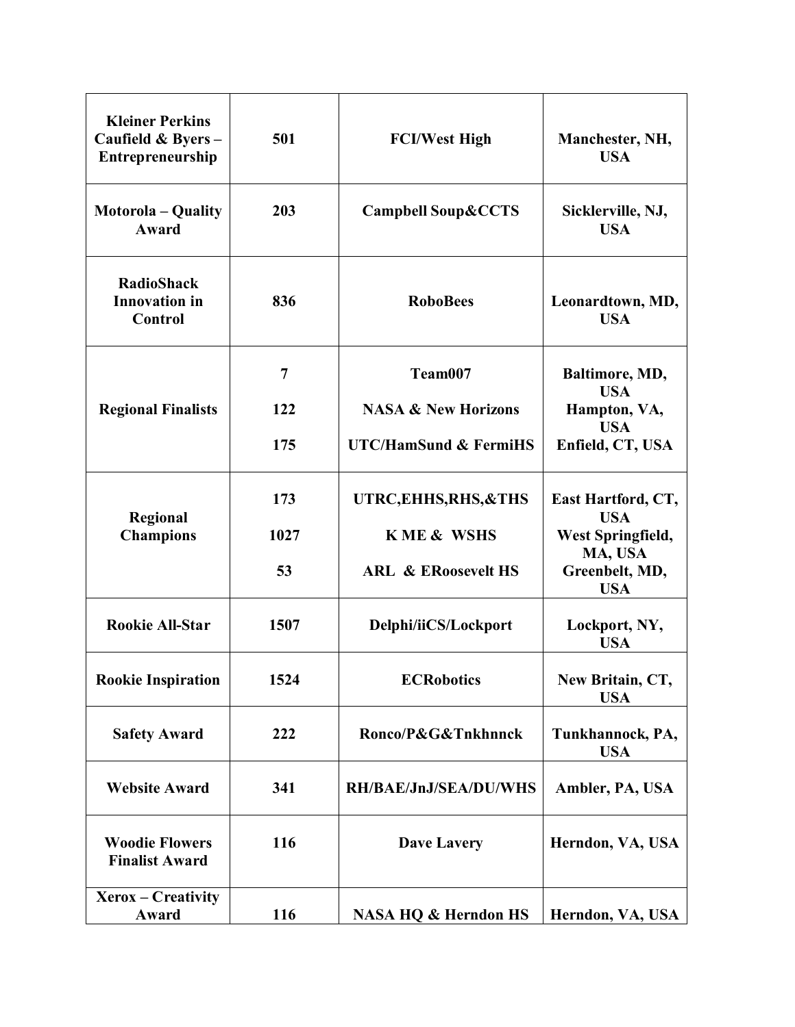| <b>Kleiner Perkins</b><br>Caufield & Byers-<br>Entrepreneurship | 501  | <b>FCI/West High</b>             | Manchester, NH,<br><b>USA</b>    |
|-----------------------------------------------------------------|------|----------------------------------|----------------------------------|
| <b>Motorola</b> – Quality<br>Award                              | 203  | <b>Campbell Soup &amp; CCTS</b>  | Sicklerville, NJ,<br><b>USA</b>  |
| <b>RadioShack</b><br><b>Innovation</b> in<br>Control            | 836  | <b>RoboBees</b>                  | Leonardtown, MD,<br><b>USA</b>   |
|                                                                 | 7    | Team007                          | Baltimore, MD,                   |
| <b>Regional Finalists</b>                                       | 122  | <b>NASA &amp; New Horizons</b>   | <b>USA</b><br>Hampton, VA,       |
|                                                                 | 175  | <b>UTC/HamSund &amp; FermiHS</b> | <b>USA</b><br>Enfield, CT, USA   |
| Regional                                                        | 173  | UTRC, EHHS, RHS, & THS           | East Hartford, CT,<br><b>USA</b> |
| <b>Champions</b>                                                | 1027 | <b>KME &amp; WSHS</b>            | West Springfield,<br>MA, USA     |
|                                                                 | 53   | <b>ARL &amp; ERoosevelt HS</b>   | Greenbelt, MD,<br><b>USA</b>     |
| <b>Rookie All-Star</b>                                          | 1507 | Delphi/iiCS/Lockport             | Lockport, NY,<br><b>USA</b>      |
| <b>Rookie Inspiration</b>                                       | 1524 | <b>ECRobotics</b>                | New Britain, CT,<br><b>USA</b>   |
| <b>Safety Award</b>                                             | 222  | Ronco/P&G&Tnkhnnck               | Tunkhannock, PA,<br><b>USA</b>   |
| <b>Website Award</b>                                            | 341  | <b>RH/BAE/JnJ/SEA/DU/WHS</b>     | Ambler, PA, USA                  |
| <b>Woodie Flowers</b><br><b>Finalist Award</b>                  | 116  | <b>Dave Lavery</b>               | Herndon, VA, USA                 |
| $Xerox - Creative$<br>Award                                     | 116  | <b>NASA HQ &amp; Herndon HS</b>  | Herndon, VA, USA                 |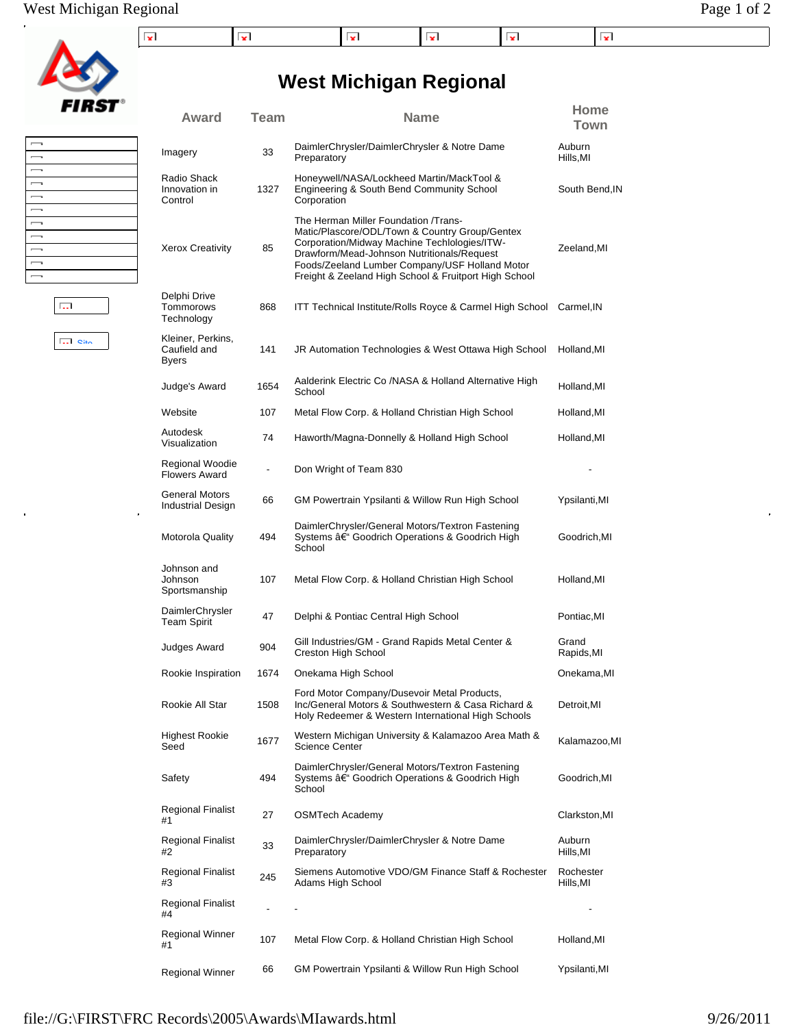**West Michigan Regional**

| FIRS |
|------|

 $\ddot{\phantom{0}}$ 

| $\overline{\phantom{a}}$ |  |
|--------------------------|--|
| $\overline{\phantom{a}}$ |  |
| $\overline{\phantom{a}}$ |  |
| $\overline{\phantom{a}}$ |  |
| $\overline{\phantom{0}}$ |  |
| $\overline{\phantom{a}}$ |  |
| $\overline{\phantom{a}}$ |  |
| $\overline{\phantom{0}}$ |  |
| $\overline{\phantom{a}}$ |  |
| $\overline{\phantom{0}}$ |  |
| $\overline{\phantom{0}}$ |  |
|                          |  |

Site

 $\ddot{\phantom{0}}$ 

 $\overline{\mathbb{Q}_2\mathbb{Z}}$ 

| Award                                             | <b>Team</b>              | <b>Name</b>                                                                                                                                                                                                                                                                                     | Home<br>Town          |
|---------------------------------------------------|--------------------------|-------------------------------------------------------------------------------------------------------------------------------------------------------------------------------------------------------------------------------------------------------------------------------------------------|-----------------------|
| Imagery                                           | 33                       | DaimlerChrysler/DaimlerChrysler & Notre Dame<br>Preparatory                                                                                                                                                                                                                                     | Auburn<br>Hills,MI    |
| Radio Shack<br>Innovation in<br>Control           | 1327                     | Honeywell/NASA/Lockheed Martin/MackTool &<br>Engineering & South Bend Community School<br>Corporation                                                                                                                                                                                           | South Bend, IN        |
| <b>Xerox Creativity</b>                           | 85                       | The Herman Miller Foundation /Trans-<br>Matic/Plascore/ODL/Town & Country Group/Gentex<br>Corporation/Midway Machine Techlologies/ITW-<br>Drawform/Mead-Johnson Nutritionals/Request<br>Foods/Zeeland Lumber Company/USF Holland Motor<br>Freight & Zeeland High School & Fruitport High School | Zeeland, MI           |
| Delphi Drive<br>Tommorows<br>Technology           | 868                      | ITT Technical Institute/Rolls Royce & Carmel High School                                                                                                                                                                                                                                        | Carmel, IN            |
| Kleiner, Perkins,<br>Caufield and<br><b>Byers</b> | 141                      | JR Automation Technologies & West Ottawa High School                                                                                                                                                                                                                                            | Holland, MI           |
| Judge's Award                                     | 1654                     | Aalderink Electric Co /NASA & Holland Alternative High<br>School                                                                                                                                                                                                                                | Holland, MI           |
| Website                                           | 107                      | Metal Flow Corp. & Holland Christian High School                                                                                                                                                                                                                                                | Holland, MI           |
| Autodesk<br>Visualization                         | 74                       | Haworth/Magna-Donnelly & Holland High School                                                                                                                                                                                                                                                    | Holland, MI           |
| Regional Woodie<br>Flowers Award                  | $\overline{\phantom{a}}$ | Don Wright of Team 830                                                                                                                                                                                                                                                                          |                       |
| <b>General Motors</b><br>Industrial Design        | 66                       | GM Powertrain Ypsilanti & Willow Run High School                                                                                                                                                                                                                                                | Ypsilanti,MI          |
| Motorola Quality                                  | 494                      | DaimlerChrysler/General Motors/Textron Fastening<br>Systems – Goodrich Operations & Goodrich High<br>School                                                                                                                                                                                     | Goodrich, MI          |
| Johnson and<br>Johnson<br>Sportsmanship           | 107                      | Metal Flow Corp. & Holland Christian High School                                                                                                                                                                                                                                                | Holland, MI           |
| DaimlerChrysler<br>Team Spirit                    | 47                       | Delphi & Pontiac Central High School                                                                                                                                                                                                                                                            | Pontiac, MI           |
| Judges Award                                      | 904                      | Gill Industries/GM - Grand Rapids Metal Center &<br>Creston High School                                                                                                                                                                                                                         | Grand<br>Rapids, MI   |
| Rookie Inspiration                                | 1674                     | Onekama High School                                                                                                                                                                                                                                                                             | Onekama,MI            |
| Rookie All Star                                   | 1508                     | Ford Motor Company/Dusevoir Metal Products,<br>Inc/General Motors & Southwestern & Casa Richard &<br>Holy Redeemer & Western International High Schools                                                                                                                                         | Detroit, MI           |
| Highest Rookie<br>Seed                            | 1677                     | Western Michigan University & Kalamazoo Area Math &<br>Science Center                                                                                                                                                                                                                           | Kalamazoo,MI          |
| Safety                                            | 494                      | DaimlerChrysler/General Motors/Textron Fastening<br>Systems – Goodrich Operations & Goodrich High<br>School                                                                                                                                                                                     | Goodrich, MI          |
| <b>Regional Finalist</b><br>#1                    | 27                       | OSMTech Academy                                                                                                                                                                                                                                                                                 | Clarkston, MI         |
| Regional Finalist<br>#2                           | 33                       | DaimlerChrysler/DaimlerChrysler & Notre Dame<br>Preparatory                                                                                                                                                                                                                                     | Auburn<br>Hills, MI   |
| Regional Finalist<br>#3                           | 245                      | Siemens Automotive VDO/GM Finance Staff & Rochester<br>Adams High School                                                                                                                                                                                                                        | Rochester<br>Hills,MI |
| Regional Finalist<br>#4                           |                          |                                                                                                                                                                                                                                                                                                 |                       |
| Regional Winner<br>#1                             | 107                      | Metal Flow Corp. & Holland Christian High School                                                                                                                                                                                                                                                | Holland, MI           |

Regional Winner 66 GM Powertrain Ypsilanti & Willow Run High School Ypsilanti,MI

í.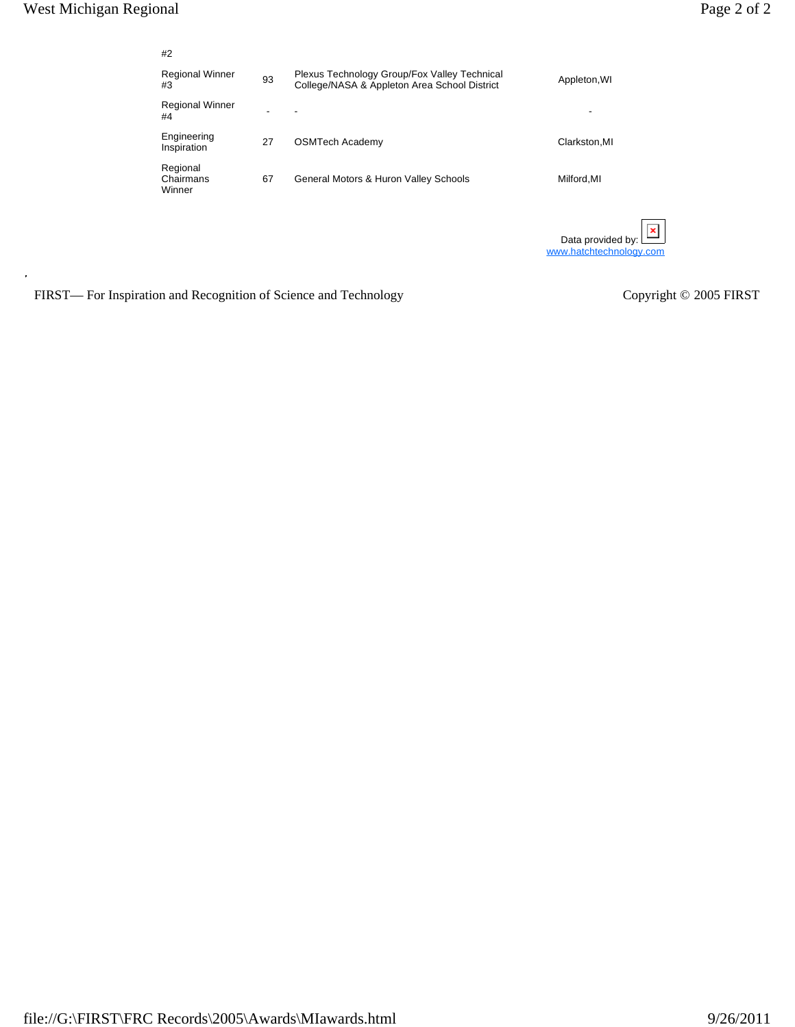| #2                              |    |                                                                                              |                                                                |
|---------------------------------|----|----------------------------------------------------------------------------------------------|----------------------------------------------------------------|
| <b>Regional Winner</b><br>#3    | 93 | Plexus Technology Group/Fox Valley Technical<br>College/NASA & Appleton Area School District | Appleton, WI                                                   |
| <b>Regional Winner</b><br>#4    |    | ٠                                                                                            | -                                                              |
| Engineering<br>Inspiration      | 27 | <b>OSMTech Academy</b>                                                                       | Clarkston, MI                                                  |
| Regional<br>Chairmans<br>Winner | 67 | General Motors & Huron Valley Schools                                                        | Milford, MI                                                    |
|                                 |    |                                                                                              | $\pmb{\times}$<br>Data provided by:<br>www.hatchtechnology.com |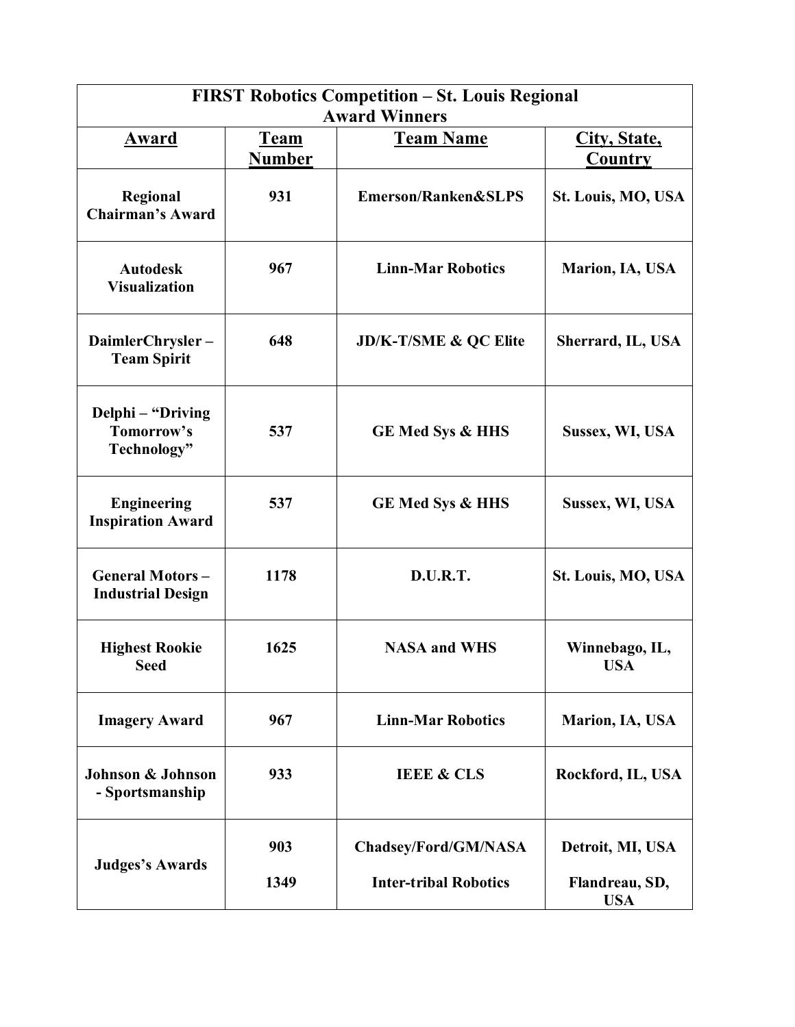|                                                    |                              | <b>FIRST Robotics Competition – St. Louis Regional</b><br><b>Award Winners</b> |                                |
|----------------------------------------------------|------------------------------|--------------------------------------------------------------------------------|--------------------------------|
| <u>Award</u>                                       | <b>Team</b><br><b>Number</b> | <b>Team Name</b>                                                               | City, State,<br><b>Country</b> |
| Regional<br><b>Chairman's Award</b>                | 931                          | Emerson/Ranken&SLPS                                                            | St. Louis, MO, USA             |
| <b>Autodesk</b><br><b>Visualization</b>            | 967                          | <b>Linn-Mar Robotics</b>                                                       | Marion, IA, USA                |
| DaimlerChrysler-<br><b>Team Spirit</b>             | 648                          | <b>JD/K-T/SME &amp; QC Elite</b>                                               | Sherrard, IL, USA              |
| Delphi – "Driving<br>Tomorrow's<br>Technology"     | 537                          | <b>GE Med Sys &amp; HHS</b>                                                    | Sussex, WI, USA                |
| <b>Engineering</b><br><b>Inspiration Award</b>     | 537                          | <b>GE Med Sys &amp; HHS</b>                                                    | Sussex, WI, USA                |
| <b>General Motors-</b><br><b>Industrial Design</b> | 1178                         | D.U.R.T.                                                                       | St. Louis, MO, USA             |
| <b>Highest Rookie</b><br><b>Seed</b>               | 1625                         | <b>NASA and WHS</b>                                                            | Winnebago, IL,<br>USA          |
| <b>Imagery Award</b>                               | 967                          | <b>Linn-Mar Robotics</b>                                                       | Marion, IA, USA                |
| <b>Johnson &amp; Johnson</b><br>- Sportsmanship    | 933                          | <b>IEEE &amp; CLS</b>                                                          | Rockford, IL, USA              |
| <b>Judges's Awards</b>                             | 903                          | Chadsey/Ford/GM/NASA                                                           | Detroit, MI, USA               |
|                                                    | 1349                         | <b>Inter-tribal Robotics</b>                                                   | Flandreau, SD,<br><b>USA</b>   |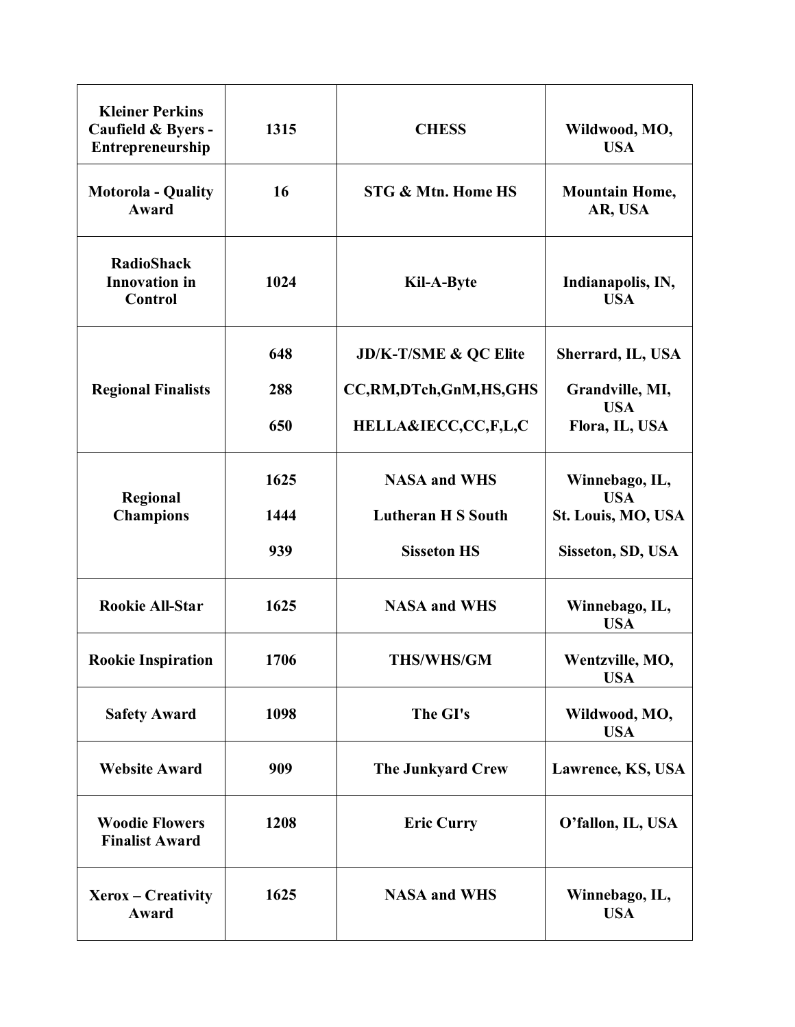| <b>Kleiner Perkins</b><br>Caufield & Byers -<br>Entrepreneurship | 1315 | <b>CHESS</b>                  | Wildwood, MO,<br><b>USA</b>      |
|------------------------------------------------------------------|------|-------------------------------|----------------------------------|
| <b>Motorola - Quality</b><br>Award                               | 16   | <b>STG &amp; Mtn. Home HS</b> | <b>Mountain Home,</b><br>AR, USA |
| <b>RadioShack</b><br><b>Innovation</b> in<br>Control             | 1024 | Kil-A-Byte                    | Indianapolis, IN,<br><b>USA</b>  |
|                                                                  | 648  | JD/K-T/SME & QC Elite         | Sherrard, IL, USA                |
| <b>Regional Finalists</b>                                        | 288  | CC,RM,DTch,GnM,HS,GHS         | Grandville, MI,                  |
|                                                                  | 650  | HELLA&IECC,CC,F,L,C           | <b>USA</b><br>Flora, IL, USA     |
| Regional                                                         | 1625 | <b>NASA and WHS</b>           | Winnebago, IL,<br><b>USA</b>     |
| <b>Champions</b>                                                 | 1444 | <b>Lutheran H S South</b>     | St. Louis, MO, USA               |
|                                                                  | 939  | <b>Sisseton HS</b>            | Sisseton, SD, USA                |
| <b>Rookie All-Star</b>                                           | 1625 | <b>NASA and WHS</b>           | Winnebago, IL,<br><b>USA</b>     |
| <b>Rookie Inspiration</b>                                        | 1706 | <b>THS/WHS/GM</b>             | Wentzville, MO,<br><b>USA</b>    |
| <b>Safety Award</b>                                              | 1098 | The GI's                      | Wildwood, MO,<br><b>USA</b>      |
| <b>Website Award</b>                                             | 909  | <b>The Junkyard Crew</b>      | Lawrence, KS, USA                |
| <b>Woodie Flowers</b><br><b>Finalist Award</b>                   | 1208 | <b>Eric Curry</b>             | O'fallon, IL, USA                |
| Xerox – Creativity<br>Award                                      | 1625 | <b>NASA and WHS</b>           | Winnebago, IL,<br><b>USA</b>     |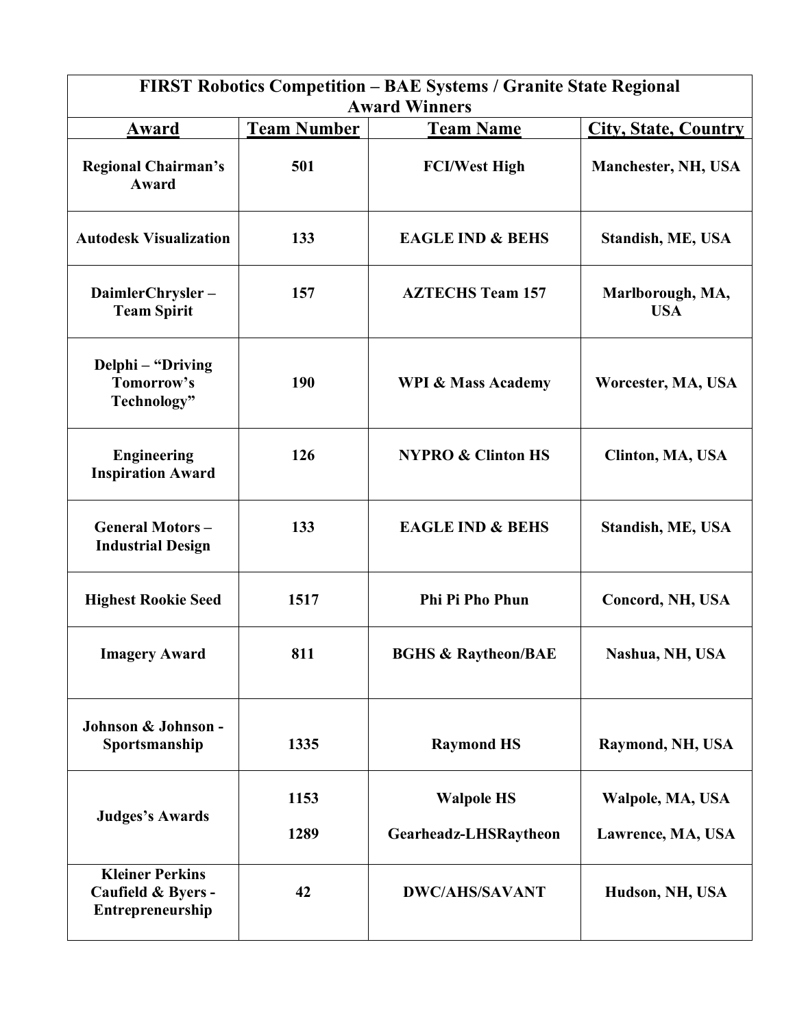|                                                                  |                    | <b>FIRST Robotics Competition - BAE Systems / Granite State Regional</b><br><b>Award Winners</b> |                                       |
|------------------------------------------------------------------|--------------------|--------------------------------------------------------------------------------------------------|---------------------------------------|
| Award                                                            | <b>Team Number</b> | <b>Team Name</b>                                                                                 | <b>City, State, Country</b>           |
| <b>Regional Chairman's</b><br>Award                              | 501                | <b>FCI/West High</b>                                                                             | Manchester, NH, USA                   |
| <b>Autodesk Visualization</b>                                    | 133                | <b>EAGLE IND &amp; BEHS</b>                                                                      | <b>Standish, ME, USA</b>              |
| DaimlerChrysler-<br><b>Team Spirit</b>                           | 157                | <b>AZTECHS Team 157</b>                                                                          | Marlborough, MA,<br><b>USA</b>        |
| Delphi – "Driving<br>Tomorrow's<br>Technology"                   | 190                | <b>WPI &amp; Mass Academy</b>                                                                    | Worcester, MA, USA                    |
| <b>Engineering</b><br><b>Inspiration Award</b>                   | 126                | <b>NYPRO &amp; Clinton HS</b>                                                                    | Clinton, MA, USA                      |
| <b>General Motors-</b><br><b>Industrial Design</b>               | 133                | <b>EAGLE IND &amp; BEHS</b>                                                                      | <b>Standish, ME, USA</b>              |
| <b>Highest Rookie Seed</b>                                       | 1517               | <b>Phi Pi Pho Phun</b>                                                                           | Concord, NH, USA                      |
| <b>Imagery Award</b>                                             | 811                | <b>BGHS &amp; Raytheon/BAE</b>                                                                   | Nashua, NH, USA                       |
| Johnson & Johnson -<br>Sportsmanship                             | 1335               | <b>Raymond HS</b>                                                                                | Raymond, NH, USA                      |
| <b>Judges's Awards</b>                                           | 1153<br>1289       | <b>Walpole HS</b><br>Gearheadz-LHSRaytheon                                                       | Walpole, MA, USA<br>Lawrence, MA, USA |
| <b>Kleiner Perkins</b><br>Caufield & Byers -<br>Entrepreneurship | 42                 | <b>DWC/AHS/SAVANT</b>                                                                            | Hudson, NH, USA                       |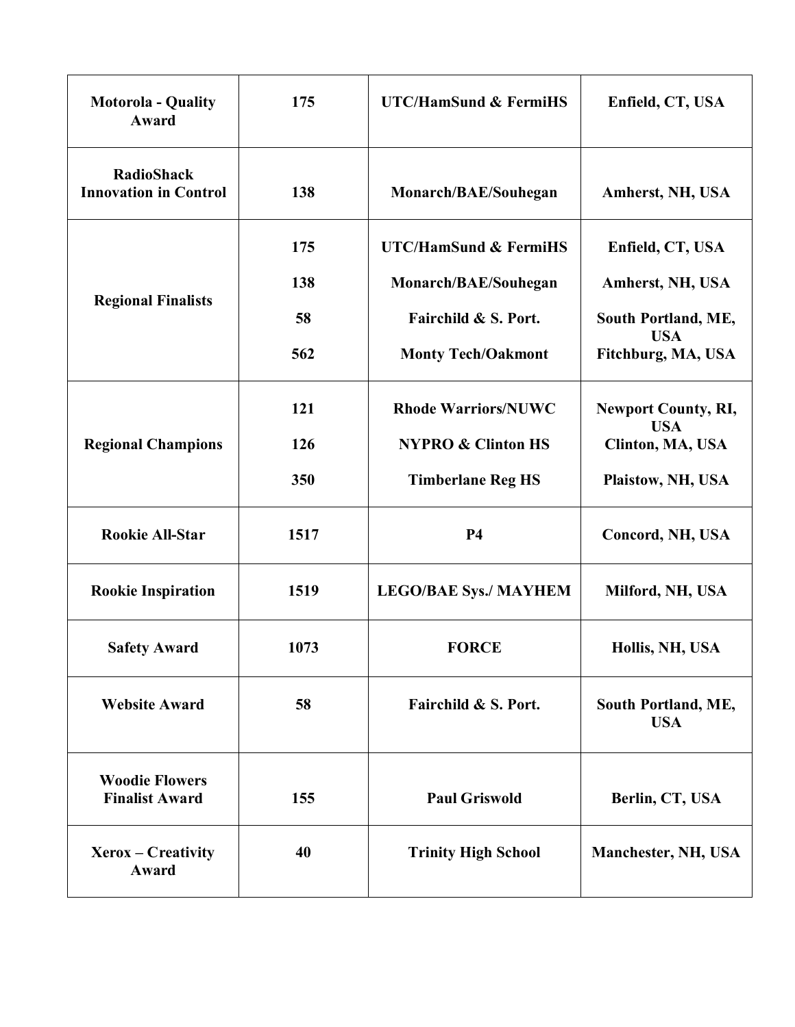| <b>Motorola - Quality</b><br><b>Award</b>                                        | 175  | <b>UTC/HamSund &amp; FermiHS</b> | Enfield, CT, USA                                                                                                                                                                                                      |
|----------------------------------------------------------------------------------|------|----------------------------------|-----------------------------------------------------------------------------------------------------------------------------------------------------------------------------------------------------------------------|
| <b>RadioShack</b><br><b>Innovation in Control</b>                                | 138  | Monarch/BAE/Souhegan             | Amherst, NH, USA                                                                                                                                                                                                      |
|                                                                                  | 175  | <b>UTC/HamSund &amp; FermiHS</b> | Enfield, CT, USA                                                                                                                                                                                                      |
|                                                                                  | 138  | Monarch/BAE/Souhegan             | Amherst, NH, USA                                                                                                                                                                                                      |
| <b>Regional Finalists</b><br><b>Regional Champions</b><br><b>Rookie All-Star</b> | 58   | Fairchild & S. Port.             | South Portland, ME,                                                                                                                                                                                                   |
|                                                                                  | 562  | <b>Monty Tech/Oakmont</b>        | <b>USA</b><br>Fitchburg, MA, USA<br><b>Newport County, RI,</b><br><b>USA</b><br>Clinton, MA, USA<br>Plaistow, NH, USA<br>Concord, NH, USA<br>Milford, NH, USA<br>Hollis, NH, USA<br>South Portland, ME,<br><b>USA</b> |
|                                                                                  | 121  | <b>Rhode Warriors/NUWC</b>       |                                                                                                                                                                                                                       |
|                                                                                  | 126  | <b>NYPRO &amp; Clinton HS</b>    |                                                                                                                                                                                                                       |
|                                                                                  | 350  | <b>Timberlane Reg HS</b>         |                                                                                                                                                                                                                       |
|                                                                                  | 1517 | <b>P4</b>                        |                                                                                                                                                                                                                       |
| <b>Rookie Inspiration</b>                                                        | 1519 | <b>LEGO/BAE Sys./ MAYHEM</b>     |                                                                                                                                                                                                                       |
| <b>Safety Award</b>                                                              | 1073 | <b>FORCE</b>                     |                                                                                                                                                                                                                       |
| <b>Website Award</b>                                                             | 58   | Fairchild & S. Port.             |                                                                                                                                                                                                                       |
| <b>Woodie Flowers</b><br><b>Finalist Award</b>                                   | 155  | <b>Paul Griswold</b>             | Berlin, CT, USA                                                                                                                                                                                                       |
| Xerox – Creativity<br>Award                                                      | 40   | <b>Trinity High School</b>       | Manchester, NH, USA                                                                                                                                                                                                   |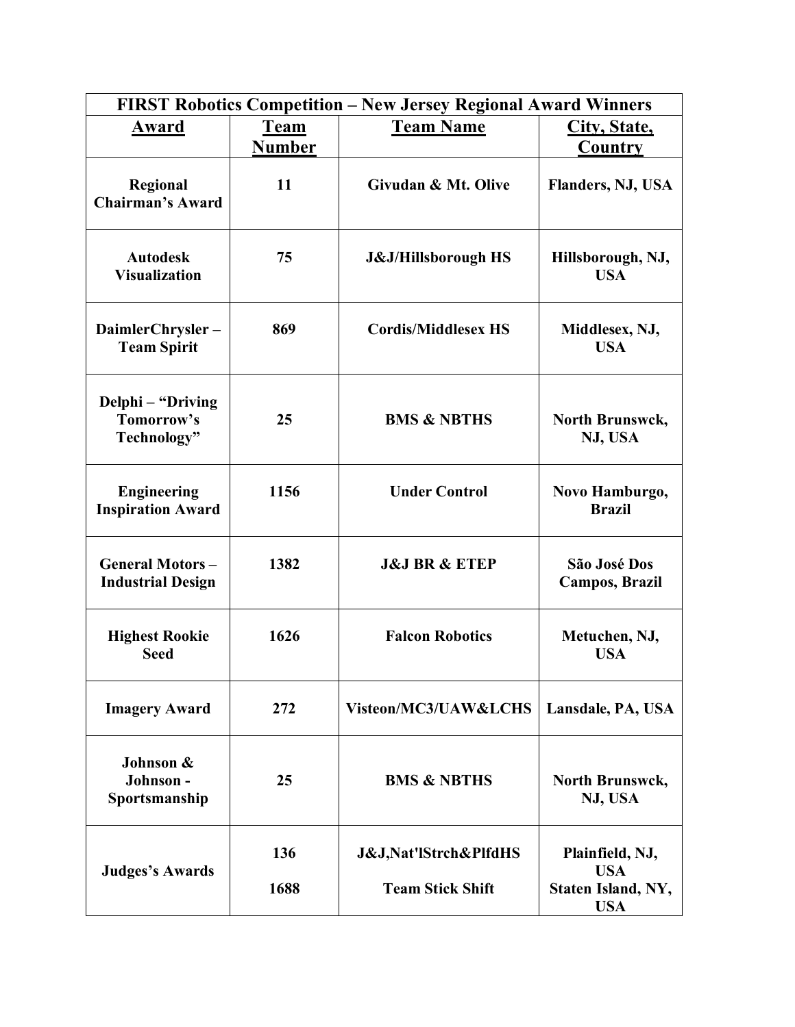|                                                    |               | FIRST Robotics Competition - New Jersey Regional Award Winners |                                       |
|----------------------------------------------------|---------------|----------------------------------------------------------------|---------------------------------------|
| Award                                              | <b>Team</b>   | <b>Team Name</b>                                               | City, State,                          |
|                                                    | <b>Number</b> |                                                                | Country                               |
| Regional<br><b>Chairman's Award</b>                | 11            | Givudan & Mt. Olive                                            | <b>Flanders, NJ, USA</b>              |
| <b>Autodesk</b><br><b>Visualization</b>            | 75            | <b>J&amp;J/Hillsborough HS</b>                                 | Hillsborough, NJ,<br><b>USA</b>       |
| DaimlerChrysler-<br><b>Team Spirit</b>             | 869           | <b>Cordis/Middlesex HS</b>                                     | Middlesex, NJ,<br><b>USA</b>          |
| Delphi - "Driving<br>Tomorrow's<br>Technology"     | 25            | <b>BMS &amp; NBTHS</b>                                         | North Brunswck,<br>NJ, USA            |
| <b>Engineering</b><br><b>Inspiration Award</b>     | 1156          | <b>Under Control</b>                                           | Novo Hamburgo,<br><b>Brazil</b>       |
| <b>General Motors-</b><br><b>Industrial Design</b> | 1382          | <b>J&amp;J BR &amp; ETEP</b>                                   | São José Dos<br><b>Campos, Brazil</b> |
| <b>Highest Rookie</b><br><b>Seed</b>               | 1626          | <b>Falcon Robotics</b>                                         | Metuchen, NJ,<br><b>USA</b>           |
| <b>Imagery Award</b>                               | 272           | Visteon/MC3/UAW&LCHS                                           | Lansdale, PA, USA                     |
| Johnson &<br>Johnson-<br>Sportsmanship             | 25            | <b>BMS &amp; NBTHS</b>                                         | North Brunswck,<br>NJ, USA            |
| <b>Judges's Awards</b>                             | 136           | <b>J&amp;J, Nat'lStrch&amp;PlfdHS</b>                          | Plainfield, NJ,<br><b>USA</b>         |
|                                                    | 1688          | <b>Team Stick Shift</b>                                        | Staten Island, NY,<br><b>USA</b>      |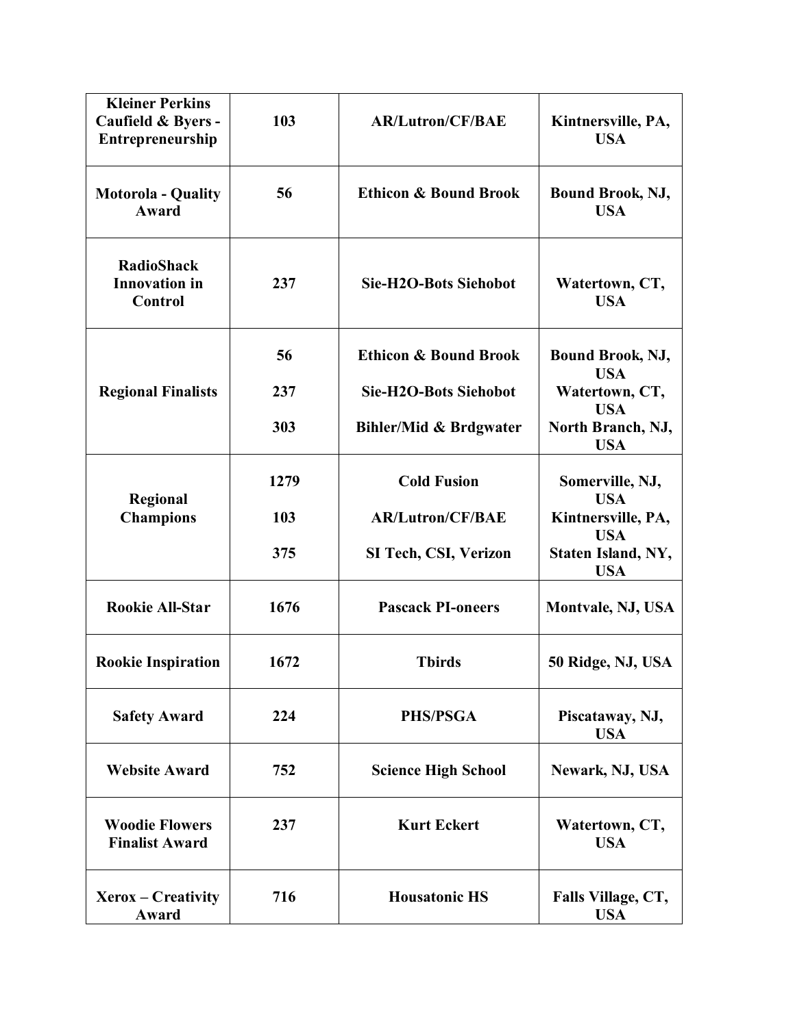| <b>Kleiner Perkins</b><br>Caufield & Byers -<br>Entrepreneurship | 103  | <b>AR/Lutron/CF/BAE</b>           | Kintnersville, PA,<br><b>USA</b>              |
|------------------------------------------------------------------|------|-----------------------------------|-----------------------------------------------|
| <b>Motorola - Quality</b><br><b>Award</b>                        | 56   | <b>Ethicon &amp; Bound Brook</b>  | <b>Bound Brook, NJ,</b><br><b>USA</b>         |
| <b>RadioShack</b><br><b>Innovation</b> in<br>Control             | 237  | <b>Sie-H2O-Bots Siehobot</b>      | Watertown, CT,<br><b>USA</b>                  |
|                                                                  | 56   | <b>Ethicon &amp; Bound Brook</b>  | <b>Bound Brook, NJ,</b><br><b>USA</b>         |
| <b>Regional Finalists</b>                                        | 237  | <b>Sie-H2O-Bots Siehobot</b>      | Watertown, CT,                                |
|                                                                  | 303  | <b>Bihler/Mid &amp; Brdgwater</b> | <b>USA</b><br>North Branch, NJ,<br><b>USA</b> |
| Regional                                                         | 1279 | <b>Cold Fusion</b>                | Somerville, NJ,<br><b>USA</b>                 |
| <b>Champions</b>                                                 | 103  | <b>AR/Lutron/CF/BAE</b>           | Kintnersville, PA,<br><b>USA</b>              |
|                                                                  | 375  | SI Tech, CSI, Verizon             | Staten Island, NY,<br><b>USA</b>              |
| <b>Rookie All-Star</b>                                           | 1676 | <b>Pascack PI-oneers</b>          | Montvale, NJ, USA                             |
| <b>Rookie Inspiration</b>                                        | 1672 | <b>Tbirds</b>                     | 50 Ridge, NJ, USA                             |
| <b>Safety Award</b>                                              | 224  | PHS/PSGA                          | Piscataway, NJ,<br><b>USA</b>                 |
| <b>Website Award</b>                                             | 752  | <b>Science High School</b>        | Newark, NJ, USA                               |
| <b>Woodie Flowers</b><br><b>Finalist Award</b>                   | 237  | <b>Kurt Eckert</b>                | Watertown, CT,<br><b>USA</b>                  |
| Xerox – Creativity<br>Award                                      | 716  | <b>Housatonic HS</b>              | Falls Village, CT,<br><b>USA</b>              |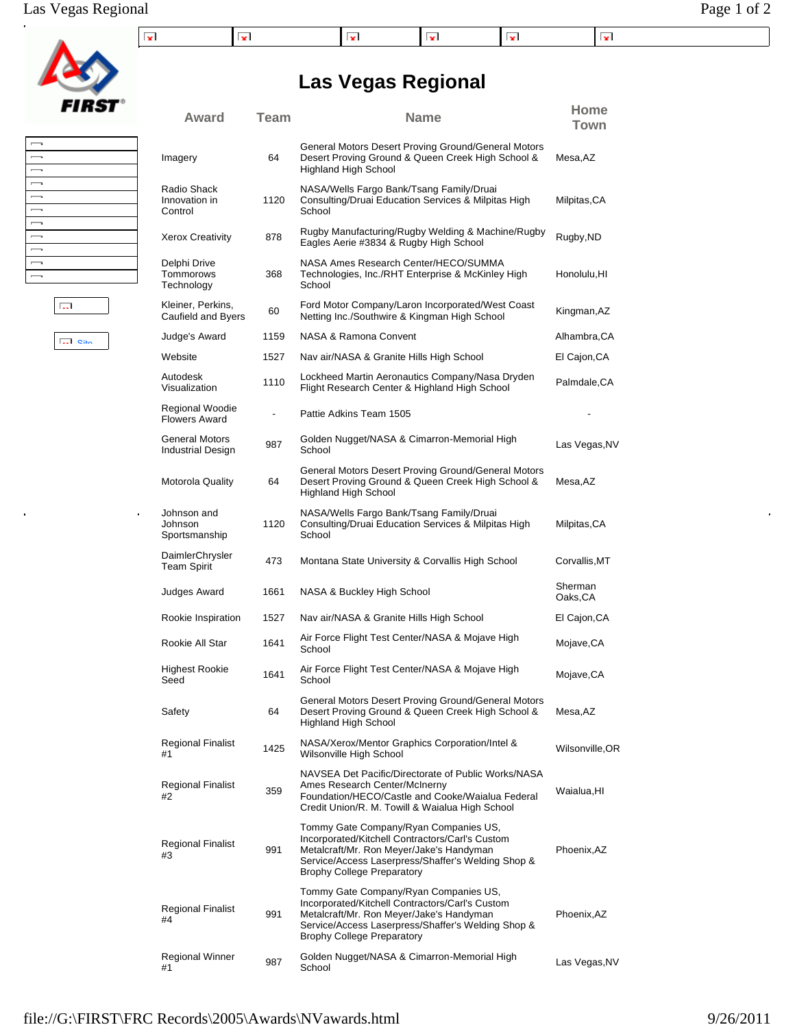|  |  |  | x | . . |
|--|--|--|---|-----|

**Las Vegas Regional**

**Award Team Name Home**

**Town**

| $\overline{\phantom{a}}$ |  |
|--------------------------|--|
| $\overline{\phantom{a}}$ |  |
| $\overline{\phantom{a}}$ |  |
| $\overline{\phantom{a}}$ |  |
| $\overline{\phantom{a}}$ |  |
| $\overline{\phantom{a}}$ |  |
| $\overline{\phantom{a}}$ |  |
| $\overline{\phantom{a}}$ |  |
| $\overline{\phantom{a}}$ |  |
| $\overline{\phantom{a}}$ |  |
| $\overline{\phantom{a}}$ |  |

**Site** 

 $\overline{\mathbb{R}^{n+1}}$ 

 $\frac{1}{2}$ 

| Imagery                                    | 64   | General Motors Desert Proving Ground/General Motors<br>Desert Proving Ground & Queen Creek High School &<br><b>Highland High School</b>                                                                                         | Mesa,AZ            |
|--------------------------------------------|------|---------------------------------------------------------------------------------------------------------------------------------------------------------------------------------------------------------------------------------|--------------------|
| Radio Shack<br>Innovation in<br>Control    | 1120 | NASA/Wells Fargo Bank/Tsang Family/Druai<br>Consulting/Druai Education Services & Milpitas High<br>School                                                                                                                       | Milpitas,CA        |
| Xerox Creativity                           | 878  | Rugby Manufacturing/Rugby Welding & Machine/Rugby<br>Eagles Aerie #3834 & Rugby High School                                                                                                                                     | Rugby, ND          |
| Delphi Drive<br>Tommorows<br>Technology    | 368  | NASA Ames Research Center/HECO/SUMMA<br>Technologies, Inc./RHT Enterprise & McKinley High<br>School                                                                                                                             | Honolulu, HI       |
| Kleiner, Perkins,<br>Caufield and Byers    | 60   | Ford Motor Company/Laron Incorporated/West Coast<br>Netting Inc./Southwire & Kingman High School                                                                                                                                | Kingman, AZ        |
| Judge's Award                              | 1159 | NASA & Ramona Convent                                                                                                                                                                                                           | Alhambra, CA       |
| Website                                    | 1527 | Nav air/NASA & Granite Hills High School                                                                                                                                                                                        | El Cajon, CA       |
| Autodesk<br>Visualization                  | 1110 | Lockheed Martin Aeronautics Company/Nasa Dryden<br>Flight Research Center & Highland High School                                                                                                                                | Palmdale,CA        |
| Regional Woodie<br><b>Flowers Award</b>    |      | Pattie Adkins Team 1505                                                                                                                                                                                                         |                    |
| General Motors<br><b>Industrial Design</b> | 987  | Golden Nugget/NASA & Cimarron-Memorial High<br>School                                                                                                                                                                           | Las Vegas,NV       |
| Motorola Quality                           | 64   | General Motors Desert Proving Ground/General Motors<br>Desert Proving Ground & Queen Creek High School &<br><b>Highland High School</b>                                                                                         | Mesa,AZ            |
| Johnson and<br>Johnson<br>Sportsmanship    | 1120 | NASA/Wells Fargo Bank/Tsang Family/Druai<br>Consulting/Druai Education Services & Milpitas High<br>School                                                                                                                       | Milpitas,CA        |
| DaimlerChrysler<br>Team Spirit             | 473  | Montana State University & Corvallis High School                                                                                                                                                                                | Corvallis, MT      |
| Judges Award                               | 1661 | NASA & Buckley High School                                                                                                                                                                                                      | Sherman<br>Oaks,CA |
| Rookie Inspiration                         | 1527 | Nav air/NASA & Granite Hills High School                                                                                                                                                                                        | El Cajon, CA       |
| Rookie All Star                            | 1641 | Air Force Flight Test Center/NASA & Mojave High<br>School                                                                                                                                                                       | Mojave,CA          |
| Highest Rookie<br>Seed                     | 1641 | Air Force Flight Test Center/NASA & Mojave High<br>School                                                                                                                                                                       | Mojave,CA          |
| Safety                                     | 64   | General Motors Desert Proving Ground/General Motors<br>Desert Proving Ground & Queen Creek High School &<br>Highland High School                                                                                                | Mesa, AZ           |
| Regional Finalist<br>#1                    | 1425 | NASA/Xerox/Mentor Graphics Corporation/Intel &<br>Wilsonville High School                                                                                                                                                       | Wilsonville,OR     |
| Regional Finalist<br>#2                    | 359  | NAVSEA Det Pacific/Directorate of Public Works/NASA<br>Ames Research Center/McInerny<br>Foundation/HECO/Castle and Cooke/Waialua Federal<br>Credit Union/R. M. Towill & Waialua High School                                     | Waialua,HI         |
| Regional Finalist<br>#3                    | 991  | Tommy Gate Company/Ryan Companies US,<br>Incorporated/Kitchell Contractors/Carl's Custom<br>Metalcraft/Mr. Ron Meyer/Jake's Handyman<br>Service/Access Laserpress/Shaffer's Welding Shop &<br><b>Brophy College Preparatory</b> | Phoenix, AZ        |
| Regional Finalist<br>#4                    | 991  | Tommy Gate Company/Ryan Companies US,<br>Incorporated/Kitchell Contractors/Carl's Custom<br>Metalcraft/Mr. Ron Meyer/Jake's Handyman<br>Service/Access Laserpress/Shaffer's Welding Shop &<br><b>Brophy College Preparatory</b> | Phoenix, AZ        |
|                                            |      |                                                                                                                                                                                                                                 |                    |

Regional Winner <sub>987</sub> Golden Nugget/NASA & Cimarron-Memorial High Las Vegas,NV<br>#1

Regional Winner

j.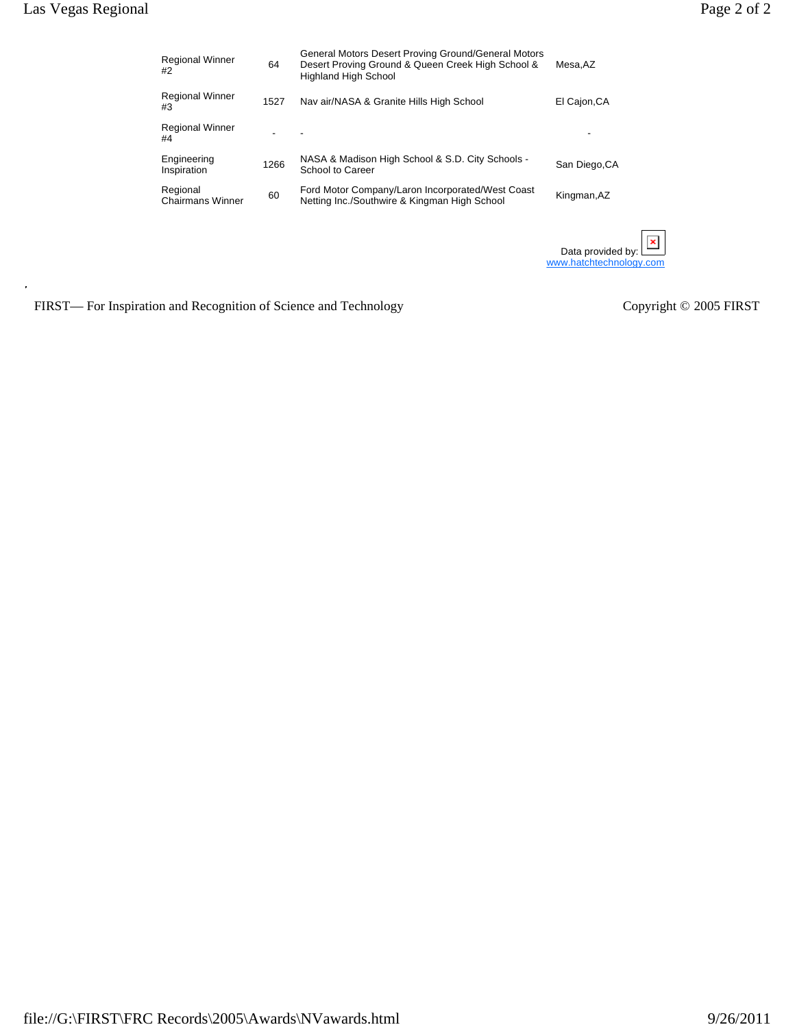| <b>Regional Winner</b><br>#2        | 64   | General Motors Desert Proving Ground/General Motors<br>Desert Proving Ground & Queen Creek High School &<br><b>Highland High School</b> | Mesa.AZ                 |
|-------------------------------------|------|-----------------------------------------------------------------------------------------------------------------------------------------|-------------------------|
| <b>Regional Winner</b><br>#3        | 1527 | Nav air/NASA & Granite Hills High School                                                                                                | El Cajon, CA            |
| <b>Regional Winner</b><br>#4        |      |                                                                                                                                         |                         |
| Engineering<br>Inspiration          | 1266 | NASA & Madison High School & S.D. City Schools -<br>School to Career                                                                    | San Diego, CA           |
| Regional<br><b>Chairmans Winner</b> | 60   | Ford Motor Company/Laron Incorporated/West Coast<br>Netting Inc./Southwire & Kingman High School                                        | Kingman, AZ             |
|                                     |      |                                                                                                                                         | Data provided by:       |
|                                     |      |                                                                                                                                         | www.hatchtechnology.com |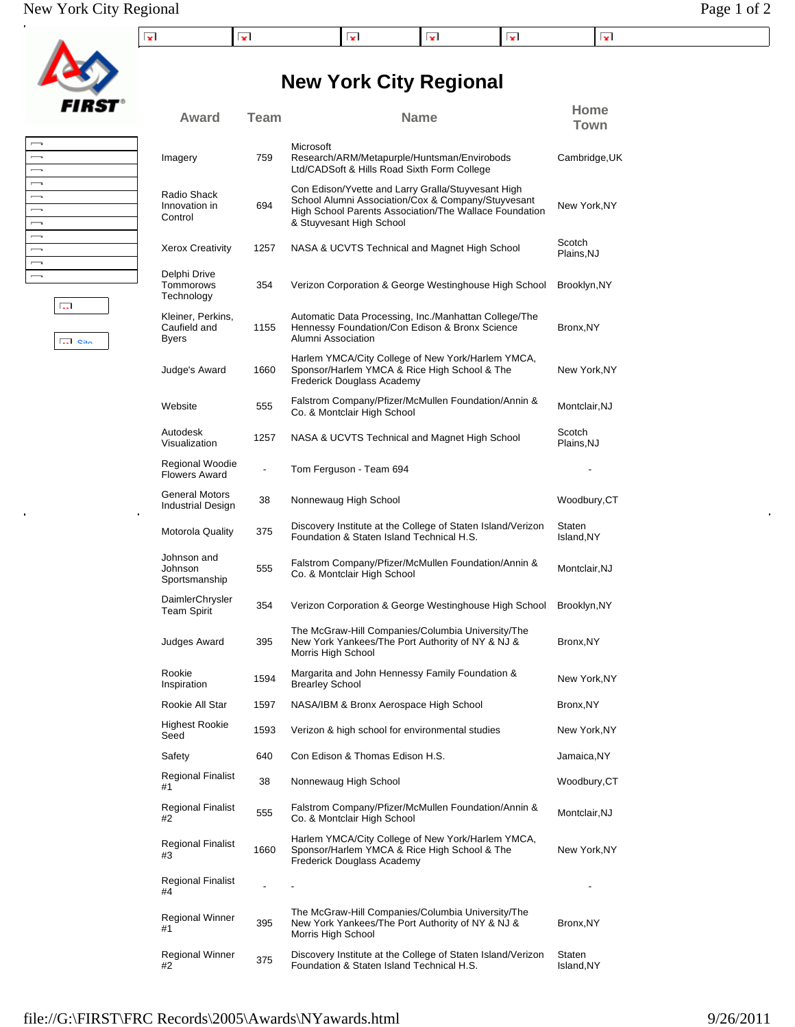| 31 i<br>c |
|-----------|

| $\overline{\phantom{0}}$ |  |
|--------------------------|--|
| $\overline{\phantom{a}}$ |  |
| $\overline{\phantom{a}}$ |  |
| $\overline{\phantom{a}}$ |  |
| $\overline{\phantom{0}}$ |  |
| $\overline{\phantom{a}}$ |  |
| $\overline{\phantom{a}}$ |  |
| $\overline{\phantom{0}}$ |  |
| $\overline{\phantom{a}}$ |  |
| $\overline{\phantom{0}}$ |  |
| $\overline{\phantom{0}}$ |  |
|                          |  |

**Site** 

 $\overline{\mathbb{R}^{n+1}}$ 

| Imagery                                    | 759  | Research/ARM/Metapurple/Huntsman/Envirobods<br>Ltd/CADSoft & Hills Road Sixth Form College                                                                                                     | Cambridge, UK        |
|--------------------------------------------|------|------------------------------------------------------------------------------------------------------------------------------------------------------------------------------------------------|----------------------|
| Radio Shack<br>Innovation in<br>Control    | 694  | Con Edison/Yvette and Larry Gralla/Stuyvesant High<br>School Alumni Association/Cox & Company/Stuyvesant<br>High School Parents Association/The Wallace Foundation<br>& Stuyvesant High School | New York, NY         |
| Xerox Creativity                           | 1257 | NASA & UCVTS Technical and Magnet High School                                                                                                                                                  | Scotch<br>Plains, NJ |
| Delphi Drive<br>Tommorows<br>Technoloav    | 354  | Verizon Corporation & George Westinghouse High School                                                                                                                                          | Brooklyn, NY         |
| Kleiner, Perkins,<br>Caufield and<br>Byers | 1155 | Automatic Data Processing, Inc./Manhattan College/The<br>Hennessy Foundation/Con Edison & Bronx Science<br>Alumni Association                                                                  | Bronx, NY            |
| Judge's Award                              | 1660 | Harlem YMCA/City College of New York/Harlem YMCA,<br>Sponsor/Harlem YMCA & Rice High School & The<br>Frederick Douglass Academy                                                                | New York,NY          |
| Website                                    | 555  | Falstrom Company/Pfizer/McMullen Foundation/Annin &<br>Co. & Montclair High School                                                                                                             | Montclair, NJ        |
| Autodesk<br>Visualization                  | 1257 | NASA & UCVTS Technical and Magnet High School                                                                                                                                                  | Scotch<br>Plains, NJ |
| Regional Woodie<br>Flowers Award           |      | Tom Ferguson - Team 694                                                                                                                                                                        |                      |
| General Motors<br>Industrial Design        | 38   | Nonnewaug High School                                                                                                                                                                          | Woodbury,CT          |
| Motorola Quality                           | 375  | Discovery Institute at the College of Staten Island/Verizon<br>Foundation & Staten Island Technical H.S.                                                                                       | Staten<br>Island, NY |
| Johnson and<br>Johnson<br>Sportsmanship    | 555  | Falstrom Company/Pfizer/McMullen Foundation/Annin &<br>Co. & Montclair High School                                                                                                             | Montclair, NJ        |
| DaimlerChrysler<br>Team Spirit             | 354  | Verizon Corporation & George Westinghouse High School                                                                                                                                          | Brooklyn, NY         |
| Judges Award                               | 395  | The McGraw-Hill Companies/Columbia University/The<br>New York Yankees/The Port Authority of NY & NJ &<br>Morris High School                                                                    | Bronx, NY            |
| Rookie<br>Inspiration                      | 1594 | Margarita and John Hennessy Family Foundation &<br><b>Brearley School</b>                                                                                                                      | New York, NY         |
| Rookie All Star                            | 1597 | NASA/IBM & Bronx Aerospace High School                                                                                                                                                         | Bronx, NY            |
| Highest Rookie<br>Seed                     | 1593 | Verizon & high school for environmental studies                                                                                                                                                | New York,NY          |
| Safety                                     | 640  | Con Edison & Thomas Edison H.S.                                                                                                                                                                | Jamaica,NY           |
| Regional Finalist<br>#1                    | 38   | Nonnewaug High School                                                                                                                                                                          | Woodbury,CT          |
| Regional Finalist<br>#2                    | 555  | Falstrom Company/Pfizer/McMullen Foundation/Annin &<br>Co. & Montclair High School                                                                                                             | Montclair, NJ        |
| Regional Finalist<br>#3                    | 1660 | Harlem YMCA/City College of New York/Harlem YMCA,<br>Sponsor/Harlem YMCA & Rice High School & The<br>Frederick Douglass Academy                                                                | New York, NY         |
| Regional Finalist<br>#4                    |      | $\overline{\phantom{a}}$                                                                                                                                                                       |                      |
| Regional Winner<br>#1                      | 395  | The McGraw-Hill Companies/Columbia University/The<br>New York Yankees/The Port Authority of NY & NJ &<br>Morris High School                                                                    | Bronx, NY            |

Regional Winner and Biscovery Institute at the College of Staten Island/Verizon<br>
#2 **Audre Condition & Staten Island Technical H.S.** 

## **New York City Regional**

**Award Team Name Home**

Microsoft

**Town**

Regional Winner

Staten Island,NY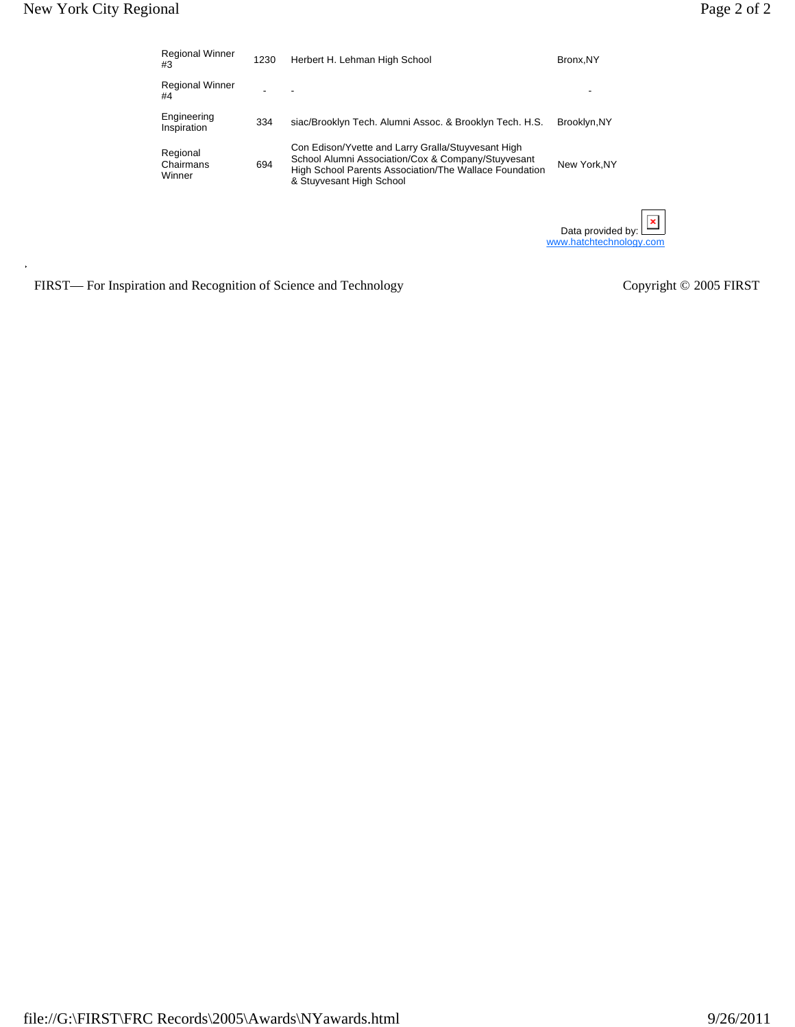| <b>Regional Winner</b><br>#3    | 1230 | Herbert H. Lehman High School                                                                                                                                                                  | Bronx, NY                                    |
|---------------------------------|------|------------------------------------------------------------------------------------------------------------------------------------------------------------------------------------------------|----------------------------------------------|
| <b>Regional Winner</b><br>#4    |      |                                                                                                                                                                                                |                                              |
| Engineering<br>Inspiration      | 334  | siac/Brooklyn Tech. Alumni Assoc. & Brooklyn Tech. H.S.                                                                                                                                        | Brooklyn, NY                                 |
| Regional<br>Chairmans<br>Winner | 694  | Con Edison/Yvette and Larry Gralla/Stuyvesant High<br>School Alumni Association/Cox & Company/Stuyvesant<br>High School Parents Association/The Wallace Foundation<br>& Stuyvesant High School | New York, NY                                 |
|                                 |      |                                                                                                                                                                                                | Data provided by:<br>www.hatchtechnology.com |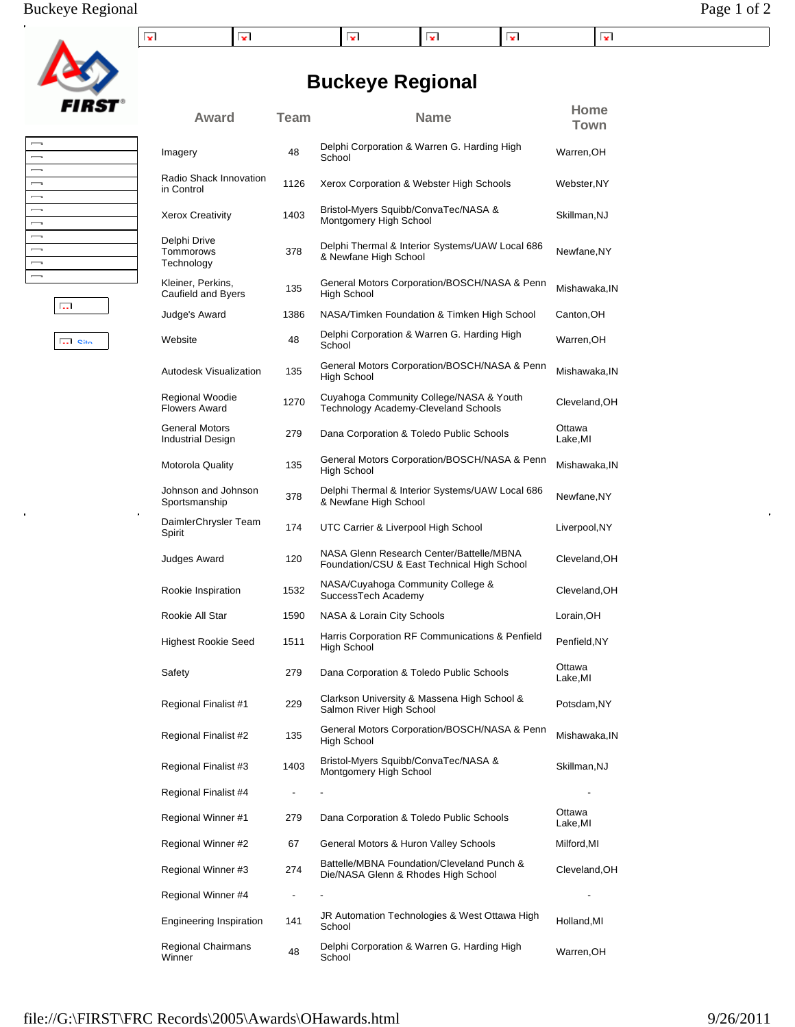| $\overline{\phantom{0}}$ |  |
|--------------------------|--|
| $\overline{\phantom{0}}$ |  |
| $\overline{\phantom{a}}$ |  |
| $\overline{\phantom{a}}$ |  |
| $\overline{\phantom{0}}$ |  |
| $\overline{\phantom{0}}$ |  |
| $\overline{\phantom{0}}$ |  |
| $\overline{\phantom{a}}$ |  |
| $\overline{\phantom{a}}$ |  |
|                          |  |
| $\overline{\phantom{0}}$ |  |
|                          |  |

| المحا |  |  |
|-------|--|--|

Site

|   | in<br>$\begin{array}{c} \hline \end{array}$ |
|---|---------------------------------------------|
|   |                                             |
|   | Xe                                          |
|   |                                             |
|   | De                                          |
|   | To                                          |
|   | Te                                          |
|   | Kle                                         |
|   | Ca                                          |
| T |                                             |

| Imagery                                 | 48   | Delphi Corporation & Warren G. Harding High<br>School                                   | Warren, OH        |
|-----------------------------------------|------|-----------------------------------------------------------------------------------------|-------------------|
| Radio Shack Innovation<br>in Control    | 1126 | Xerox Corporation & Webster High Schools                                                | Webster,NY        |
| <b>Xerox Creativity</b>                 | 1403 | Bristol-Myers Squibb/ConvaTec/NASA &<br>Montgomery High School                          | Skillman,NJ       |
| Delphi Drive<br>Tommorows<br>Technology | 378  | Delphi Thermal & Interior Systems/UAW Local 686<br>& Newfane High School                | Newfane, NY       |
| Kleiner, Perkins,<br>Caufield and Byers | 135  | General Motors Corporation/BOSCH/NASA & Penn<br>High School                             | Mishawaka, IN     |
| Judge's Award                           | 1386 | NASA/Timken Foundation & Timken High School                                             | Canton, OH        |
| Website                                 | 48   | Delphi Corporation & Warren G. Harding High<br>School                                   | Warren, OH        |
| Autodesk Visualization                  | 135  | General Motors Corporation/BOSCH/NASA & Penn<br>High School                             | Mishawaka, IN     |
| Regional Woodie<br><b>Flowers Award</b> | 1270 | Cuyahoga Community College/NASA & Youth<br>Technology Academy-Cleveland Schools         | Cleveland, OH     |
| General Motors<br>Industrial Design     | 279  | Dana Corporation & Toledo Public Schools                                                | Ottawa<br>Lake,MI |
| Motorola Quality                        | 135  | General Motors Corporation/BOSCH/NASA & Penn<br><b>High School</b>                      | Mishawaka, IN     |
| Johnson and Johnson<br>Sportsmanship    | 378  | Delphi Thermal & Interior Systems/UAW Local 686<br>& Newfane High School                | Newfane, NY       |
| DaimlerChrysler Team<br>Spirit          | 174  | UTC Carrier & Liverpool High School                                                     | Liverpool, NY     |
| Judges Award                            | 120  | NASA Glenn Research Center/Battelle/MBNA<br>Foundation/CSU & East Technical High School | Cleveland, OH     |
| Rookie Inspiration                      | 1532 | NASA/Cuyahoga Community College &<br>SuccessTech Academy                                | Cleveland, OH     |
| Rookie All Star                         | 1590 | NASA & Lorain City Schools                                                              | Lorain, OH        |
| Highest Rookie Seed                     | 1511 | Harris Corporation RF Communications & Penfield<br>High School                          | Penfield, NY      |
| Safety                                  | 279  | Dana Corporation & Toledo Public Schools                                                | Ottawa<br>Lake,MI |
| Regional Finalist #1                    | 229  | Clarkson University & Massena High School &<br>Salmon River High School                 | Potsdam, NY       |
| Regional Finalist #2                    | 135  | General Motors Corporation/BOSCH/NASA & Penn<br>High School                             | Mishawaka, IN     |
| Regional Finalist #3                    | 1403 | Bristol-Myers Squibb/ConvaTec/NASA &<br>Montgomery High School                          | Skillman, NJ      |
| Regional Finalist #4                    |      |                                                                                         |                   |
| Regional Winner #1                      | 279  | Dana Corporation & Toledo Public Schools                                                | Ottawa<br>Lake,MI |
| Regional Winner #2                      | 67   | General Motors & Huron Valley Schools                                                   | Milford, MI       |
| Regional Winner #3                      | 274  | Battelle/MBNA Foundation/Cleveland Punch &<br>Die/NASA Glenn & Rhodes High School       | Cleveland, OH     |
| Regional Winner #4                      |      |                                                                                         |                   |
| <b>Engineering Inspiration</b>          | 141  | JR Automation Technologies & West Ottawa High<br>School                                 | Holland, MI       |
| Regional Chairmans<br>Winner            | 48   | Delphi Corporation & Warren G. Harding High<br>School                                   | Warren, OH        |

**Award Team Name Home**

**Town**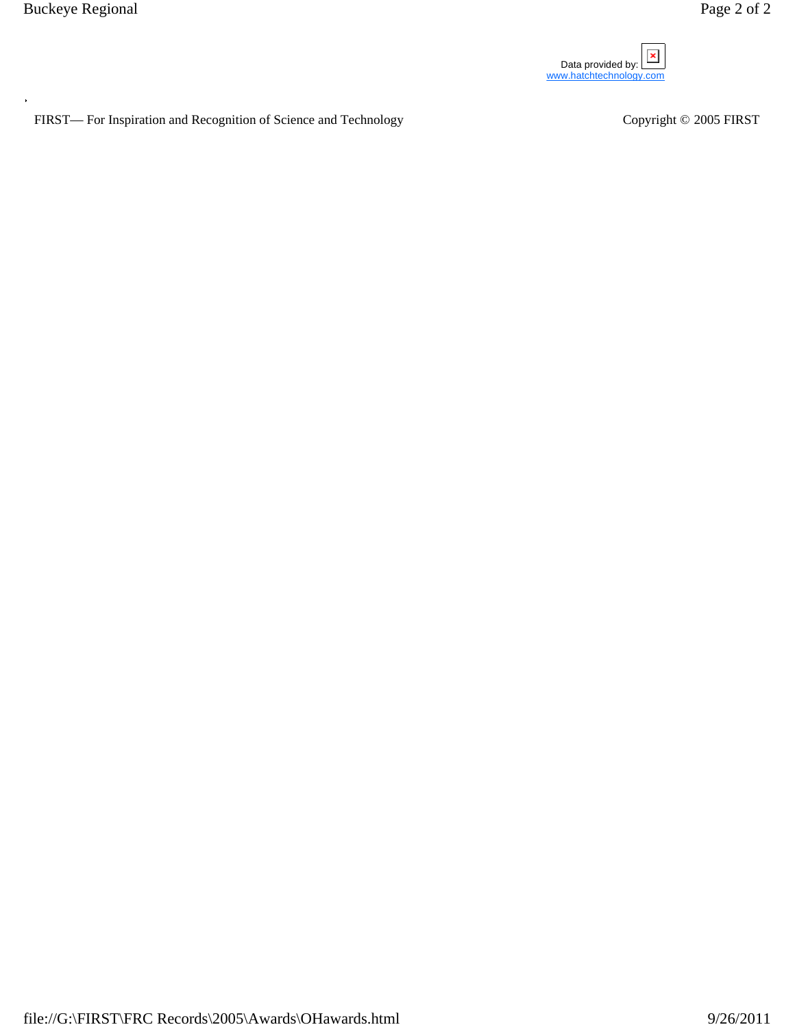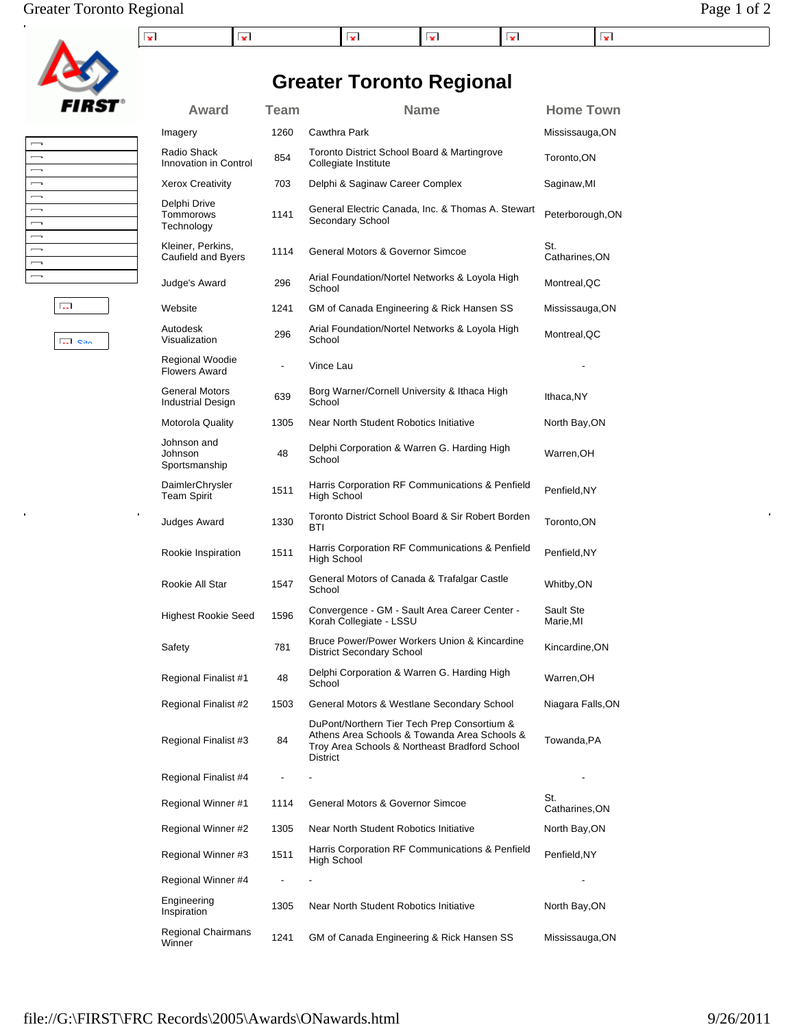## Greater Toronto Regional Page 1 of 2

| . |  |  |  |
|---|--|--|--|

**Greater Toronto Regional**

Award Team **Name** Name Home Town



#### $\overline{\phantom{0}}$  $\overline{\phantom{0}}$ J J  $\overline{\phantom{0}}$  $\begin{array}{c} \hline \end{array}$  $\overline{\phantom{a}}$  $\equiv$  $\begin{array}{c} \hline \end{array}$

**Site** 

 $\overline{12.1}$ 

 $\ddot{\phantom{a}}$ 

| Imagery                                 | 1260 | <b>Cawthra Park</b>                                                                                                                                      | Mississauga,ON         |
|-----------------------------------------|------|----------------------------------------------------------------------------------------------------------------------------------------------------------|------------------------|
| Radio Shack<br>Innovation in Control    | 854  | Toronto District School Board & Martingrove<br>Collegiate Institute                                                                                      | Toronto, ON            |
| <b>Xerox Creativity</b>                 | 703  | Delphi & Saginaw Career Complex                                                                                                                          | Saginaw,MI             |
| Delphi Drive<br>Tommorows<br>Technology | 1141 | General Electric Canada, Inc. & Thomas A. Stewart<br>Secondary School                                                                                    | Peterborough, ON       |
| Kleiner, Perkins,<br>Caufield and Byers | 1114 | General Motors & Governor Simcoe                                                                                                                         | St.<br>Catharines, ON  |
| Judge's Award                           | 296  | Arial Foundation/Nortel Networks & Loyola High<br>School                                                                                                 | Montreal, QC           |
| Website                                 | 1241 | GM of Canada Engineering & Rick Hansen SS                                                                                                                | Mississauga,ON         |
| Autodesk<br>Visualization               | 296  | Arial Foundation/Nortel Networks & Loyola High<br>School                                                                                                 | Montreal,QC            |
| Regional Woodie<br><b>Flowers Award</b> |      | Vince Lau                                                                                                                                                |                        |
| General Motors<br>Industrial Design     | 639  | Borg Warner/Cornell University & Ithaca High<br>School                                                                                                   | Ithaca, NY             |
| <b>Motorola Quality</b>                 | 1305 | Near North Student Robotics Initiative                                                                                                                   | North Bay, ON          |
| Johnson and<br>Johnson<br>Sportsmanship | 48   | Delphi Corporation & Warren G. Harding High<br>School                                                                                                    | Warren, OH             |
| DaimlerChrysler<br><b>Team Spirit</b>   | 1511 | Harris Corporation RF Communications & Penfield<br>High School                                                                                           | Penfield, NY           |
| Judges Award                            | 1330 | Toronto District School Board & Sir Robert Borden<br>BTI                                                                                                 | Toronto, ON            |
| Rookie Inspiration                      | 1511 | Harris Corporation RF Communications & Penfield<br>High School                                                                                           | Penfield, NY           |
| Rookie All Star                         | 1547 | General Motors of Canada & Trafalgar Castle<br>School                                                                                                    | Whitby,ON              |
| <b>Highest Rookie Seed</b>              | 1596 | Convergence - GM - Sault Area Career Center -<br>Korah Collegiate - LSSU                                                                                 | Sault Ste<br>Marie, MI |
| Safety                                  | 781  | Bruce Power/Power Workers Union & Kincardine<br><b>District Secondary School</b>                                                                         | Kincardine,ON          |
| Regional Finalist #1                    | 48   | Delphi Corporation & Warren G. Harding High<br>School                                                                                                    | Warren,OH              |
| Regional Finalist #2                    | 1503 | General Motors & Westlane Secondary School                                                                                                               | Niagara Falls,ON       |
| Regional Finalist #3                    | 84   | DuPont/Northern Tier Tech Prep Consortium &<br>Athens Area Schools & Towanda Area Schools &<br>Troy Area Schools & Northeast Bradford School<br>District | Towanda,PA             |
| Regional Finalist #4                    |      |                                                                                                                                                          |                        |
| Regional Winner #1                      | 1114 | General Motors & Governor Simcoe                                                                                                                         | St.<br>Catharines,ON   |
| Regional Winner #2                      | 1305 | Near North Student Robotics Initiative                                                                                                                   | North Bay,ON           |
| Regional Winner #3                      | 1511 | Harris Corporation RF Communications & Penfield<br>High School                                                                                           | Penfield, NY           |
| Regional Winner #4                      |      |                                                                                                                                                          |                        |
| Engineering<br>Inspiration              | 1305 | Near North Student Robotics Initiative                                                                                                                   | North Bay,ON           |
| Regional Chairmans<br>Winner            | 1241 | GM of Canada Engineering & Rick Hansen SS                                                                                                                | Mississauga,ON         |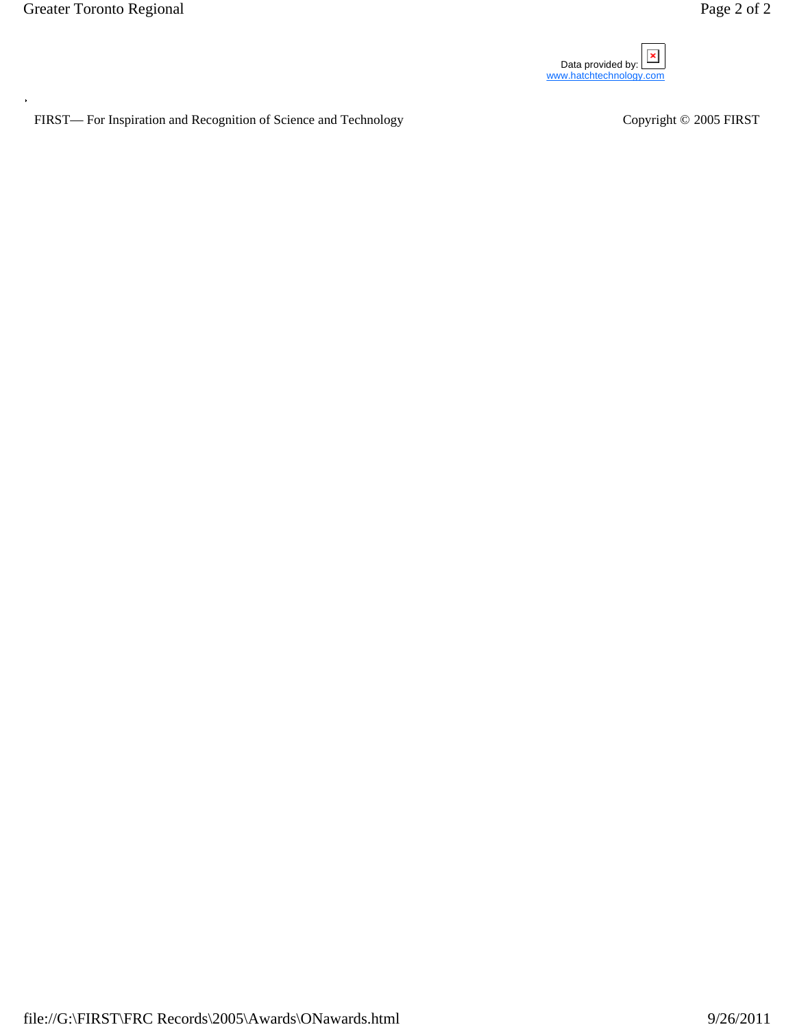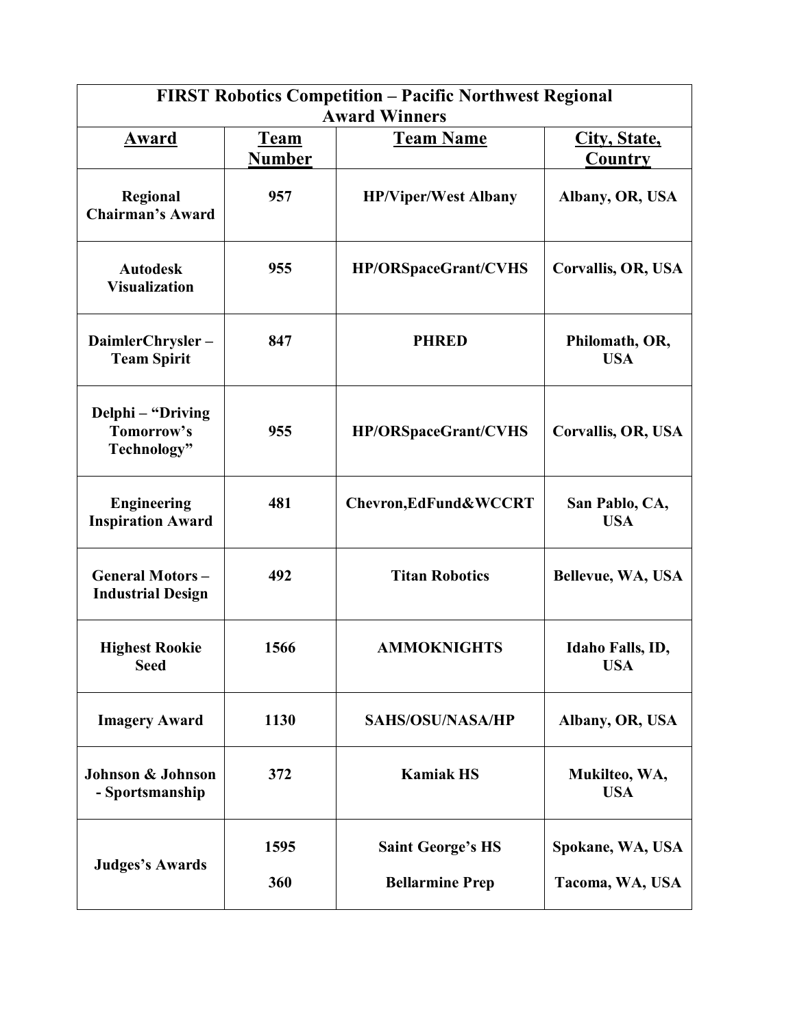| <b>FIRST Robotics Competition - Pacific Northwest Regional</b><br><b>Award Winners</b> |                              |                                                    |                                     |  |
|----------------------------------------------------------------------------------------|------------------------------|----------------------------------------------------|-------------------------------------|--|
| <b>Award</b>                                                                           | <b>Team</b><br><b>Number</b> | <b>Team Name</b>                                   | City, State,<br>Country             |  |
| Regional<br><b>Chairman's Award</b>                                                    | 957                          | <b>HP/Viper/West Albany</b>                        | Albany, OR, USA                     |  |
| <b>Autodesk</b><br><b>Visualization</b>                                                | 955                          | <b>HP/ORSpaceGrant/CVHS</b>                        | Corvallis, OR, USA                  |  |
| DaimlerChrysler-<br><b>Team Spirit</b>                                                 | 847                          | <b>PHRED</b>                                       | Philomath, OR,<br><b>USA</b>        |  |
| Delphi - "Driving<br>Tomorrow's<br>Technology"                                         | 955                          | <b>HP/ORSpaceGrant/CVHS</b>                        | <b>Corvallis, OR, USA</b>           |  |
| <b>Engineering</b><br><b>Inspiration Award</b>                                         | 481                          | Chevron, EdFund & WCCRT                            | San Pablo, CA,<br><b>USA</b>        |  |
| <b>General Motors-</b><br><b>Industrial Design</b>                                     | 492                          | <b>Titan Robotics</b>                              | Bellevue, WA, USA                   |  |
| <b>Highest Rookie</b><br>Seed                                                          | 1566                         | <b>AMMOKNIGHTS</b>                                 | Idaho Falls, ID,<br>USA             |  |
| <b>Imagery Award</b>                                                                   | 1130                         | <b>SAHS/OSU/NASA/HP</b>                            | Albany, OR, USA                     |  |
| Johnson & Johnson<br>- Sportsmanship                                                   | 372                          | <b>Kamiak HS</b>                                   | Mukilteo, WA,<br><b>USA</b>         |  |
| <b>Judges's Awards</b>                                                                 | 1595<br>360                  | <b>Saint George's HS</b><br><b>Bellarmine Prep</b> | Spokane, WA, USA<br>Tacoma, WA, USA |  |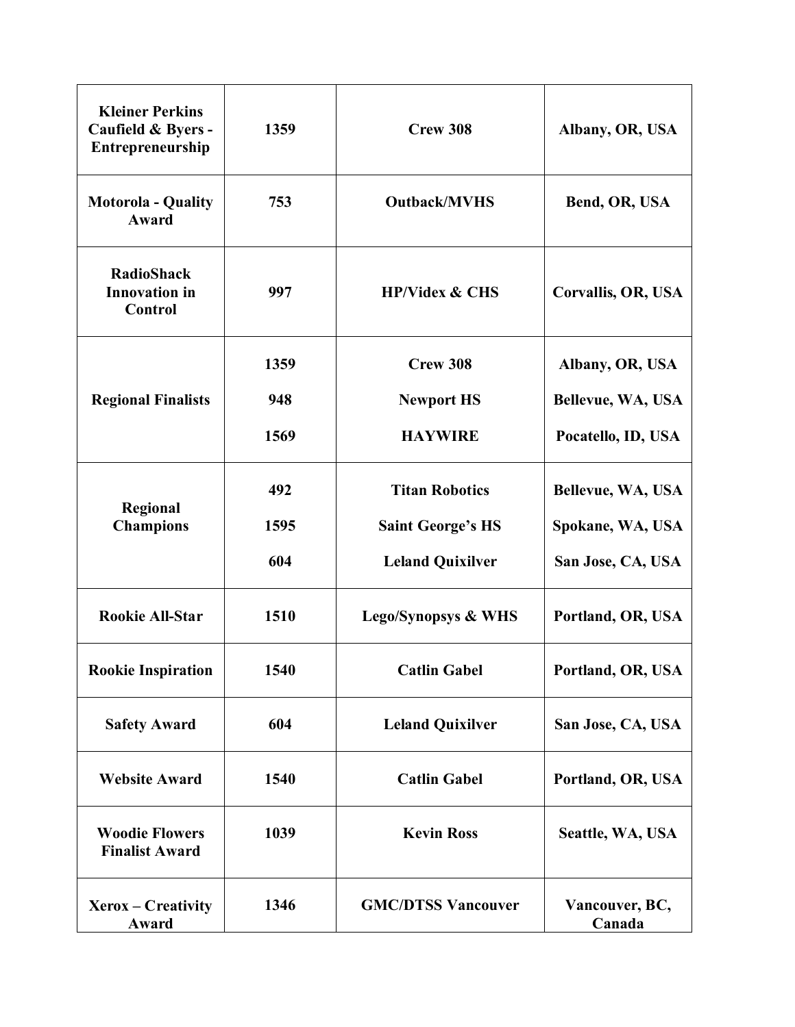| <b>Kleiner Perkins</b><br>Caufield & Byers -<br>Entrepreneurship | 1359 | Crew 308                       | Albany, OR, USA          |
|------------------------------------------------------------------|------|--------------------------------|--------------------------|
| <b>Motorola - Quality</b><br>Award                               | 753  | <b>Outback/MVHS</b>            | Bend, OR, USA            |
| <b>RadioShack</b><br><b>Innovation</b> in<br>Control             | 997  | <b>HP/Videx &amp; CHS</b>      | Corvallis, OR, USA       |
|                                                                  | 1359 | Crew 308                       | Albany, OR, USA          |
| <b>Regional Finalists</b>                                        | 948  | <b>Newport HS</b>              | Bellevue, WA, USA        |
|                                                                  | 1569 | <b>HAYWIRE</b>                 | Pocatello, ID, USA       |
|                                                                  | 492  | <b>Titan Robotics</b>          | Bellevue, WA, USA        |
| Regional<br><b>Champions</b>                                     | 1595 | <b>Saint George's HS</b>       | Spokane, WA, USA         |
|                                                                  | 604  | <b>Leland Quixilver</b>        | San Jose, CA, USA        |
| <b>Rookie All-Star</b>                                           | 1510 | <b>Lego/Synopsys &amp; WHS</b> | Portland, OR, USA        |
| <b>Rookie Inspiration</b>                                        | 1540 | <b>Catlin Gabel</b>            | Portland, OR, USA        |
| <b>Safety Award</b>                                              | 604  | <b>Leland Quixilver</b>        | San Jose, CA, USA        |
| <b>Website Award</b>                                             | 1540 | <b>Catlin Gabel</b>            | Portland, OR, USA        |
| <b>Woodie Flowers</b><br><b>Finalist Award</b>                   | 1039 | <b>Kevin Ross</b>              | Seattle, WA, USA         |
| Xerox – Creativity<br>Award                                      | 1346 | <b>GMC/DTSS Vancouver</b>      | Vancouver, BC,<br>Canada |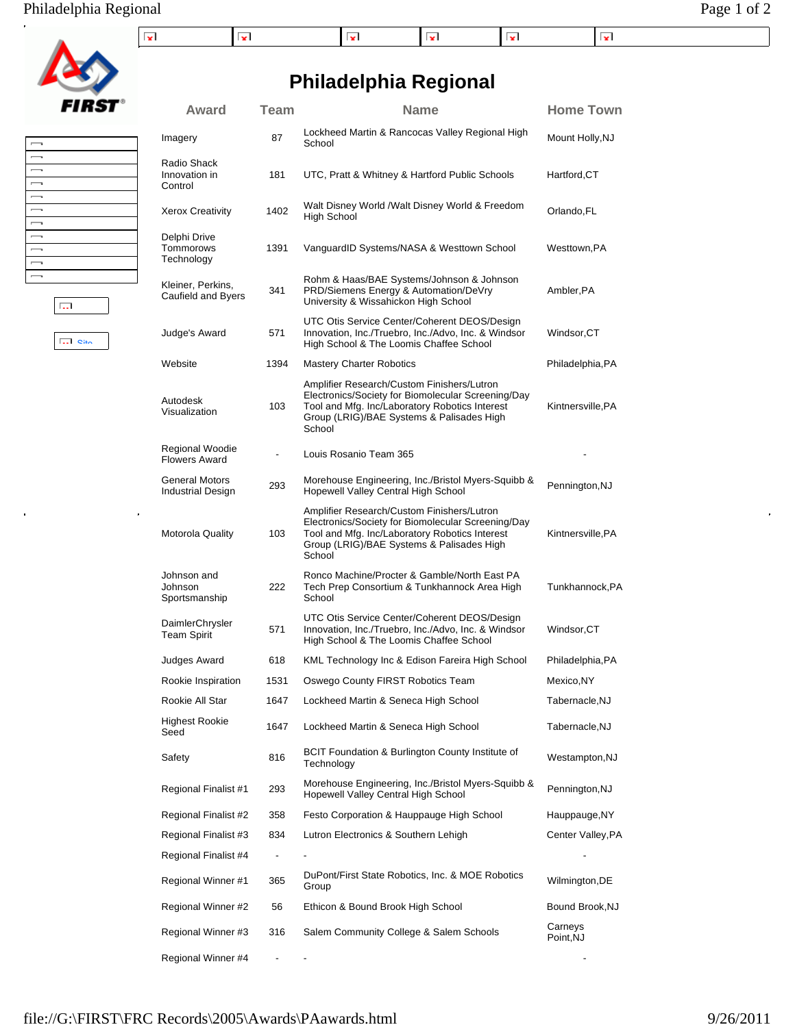## Philadelphia Regional Page 1 of 2

**FIRST** 

 $\overline{\phantom{0}}$ 

 $\begin{array}{c} 1 & 1 \\ 1 & 1 \end{array}$ 

 $\equiv$  $\overline{\phantom{0}}$ 

 $\begin{array}{c} \square \\ \square \end{array}$ 

 $\frac{1}{2}$ 

 $\overline{\mathbf{S}}$  out

 $\tilde{\mathbf{p}}$ 

 $\overline{\mathrm{Lil}}$ 

| - -<br>x |  | . . |  |
|----------|--|-----|--|

# **Philadelphia Regional**

| Award                                   | <b>Team</b>   | <b>Name</b>                                                                                                                                                                                               | <b>Home Town</b>     |
|-----------------------------------------|---------------|-----------------------------------------------------------------------------------------------------------------------------------------------------------------------------------------------------------|----------------------|
| Imagery                                 | 87            | Lockheed Martin & Rancocas Valley Regional High<br>School                                                                                                                                                 | Mount Holly, NJ      |
| Radio Shack<br>Innovation in<br>Control | 181           | UTC, Pratt & Whitney & Hartford Public Schools                                                                                                                                                            | Hartford, CT         |
| <b>Xerox Creativity</b>                 | 1402          | Walt Disney World /Walt Disney World & Freedom<br>High School                                                                                                                                             | Orlando, FL          |
| Delphi Drive<br>Tommorows<br>Technology | 1391          | VanguardID Systems/NASA & Westtown School                                                                                                                                                                 | Westtown, PA         |
| Kleiner, Perkins,<br>Caufield and Byers | 341           | Rohm & Haas/BAE Systems/Johnson & Johnson<br>PRD/Siemens Energy & Automation/DeVry<br>University & Wissahickon High School                                                                                | Ambler, PA           |
| Judge's Award                           | 571           | UTC Otis Service Center/Coherent DEOS/Design<br>Innovation, Inc./Truebro, Inc./Advo, Inc. & Windsor<br>High School & The Loomis Chaffee School                                                            | Windsor,CT           |
| Website                                 | 1394          | <b>Mastery Charter Robotics</b>                                                                                                                                                                           | Philadelphia,PA      |
| Autodesk<br>Visualization               | 103           | Amplifier Research/Custom Finishers/Lutron<br>Electronics/Society for Biomolecular Screening/Day<br>Tool and Mfg. Inc/Laboratory Robotics Interest<br>Group (LRIG)/BAE Systems & Palisades High<br>School | Kintnersville, PA    |
| Regional Woodie<br><b>Flowers Award</b> | $\frac{1}{2}$ | Louis Rosanio Team 365                                                                                                                                                                                    |                      |
| General Motors<br>Industrial Design     | 293           | Morehouse Engineering, Inc./Bristol Myers-Squibb &<br>Hopewell Valley Central High School                                                                                                                 | Pennington, NJ       |
| Motorola Quality                        | 103           | Amplifier Research/Custom Finishers/Lutron<br>Electronics/Society for Biomolecular Screening/Day<br>Tool and Mfg. Inc/Laboratory Robotics Interest<br>Group (LRIG)/BAE Systems & Palisades High<br>School | Kintnersville, PA    |
| Johnson and<br>Johnson<br>Sportsmanship | 222           | Ronco Machine/Procter & Gamble/North East PA<br>Tech Prep Consortium & Tunkhannock Area High<br>School                                                                                                    | Tunkhannock, PA      |
| DaimlerChrysler<br>Team Spirit          | 571           | UTC Otis Service Center/Coherent DEOS/Design<br>Innovation, Inc./Truebro, Inc./Advo, Inc. & Windsor<br>High School & The Loomis Chaffee School                                                            | Windsor, CT          |
| Judges Award                            | 618           | KML Technology Inc & Edison Fareira High School                                                                                                                                                           | Philadelphia, PA     |
| Rookie Inspiration                      | 1531          | Oswego County FIRST Robotics Team                                                                                                                                                                         | Mexico, NY           |
| Rookie All Star                         | 1647          | Lockheed Martin & Seneca High School                                                                                                                                                                      | Tabernacle, NJ       |
| Highest Rookie<br>Seed                  | 1647          | Lockheed Martin & Seneca High School                                                                                                                                                                      | Tabernacle,NJ        |
| Safety                                  | 816           | BCIT Foundation & Burlington County Institute of<br>Technology                                                                                                                                            | Westampton, NJ       |
| Regional Finalist #1                    | 293           | Morehouse Engineering, Inc./Bristol Myers-Squibb &<br>Hopewell Valley Central High School                                                                                                                 | Pennington, NJ       |
| Regional Finalist #2                    | 358           | Festo Corporation & Hauppauge High School                                                                                                                                                                 | Hauppauge, NY        |
| Regional Finalist #3                    | 834           | Lutron Electronics & Southern Lehigh                                                                                                                                                                      | Center Valley, PA    |
| Regional Finalist #4                    |               |                                                                                                                                                                                                           |                      |
| Regional Winner #1                      | 365           | DuPont/First State Robotics, Inc. & MOE Robotics<br>Group                                                                                                                                                 | Wilmington, DE       |
| Regional Winner #2                      | 56            | Ethicon & Bound Brook High School                                                                                                                                                                         | Bound Brook, NJ      |
| Regional Winner #3                      | 316           | Salem Community College & Salem Schools                                                                                                                                                                   | Carneys<br>Point, NJ |
| Regional Winner #4                      |               |                                                                                                                                                                                                           |                      |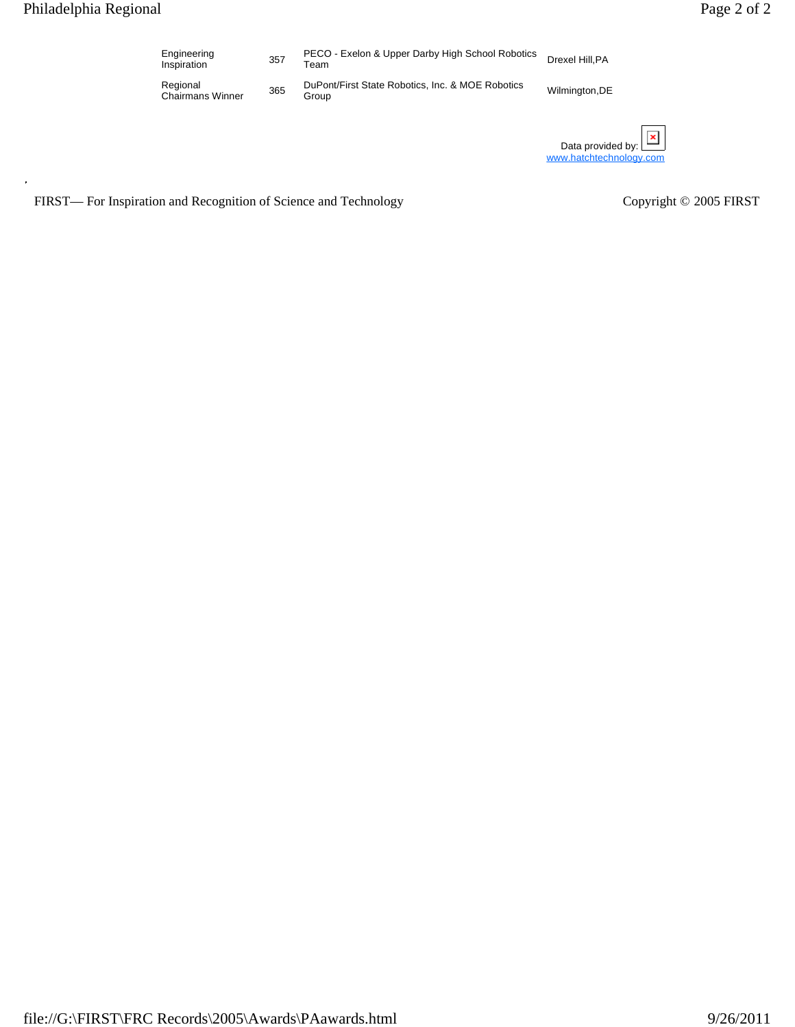| Engineering<br>Inspiration          | 357 | PECO - Exelon & Upper Darby High School Robotics<br>Team  | Drexel Hill, PA |
|-------------------------------------|-----|-----------------------------------------------------------|-----------------|
| Regional<br><b>Chairmans Winner</b> | 365 | DuPont/First State Robotics, Inc. & MOE Robotics<br>Group | Wilmington, DE  |

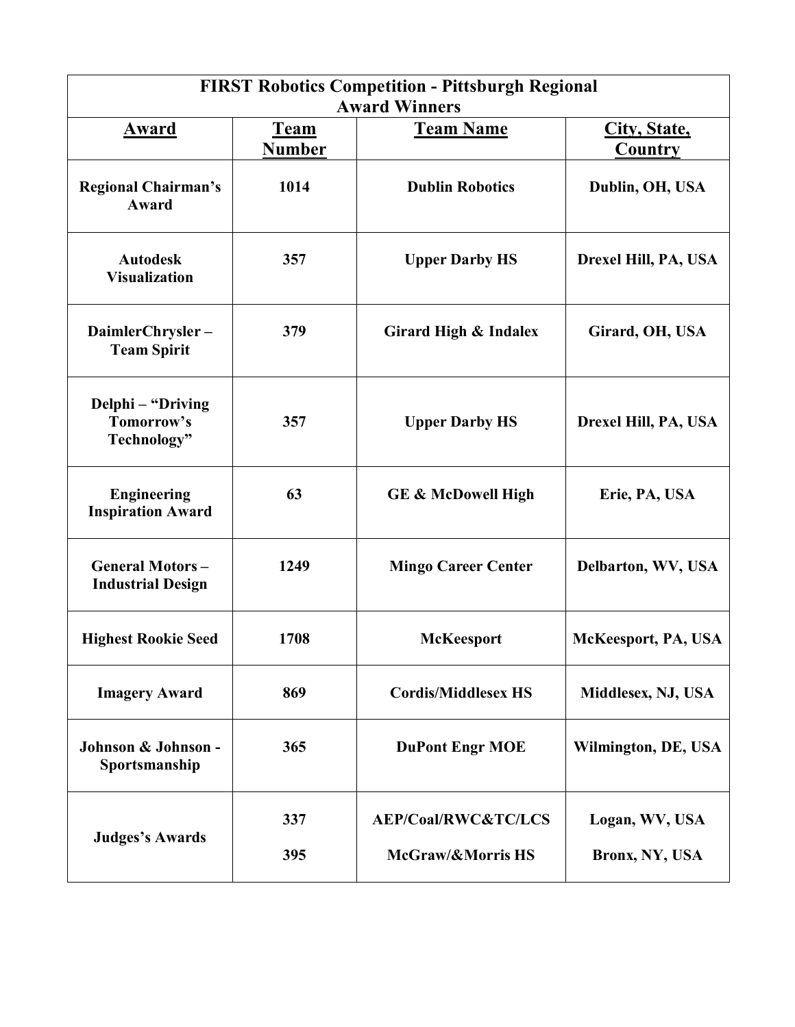| <b>FIRST Robotics Competition - Pittsburgh Regional</b><br><b>Award Winners</b> |                              |                                |                         |  |
|---------------------------------------------------------------------------------|------------------------------|--------------------------------|-------------------------|--|
| Award                                                                           | <b>Team</b><br><b>Number</b> | <b>Team Name</b>               | City, State,<br>Country |  |
| <b>Regional Chairman's</b><br><b>Award</b>                                      | 1014                         | <b>Dublin Robotics</b>         | Dublin, OH, USA         |  |
| <b>Autodesk</b><br><b>Visualization</b>                                         | 357                          | <b>Upper Darby HS</b>          | Drexel Hill, PA, USA    |  |
| DaimlerChrysler-<br><b>Team Spirit</b>                                          | 379                          | Girard High & Indalex          | Girard, OH, USA         |  |
| Delphi - "Driving<br>Tomorrow's<br>Technology"                                  | 357                          | <b>Upper Darby HS</b>          | Drexel Hill, PA, USA    |  |
| <b>Engineering</b><br><b>Inspiration Award</b>                                  | 63                           | <b>GE &amp; McDowell High</b>  | Erie, PA, USA           |  |
| <b>General Motors-</b><br><b>Industrial Design</b>                              | 1249                         | <b>Mingo Career Center</b>     | Delbarton, WV, USA      |  |
| <b>Highest Rookie Seed</b>                                                      | 1708                         | <b>McKeesport</b>              | McKeesport, PA, USA     |  |
| <b>Imagery Award</b>                                                            | 869                          | <b>Cordis/Middlesex HS</b>     | Middlesex, NJ, USA      |  |
| Johnson & Johnson -<br>Sportsmanship                                            | 365                          | <b>DuPont Engr MOE</b>         | Wilmington, DE, USA     |  |
|                                                                                 | 337                          | <b>AEP/Coal/RWC&amp;TC/LCS</b> | Logan, WV, USA          |  |
| <b>Judges's Awards</b>                                                          | 395                          | McGraw/&Morris HS              | Bronx, NY, USA          |  |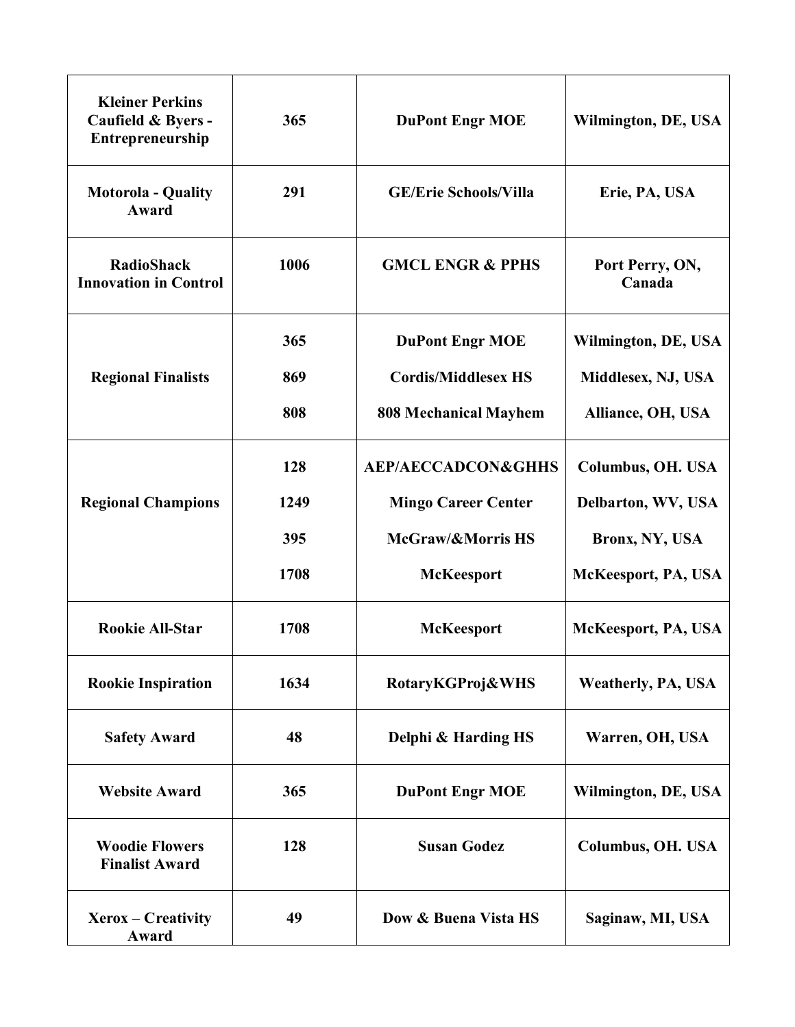| <b>Kleiner Perkins</b><br>Caufield & Byers -<br><b>Entrepreneurship</b> | 365  | <b>DuPont Engr MOE</b>        | Wilmington, DE, USA       |
|-------------------------------------------------------------------------|------|-------------------------------|---------------------------|
| <b>Motorola - Quality</b><br><b>Award</b>                               | 291  | <b>GE/Erie Schools/Villa</b>  | Erie, PA, USA             |
| <b>RadioShack</b><br><b>Innovation in Control</b>                       | 1006 | <b>GMCL ENGR &amp; PPHS</b>   | Port Perry, ON,<br>Canada |
|                                                                         | 365  | <b>DuPont Engr MOE</b>        | Wilmington, DE, USA       |
| <b>Regional Finalists</b>                                               | 869  | <b>Cordis/Middlesex HS</b>    | Middlesex, NJ, USA        |
|                                                                         | 808  | <b>808 Mechanical Mayhem</b>  | Alliance, OH, USA         |
|                                                                         | 128  | <b>AEP/AECCADCON&amp;GHHS</b> | <b>Columbus, OH. USA</b>  |
| <b>Regional Champions</b>                                               | 1249 | <b>Mingo Career Center</b>    | Delbarton, WV, USA        |
|                                                                         | 395  | McGraw/&Morris HS             | Bronx, NY, USA            |
|                                                                         | 1708 | <b>McKeesport</b>             | McKeesport, PA, USA       |
| <b>Rookie All-Star</b>                                                  | 1708 | <b>McKeesport</b>             | McKeesport, PA, USA       |
| <b>Rookie Inspiration</b>                                               | 1634 | RotaryKGProj&WHS              | <b>Weatherly, PA, USA</b> |
| <b>Safety Award</b>                                                     | 48   | Delphi & Harding HS           | Warren, OH, USA           |
| <b>Website Award</b>                                                    | 365  | <b>DuPont Engr MOE</b>        | Wilmington, DE, USA       |
| <b>Woodie Flowers</b><br><b>Finalist Award</b>                          | 128  | <b>Susan Godez</b>            | Columbus, OH. USA         |
| Xerox – Creativity<br>Award                                             | 49   | Dow & Buena Vista HS          | Saginaw, MI, USA          |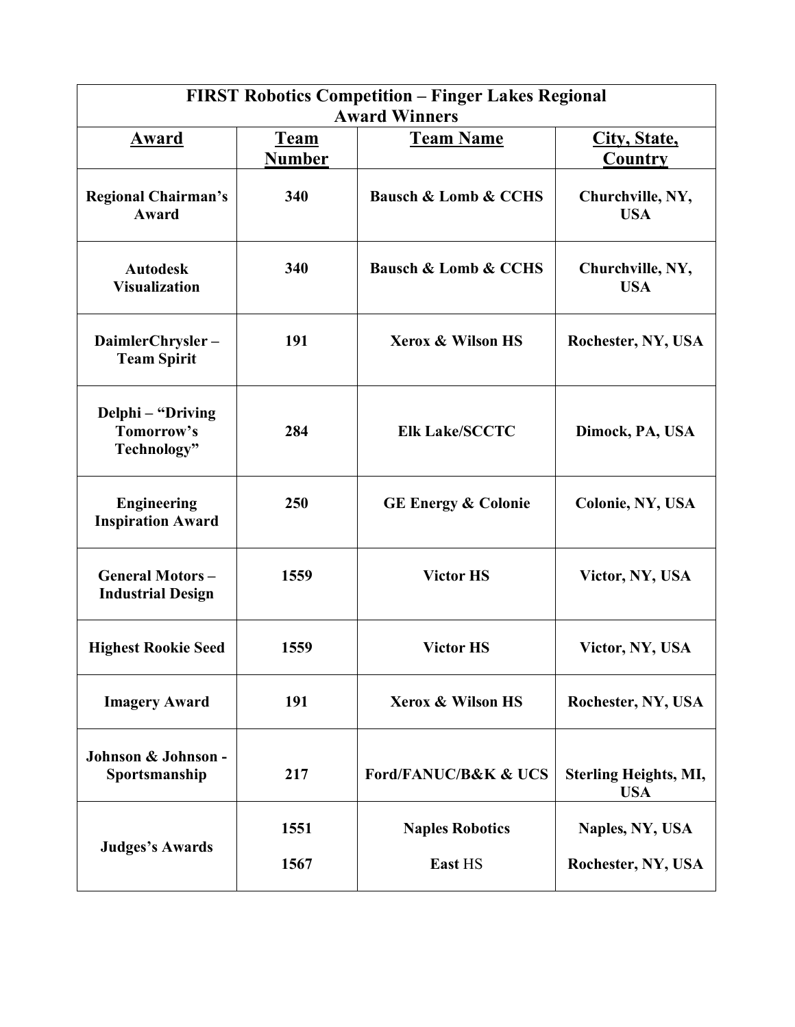| <b>FIRST Robotics Competition - Finger Lakes Regional</b><br><b>Award Winners</b> |                              |                                     |                                            |  |  |
|-----------------------------------------------------------------------------------|------------------------------|-------------------------------------|--------------------------------------------|--|--|
| Award                                                                             | <u>Team</u><br><b>Number</b> | <b>Team Name</b>                    | City, State,<br><b>Country</b>             |  |  |
| <b>Regional Chairman's</b><br><b>Award</b>                                        | 340                          | <b>Bausch &amp; Lomb &amp; CCHS</b> | Churchville, NY,<br><b>USA</b>             |  |  |
| <b>Autodesk</b><br><b>Visualization</b>                                           | 340                          | <b>Bausch &amp; Lomb &amp; CCHS</b> | Churchville, NY,<br><b>USA</b>             |  |  |
| DaimlerChrysler-<br><b>Team Spirit</b>                                            | 191                          | <b>Xerox &amp; Wilson HS</b>        | Rochester, NY, USA                         |  |  |
| Delphi – "Driving<br>Tomorrow's<br>Technology"                                    | 284                          | <b>Elk Lake/SCCTC</b>               | Dimock, PA, USA                            |  |  |
| <b>Engineering</b><br><b>Inspiration Award</b>                                    | 250                          | <b>GE Energy &amp; Colonie</b>      | Colonie, NY, USA                           |  |  |
| <b>General Motors-</b><br><b>Industrial Design</b>                                | 1559                         | <b>Victor HS</b>                    | Victor, NY, USA                            |  |  |
| <b>Highest Rookie Seed</b>                                                        | 1559                         | <b>Victor HS</b>                    | Victor, NY, USA                            |  |  |
| <b>Imagery Award</b>                                                              | 191                          | <b>Xerox &amp; Wilson HS</b>        | Rochester, NY, USA                         |  |  |
| Johnson & Johnson -<br>Sportsmanship                                              | 217                          | <b>Ford/FANUC/B&amp;K &amp; UCS</b> | <b>Sterling Heights, MI,</b><br><b>USA</b> |  |  |
|                                                                                   | 1551                         | <b>Naples Robotics</b>              | Naples, NY, USA                            |  |  |
| <b>Judges's Awards</b>                                                            | 1567                         | East HS                             | Rochester, NY, USA                         |  |  |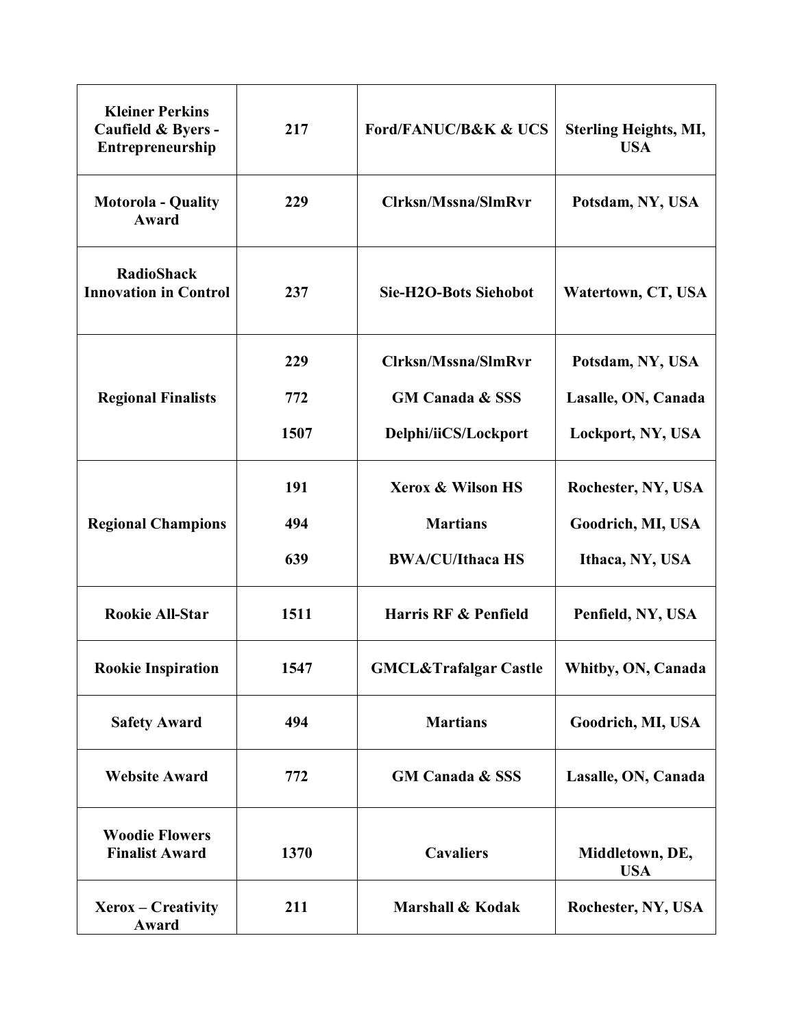| <b>Kleiner Perkins</b><br>Caufield & Byers -<br>Entrepreneurship | 217  | <b>Ford/FANUC/B&amp;K &amp; UCS</b> | <b>Sterling Heights, MI,</b><br><b>USA</b> |
|------------------------------------------------------------------|------|-------------------------------------|--------------------------------------------|
| <b>Motorola - Quality</b><br>Award                               | 229  | <b>Clrksn/Mssna/SlmRvr</b>          | Potsdam, NY, USA                           |
| <b>RadioShack</b><br><b>Innovation in Control</b>                | 237  | Sie-H2O-Bots Siehobot               | Watertown, CT, USA                         |
|                                                                  | 229  | Clrksn/Mssna/SlmRvr                 | Potsdam, NY, USA                           |
| <b>Regional Finalists</b>                                        | 772  | <b>GM Canada &amp; SSS</b>          | Lasalle, ON, Canada                        |
|                                                                  | 1507 | Delphi/iiCS/Lockport                | Lockport, NY, USA                          |
|                                                                  | 191  | <b>Xerox &amp; Wilson HS</b>        | Rochester, NY, USA                         |
| <b>Regional Champions</b>                                        | 494  | <b>Martians</b>                     | Goodrich, MI, USA                          |
|                                                                  | 639  | <b>BWA/CU/Ithaca HS</b>             | Ithaca, NY, USA                            |
| <b>Rookie All-Star</b>                                           | 1511 | Harris RF & Penfield                | Penfield, NY, USA                          |
| <b>Rookie Inspiration</b>                                        | 1547 | <b>GMCL&amp;Trafalgar Castle</b>    | Whitby, ON, Canada                         |
| <b>Safety Award</b>                                              | 494  | <b>Martians</b>                     | Goodrich, MI, USA                          |
| <b>Website Award</b>                                             | 772  | <b>GM Canada &amp; SSS</b>          | Lasalle, ON, Canada                        |
| <b>Woodie Flowers</b><br><b>Finalist Award</b>                   | 1370 | <b>Cavaliers</b>                    | Middletown, DE,<br><b>USA</b>              |
| $Xerox - Creative$<br>Award                                      | 211  | Marshall & Kodak                    | Rochester, NY, USA                         |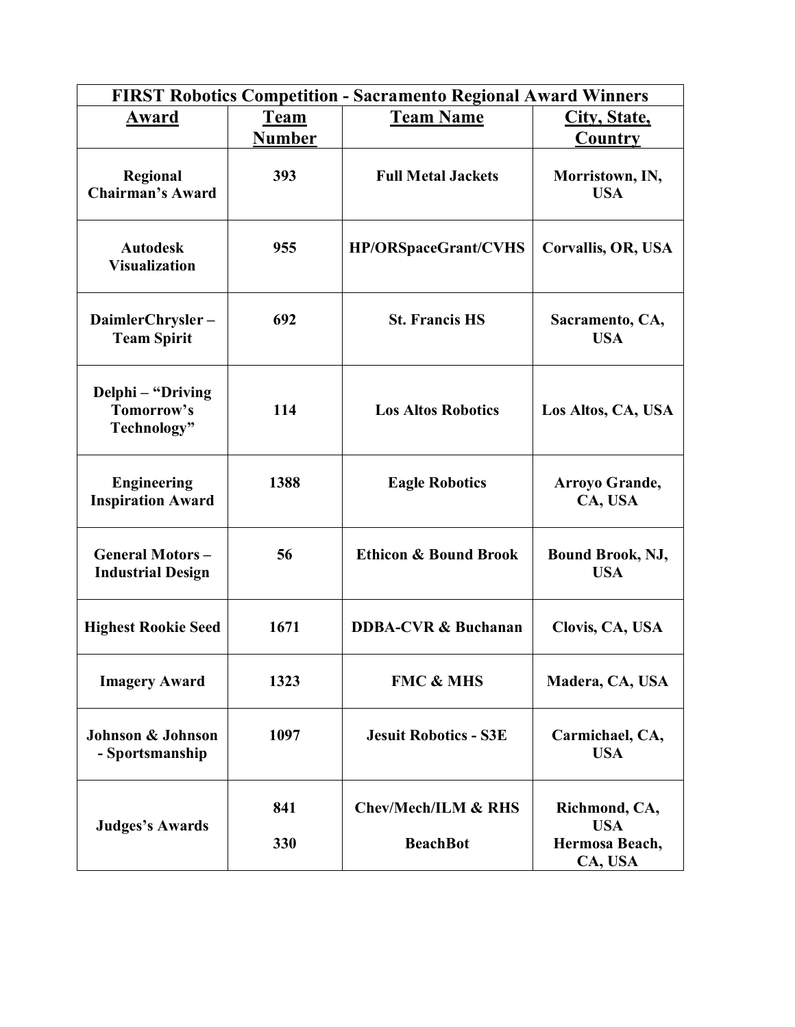|                                                    | <b>FIRST Robotics Competition - Sacramento Regional Award Winners</b> |                                                   |                                               |  |  |
|----------------------------------------------------|-----------------------------------------------------------------------|---------------------------------------------------|-----------------------------------------------|--|--|
| Award                                              | <b>Team</b>                                                           | <b>Team Name</b>                                  | City, State,                                  |  |  |
|                                                    | <b>Number</b>                                                         |                                                   | <b>Country</b>                                |  |  |
| Regional<br><b>Chairman's Award</b>                | 393                                                                   | <b>Full Metal Jackets</b>                         | Morristown, IN,<br><b>USA</b>                 |  |  |
| <b>Autodesk</b><br><b>Visualization</b>            | 955                                                                   | <b>HP/ORSpaceGrant/CVHS</b>                       | Corvallis, OR, USA                            |  |  |
| DaimlerChrysler-<br><b>Team Spirit</b>             | 692                                                                   | <b>St. Francis HS</b>                             | Sacramento, CA,<br><b>USA</b>                 |  |  |
| Delphi – "Driving<br>Tomorrow's<br>Technology"     | 114                                                                   | <b>Los Altos Robotics</b>                         | Los Altos, CA, USA                            |  |  |
| <b>Engineering</b><br><b>Inspiration Award</b>     | 1388                                                                  | <b>Eagle Robotics</b>                             | Arroyo Grande,<br>CA, USA                     |  |  |
| <b>General Motors-</b><br><b>Industrial Design</b> | 56                                                                    | <b>Ethicon &amp; Bound Brook</b>                  | <b>Bound Brook, NJ,</b><br><b>USA</b>         |  |  |
| <b>Highest Rookie Seed</b>                         | 1671                                                                  | <b>DDBA-CVR &amp; Buchanan</b>                    | Clovis, CA, USA                               |  |  |
| <b>Imagery Award</b>                               | 1323                                                                  | <b>FMC &amp; MHS</b>                              | Madera, CA, USA                               |  |  |
| Johnson & Johnson<br>- Sportsmanship               | 1097                                                                  | <b>Jesuit Robotics - S3E</b>                      | Carmichael, CA,<br><b>USA</b>                 |  |  |
| <b>Judges's Awards</b>                             | 841<br>330                                                            | <b>Chev/Mech/ILM &amp; RHS</b><br><b>BeachBot</b> | Richmond, CA,<br><b>USA</b><br>Hermosa Beach, |  |  |
|                                                    |                                                                       |                                                   | CA, USA                                       |  |  |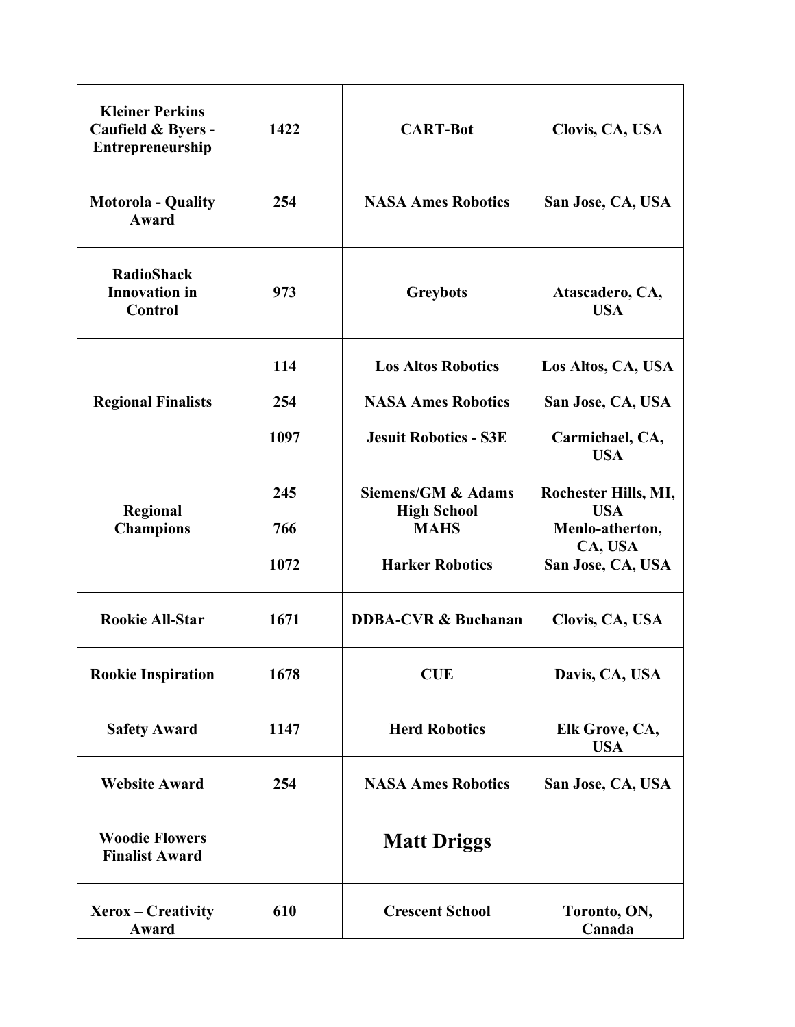| <b>Kleiner Perkins</b><br>Caufield & Byers -<br>Entrepreneurship | 1422               | <b>CART-Bot</b>                                                                   | Clovis, CA, USA                                                                       |
|------------------------------------------------------------------|--------------------|-----------------------------------------------------------------------------------|---------------------------------------------------------------------------------------|
| <b>Motorola - Quality</b><br>Award                               | 254                | <b>NASA Ames Robotics</b>                                                         | San Jose, CA, USA                                                                     |
| <b>RadioShack</b><br><b>Innovation</b> in<br>Control             | 973                | <b>Greybots</b>                                                                   | Atascadero, CA,<br><b>USA</b>                                                         |
|                                                                  | 114                | <b>Los Altos Robotics</b>                                                         | Los Altos, CA, USA                                                                    |
| <b>Regional Finalists</b>                                        | 254                | <b>NASA Ames Robotics</b>                                                         | San Jose, CA, USA                                                                     |
|                                                                  | 1097               | <b>Jesuit Robotics - S3E</b>                                                      | Carmichael, CA,<br><b>USA</b>                                                         |
| Regional<br><b>Champions</b>                                     | 245<br>766<br>1072 | Siemens/GM & Adams<br><b>High School</b><br><b>MAHS</b><br><b>Harker Robotics</b> | Rochester Hills, MI,<br><b>USA</b><br>Menlo-atherton,<br>CA, USA<br>San Jose, CA, USA |
| <b>Rookie All-Star</b>                                           | 1671               | <b>DDBA-CVR &amp; Buchanan</b>                                                    | Clovis, CA, USA                                                                       |
| <b>Rookie Inspiration</b>                                        | 1678               | <b>CUE</b>                                                                        | Davis, CA, USA                                                                        |
| <b>Safety Award</b>                                              | 1147               | <b>Herd Robotics</b>                                                              | Elk Grove, CA,<br><b>USA</b>                                                          |
| <b>Website Award</b>                                             | 254                | <b>NASA Ames Robotics</b>                                                         | San Jose, CA, USA                                                                     |
| <b>Woodie Flowers</b><br><b>Finalist Award</b>                   |                    | <b>Matt Driggs</b>                                                                |                                                                                       |
| Xerox - Creativity<br>Award                                      | 610                | <b>Crescent School</b>                                                            | Toronto, ON,<br>Canada                                                                |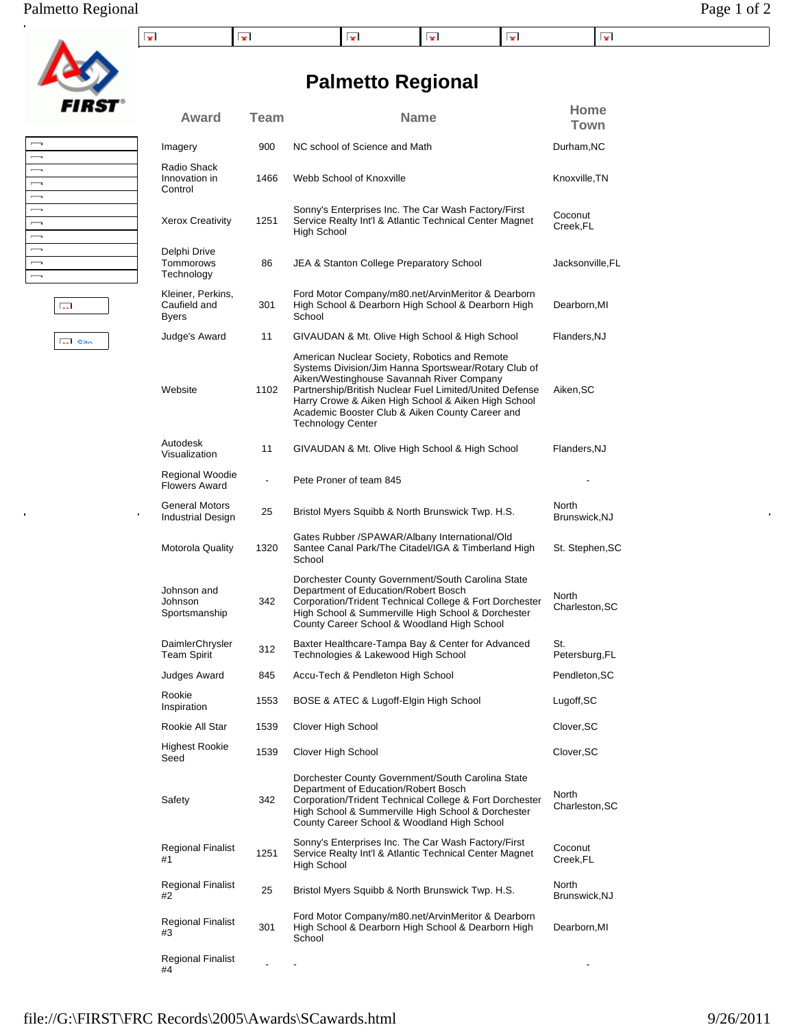## Palmetto Regional Page 1 of 2

|  |  | × |  |
|--|--|---|--|

# *FIRST*

| $\overline{\phantom{0}}$ |  |
|--------------------------|--|
| $\overline{\phantom{0}}$ |  |
| $\overline{\phantom{0}}$ |  |
| $\overline{\phantom{a}}$ |  |
| $\overline{\phantom{a}}$ |  |
| –                        |  |
| $\overline{\phantom{0}}$ |  |
| $\overline{\phantom{a}}$ |  |
| $\overline{\phantom{0}}$ |  |
| $\overline{\phantom{0}}$ |  |
| –                        |  |

 $\overline{\mathbf{S}}$  of  $\overline{\mathbf{S}}$ 

 $\hat{\mathbf{r}}$ 

 $\overline{\mathrm{L}_\mathrm{H}}$ 

 $\frac{1}{2}$ 

|                                                   |             | <b>Palmetto Regional</b>                                                                                                                                                                                                                                                                                                                            |                         |
|---------------------------------------------------|-------------|-----------------------------------------------------------------------------------------------------------------------------------------------------------------------------------------------------------------------------------------------------------------------------------------------------------------------------------------------------|-------------------------|
| Award                                             | <b>Team</b> | <b>Name</b>                                                                                                                                                                                                                                                                                                                                         | Home<br><b>Town</b>     |
| Imagery                                           | 900         | NC school of Science and Math                                                                                                                                                                                                                                                                                                                       | Durham, NC              |
| Radio Shack<br>Innovation in<br>Control           | 1466        | Webb School of Knoxville                                                                                                                                                                                                                                                                                                                            | Knoxville, TN           |
| <b>Xerox Creativity</b>                           | 1251        | Sonny's Enterprises Inc. The Car Wash Factory/First<br>Service Realty Int'l & Atlantic Technical Center Magnet<br>High School                                                                                                                                                                                                                       | Coconut<br>Creek, FL    |
| Delphi Drive<br>Tommorows<br>Technology           | 86          | JEA & Stanton College Preparatory School                                                                                                                                                                                                                                                                                                            | Jacksonville, FL        |
| Kleiner, Perkins,<br>Caufield and<br><b>Byers</b> | 301         | Ford Motor Company/m80.net/ArvinMeritor & Dearborn<br>High School & Dearborn High School & Dearborn High<br>School                                                                                                                                                                                                                                  | Dearborn, MI            |
| Judge's Award                                     | 11          | GIVAUDAN & Mt. Olive High School & High School                                                                                                                                                                                                                                                                                                      | Flanders, NJ            |
| Website                                           | 1102        | American Nuclear Society, Robotics and Remote<br>Systems Division/Jim Hanna Sportswear/Rotary Club of<br>Aiken/Westinghouse Savannah River Company<br>Partnership/British Nuclear Fuel Limited/United Defense<br>Harry Crowe & Aiken High School & Aiken High School<br>Academic Booster Club & Aiken County Career and<br><b>Technology Center</b> | Aiken, SC               |
| Autodesk<br>Visualization                         | 11          | GIVAUDAN & Mt. Olive High School & High School                                                                                                                                                                                                                                                                                                      | Flanders, NJ            |
| Regional Woodie<br><b>Flowers Award</b>           |             | Pete Proner of team 845                                                                                                                                                                                                                                                                                                                             |                         |
| General Motors<br>Industrial Design               | 25          | Bristol Myers Squibb & North Brunswick Twp. H.S.                                                                                                                                                                                                                                                                                                    | North<br>Brunswick, NJ  |
| Motorola Quality                                  | 1320        | Gates Rubber / SPAWAR/Albany International/Old<br>Santee Canal Park/The Citadel/IGA & Timberland High<br>School                                                                                                                                                                                                                                     | St. Stephen, SC         |
| Johnson and<br>Johnson<br>Sportsmanship           | 342         | Dorchester County Government/South Carolina State<br>Department of Education/Robert Bosch<br>Corporation/Trident Technical College & Fort Dorchester<br>High School & Summerville High School & Dorchester<br>County Career School & Woodland High School                                                                                           | North<br>Charleston, SC |
| DaimlerChrysler<br>Team Spirit                    | 312         | Baxter Healthcare-Tampa Bay & Center for Advanced<br>Technologies & Lakewood High School                                                                                                                                                                                                                                                            | St.<br>Petersburg, FL   |
| Judges Award                                      | 845         | Accu-Tech & Pendleton High School                                                                                                                                                                                                                                                                                                                   | Pendleton, SC           |
| Rookie<br>Inspiration                             | 1553        | BOSE & ATEC & Lugoff-Elgin High School                                                                                                                                                                                                                                                                                                              | Lugoff, SC              |
| Rookie All Star                                   | 1539        | Clover High School                                                                                                                                                                                                                                                                                                                                  | Clover, SC              |
| <b>Highest Rookie</b><br>Seed                     | 1539        | Clover High School                                                                                                                                                                                                                                                                                                                                  | Clover, SC              |
| Safety                                            | 342         | Dorchester County Government/South Carolina State<br>Department of Education/Robert Bosch<br>Corporation/Trident Technical College & Fort Dorchester<br>High School & Summerville High School & Dorchester<br>County Career School & Woodland High School                                                                                           | North<br>Charleston, SC |
| Regional Finalist<br>#1                           | 1251        | Sonny's Enterprises Inc. The Car Wash Factory/First<br>Service Realty Int'l & Atlantic Technical Center Magnet<br>High School                                                                                                                                                                                                                       | Coconut<br>Creek, FL    |
| <b>Regional Finalist</b><br>#2                    | 25          | Bristol Myers Squibb & North Brunswick Twp. H.S.                                                                                                                                                                                                                                                                                                    | North<br>Brunswick, NJ  |
| Regional Finalist<br>#3                           | 301         | Ford Motor Company/m80.net/ArvinMeritor & Dearborn<br>High School & Dearborn High School & Dearborn High<br>School                                                                                                                                                                                                                                  | Dearborn, MI            |
| Regional Finalist<br>#4                           |             |                                                                                                                                                                                                                                                                                                                                                     |                         |

 $\hat{\mathbf{r}}$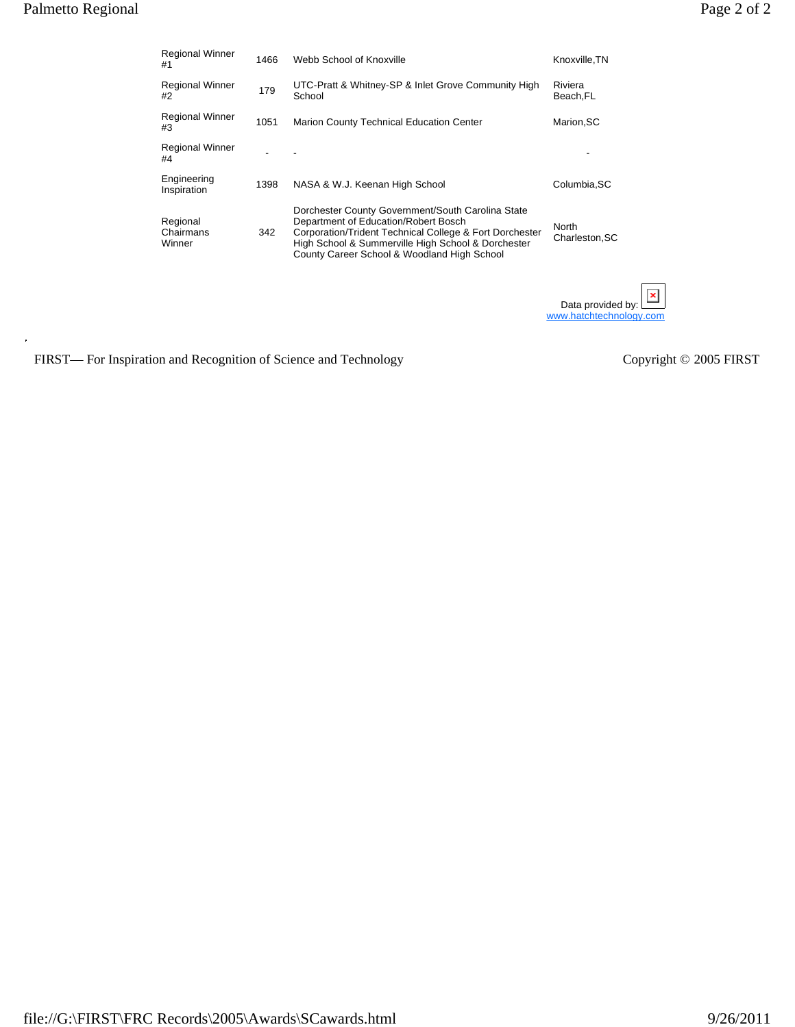| <b>Regional Winner</b><br>#1    | 1466 | Webb School of Knoxville                                                                                                                                                                                                                                  | Knoxville, TN                                     |
|---------------------------------|------|-----------------------------------------------------------------------------------------------------------------------------------------------------------------------------------------------------------------------------------------------------------|---------------------------------------------------|
| <b>Regional Winner</b><br>#2    | 179  | UTC-Pratt & Whitney-SP & Inlet Grove Community High<br>School                                                                                                                                                                                             | Riviera<br>Beach, FL                              |
| <b>Regional Winner</b><br>#3    | 1051 | Marion County Technical Education Center                                                                                                                                                                                                                  | Marion, SC                                        |
| <b>Regional Winner</b><br>#4    |      |                                                                                                                                                                                                                                                           |                                                   |
| Engineering<br>Inspiration      | 1398 | NASA & W.J. Keenan High School                                                                                                                                                                                                                            | Columbia, SC                                      |
| Regional<br>Chairmans<br>Winner | 342  | Dorchester County Government/South Carolina State<br>Department of Education/Robert Bosch<br>Corporation/Trident Technical College & Fort Dorchester<br>High School & Summerville High School & Dorchester<br>County Career School & Woodland High School | North<br>Charleston, SC                           |
|                                 |      |                                                                                                                                                                                                                                                           | ×<br>Data provided by:<br>www.hatchtechnology.com |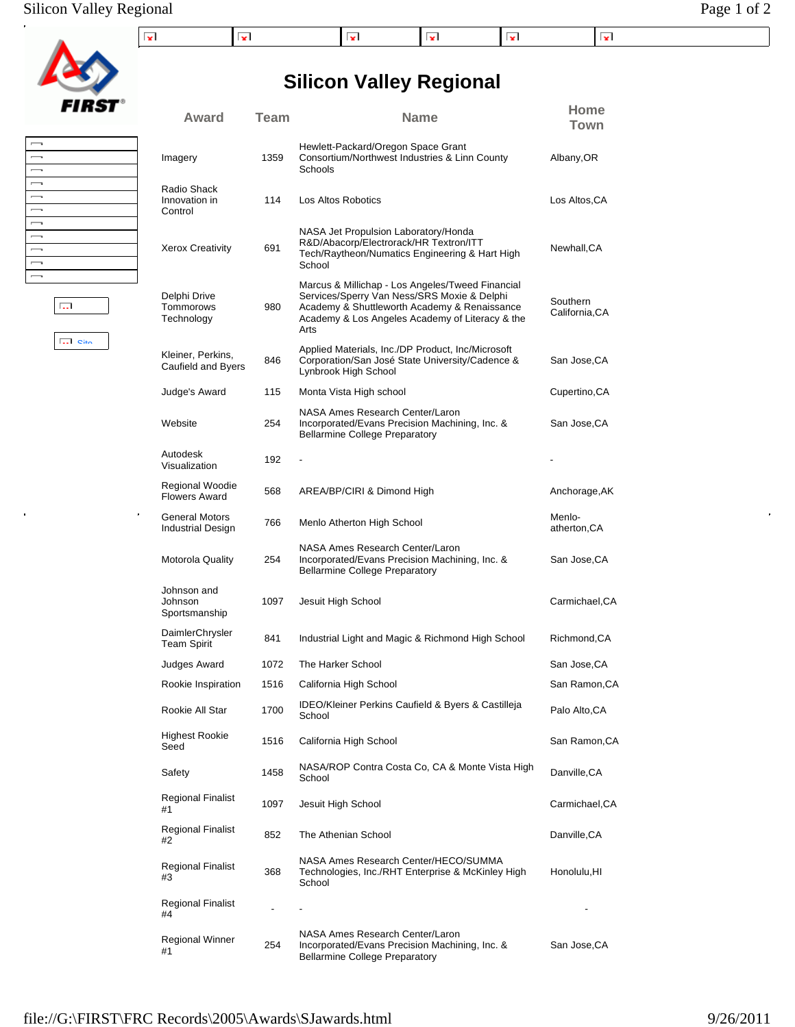**Silicon Valley Regional**



| $\overline{\phantom{a}}$ |  |
|--------------------------|--|
| $\overline{\phantom{a}}$ |  |
| $\overline{\phantom{a}}$ |  |
| $\overline{\phantom{a}}$ |  |
| $\overline{\phantom{a}}$ |  |
| –                        |  |
| –                        |  |
| –                        |  |
| -                        |  |
| $\overline{\phantom{a}}$ |  |
| –                        |  |
|                          |  |

Site

 $\overline{\mathbb{Q}_2\mathbb{Z}}$ 

| Award                                   | <b>Team</b> | <b>Name</b>                                                                                                                                                                                                | Home<br>Town              |
|-----------------------------------------|-------------|------------------------------------------------------------------------------------------------------------------------------------------------------------------------------------------------------------|---------------------------|
| Imagery                                 | 1359        | Hewlett-Packard/Oregon Space Grant<br>Consortium/Northwest Industries & Linn County<br>Schools                                                                                                             | Albany,OR                 |
| Radio Shack<br>Innovation in<br>Control | 114         | Los Altos Robotics                                                                                                                                                                                         | Los Altos, CA             |
| <b>Xerox Creativity</b>                 | 691         | NASA Jet Propulsion Laboratory/Honda<br>R&D/Abacorp/Electrorack/HR Textron/ITT<br>Tech/Raytheon/Numatics Engineering & Hart High<br>School                                                                 | Newhall,CA                |
| Delphi Drive<br>Tommorows<br>Technology | 980         | Marcus & Millichap - Los Angeles/Tweed Financial<br>Services/Sperry Van Ness/SRS Moxie & Delphi<br>Academy & Shuttleworth Academy & Renaissance<br>Academy & Los Angeles Academy of Literacy & the<br>Arts | Southern<br>California,CA |
| Kleiner, Perkins,<br>Caufield and Byers | 846         | Applied Materials, Inc./DP Product, Inc/Microsoft<br>Corporation/San José State University/Cadence &<br>Lynbrook High School                                                                               | San Jose,CA               |
| Judge's Award                           | 115         | Monta Vista High school                                                                                                                                                                                    | Cupertino, CA             |
| Website                                 | 254         | NASA Ames Research Center/Laron<br>Incorporated/Evans Precision Machining, Inc. &<br><b>Bellarmine College Preparatory</b>                                                                                 | San Jose,CA               |
| Autodesk<br>Visualization               | 192         |                                                                                                                                                                                                            |                           |
| Regional Woodie<br><b>Flowers Award</b> | 568         | AREA/BP/CIRI & Dimond High                                                                                                                                                                                 | Anchorage, AK             |
| General Motors<br>Industrial Design     | 766         | Menlo Atherton High School                                                                                                                                                                                 | Menlo-<br>atherton,CA     |
| <b>Motorola Quality</b>                 | 254         | NASA Ames Research Center/Laron<br>Incorporated/Evans Precision Machining, Inc. &<br><b>Bellarmine College Preparatory</b>                                                                                 | San Jose,CA               |
| Johnson and<br>Johnson<br>Sportsmanship | 1097        | Jesuit High School                                                                                                                                                                                         | Carmichael, CA            |
| DaimlerChrysler<br><b>Team Spirit</b>   | 841         | Industrial Light and Magic & Richmond High School                                                                                                                                                          | Richmond, CA              |
| Judges Award                            | 1072        | The Harker School                                                                                                                                                                                          | San Jose, CA              |
| Rookie Inspiration                      | 1516        | California High School                                                                                                                                                                                     | San Ramon.CA              |
| Rookie All Star                         | 1700        | IDEO/Kleiner Perkins Caufield & Byers & Castilleja<br>School                                                                                                                                               | Palo Alto,CA              |
| <b>Highest Rookie</b><br>Seed           | 1516        | California High School                                                                                                                                                                                     | San Ramon,CA              |
| Safety                                  | 1458        | NASA/ROP Contra Costa Co, CA & Monte Vista High<br>School                                                                                                                                                  | Danville,CA               |
| <b>Regional Finalist</b><br>#1          | 1097        | Jesuit High School                                                                                                                                                                                         | Carmichael, CA            |
| Regional Finalist<br>#2                 | 852         | The Athenian School                                                                                                                                                                                        | Danville, CA              |
| Regional Finalist<br>#3                 | 368         | NASA Ames Research Center/HECO/SUMMA<br>Technologies, Inc./RHT Enterprise & McKinley High<br>School                                                                                                        | Honolulu,HI               |
| Regional Finalist<br>#4                 |             |                                                                                                                                                                                                            |                           |
| Regional Winner<br>#1                   | 254         | NASA Ames Research Center/Laron<br>Incorporated/Evans Precision Machining, Inc. &<br>ing College Droporate                                                                                                 | San Jose,CA               |

Bellarmine College Preparatory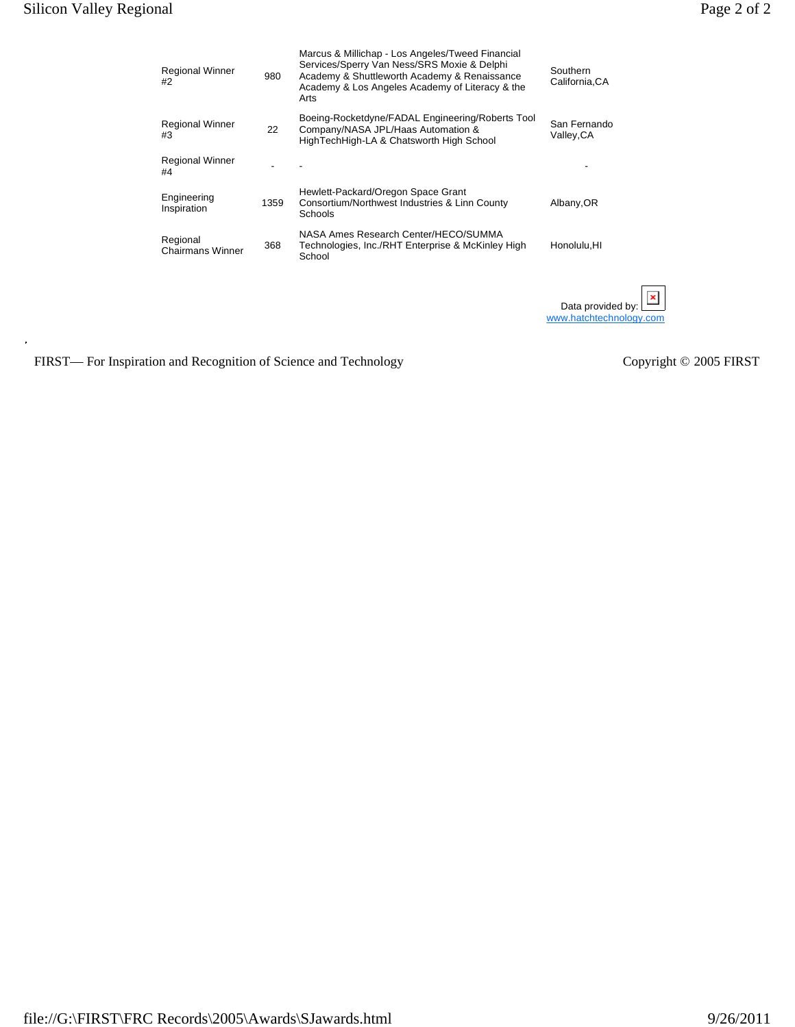$\ddot{\phantom{a}}$ 

| age.<br>ΩT |
|------------|
|------------|

| <b>Regional Winner</b><br>#2        | 980  | Marcus & Millichap - Los Angeles/Tweed Financial<br>Services/Sperry Van Ness/SRS Moxie & Delphi<br>Academy & Shuttleworth Academy & Renaissance<br>Academy & Los Angeles Academy of Literacy & the<br>Arts | Southern<br>California, CA                   |
|-------------------------------------|------|------------------------------------------------------------------------------------------------------------------------------------------------------------------------------------------------------------|----------------------------------------------|
| <b>Regional Winner</b><br>#3        | 22   | Boeing-Rocketdyne/FADAL Engineering/Roberts Tool<br>Company/NASA JPL/Haas Automation &<br>HighTechHigh-LA & Chatsworth High School                                                                         | San Fernando<br>Valley, CA                   |
| <b>Regional Winner</b><br>#4        |      |                                                                                                                                                                                                            |                                              |
| Engineering<br>Inspiration          | 1359 | Hewlett-Packard/Oregon Space Grant<br>Consortium/Northwest Industries & Linn County<br>Schools                                                                                                             | Albany, OR                                   |
| Regional<br><b>Chairmans Winner</b> | 368  | NASA Ames Research Center/HECO/SUMMA<br>Technologies, Inc./RHT Enterprise & McKinley High<br>School                                                                                                        | Honolulu, HI                                 |
|                                     |      |                                                                                                                                                                                                            | Data provided by:<br>www.hatchtechnology.com |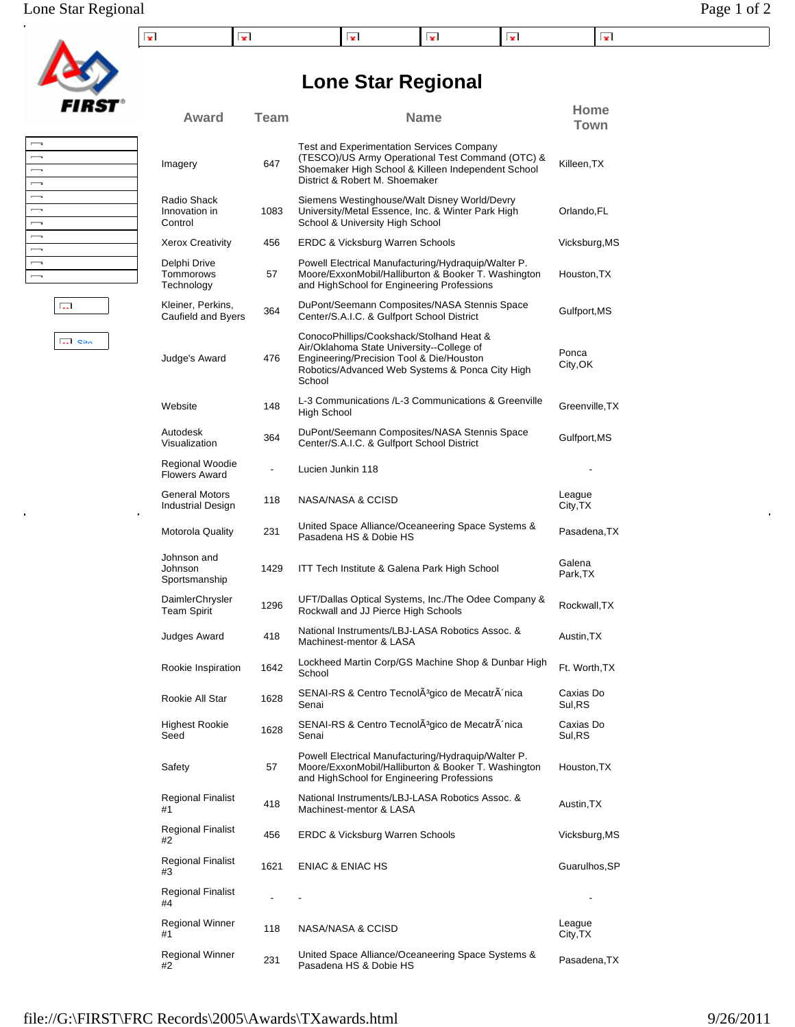|  |  | . . | -- | . |
|--|--|-----|----|---|

**Lone Star Regional**

**Award Team Name Home**

| $\overline{\phantom{0}}$ |  |
|--------------------------|--|
| $\overline{\phantom{0}}$ |  |
| $\overline{\phantom{a}}$ |  |
| $\overline{\phantom{a}}$ |  |
| $\overline{\phantom{a}}$ |  |
| $\overline{\phantom{a}}$ |  |
| $\overline{\phantom{a}}$ |  |
| $\overline{\phantom{0}}$ |  |
| $\overline{\phantom{a}}$ |  |
| $\overline{\phantom{0}}$ |  |
| $\overline{\phantom{a}}$ |  |
|                          |  |

|--|--|--|--|

**Site** 

| Imagery                                 | 647  | <b>Test and Experimentation Services Company</b><br>(TESCO)/US Army Operational Test Command (OTC) &<br>Shoemaker High School & Killeen Independent School<br>District & Robert M. Shoemaker   | Killeen, TX         |
|-----------------------------------------|------|------------------------------------------------------------------------------------------------------------------------------------------------------------------------------------------------|---------------------|
| Radio Shack<br>Innovation in<br>Control | 1083 | Siemens Westinghouse/Walt Disney World/Devry<br>University/Metal Essence, Inc. & Winter Park High<br>School & University High School                                                           | Orlando, FL         |
| <b>Xerox Creativity</b>                 | 456  | ERDC & Vicksburg Warren Schools                                                                                                                                                                | Vicksburg, MS       |
| Delphi Drive<br>Tommorows<br>Technology | 57   | Powell Electrical Manufacturing/Hydraquip/Walter P.<br>Moore/ExxonMobil/Halliburton & Booker T. Washington<br>and HighSchool for Engineering Professions                                       | Houston, TX         |
| Kleiner, Perkins,<br>Caufield and Byers | 364  | DuPont/Seemann Composites/NASA Stennis Space<br>Center/S.A.I.C. & Gulfport School District                                                                                                     | Gulfport, MS        |
| Judge's Award                           | 476  | ConocoPhillips/Cookshack/Stolhand Heat &<br>Air/Oklahoma State University--College of<br>Engineering/Precision Tool & Die/Houston<br>Robotics/Advanced Web Systems & Ponca City High<br>School | Ponca<br>City, OK   |
| Website                                 | 148  | L-3 Communications /L-3 Communications & Greenville<br><b>High School</b>                                                                                                                      | Greenville, TX      |
| Autodesk<br>Visualization               | 364  | DuPont/Seemann Composites/NASA Stennis Space<br>Center/S.A.I.C. & Gulfport School District                                                                                                     | Gulfport, MS        |
| Regional Woodie<br><b>Flowers Award</b> |      | Lucien Junkin 118                                                                                                                                                                              |                     |
| General Motors<br>Industrial Design     | 118  | NASA/NASA & CCISD                                                                                                                                                                              | League<br>City, TX  |
| <b>Motorola Quality</b>                 | 231  | United Space Alliance/Oceaneering Space Systems &<br>Pasadena HS & Dobie HS                                                                                                                    | Pasadena,TX         |
| Johnson and<br>Johnson<br>Sportsmanship | 1429 | ITT Tech Institute & Galena Park High School                                                                                                                                                   | Galena<br>Park,TX   |
| DaimlerChrysler<br><b>Team Spirit</b>   | 1296 | UFT/Dallas Optical Systems, Inc./The Odee Company &<br>Rockwall and JJ Pierce High Schools                                                                                                     | Rockwall, TX        |
| Judges Award                            | 418  | National Instruments/LBJ-LASA Robotics Assoc. &<br>Machinest-mentor & LASA                                                                                                                     | Austin, TX          |
| Rookie Inspiration                      | 1642 | Lockheed Martin Corp/GS Machine Shop & Dunbar High<br>School                                                                                                                                   | Ft. Worth, TX       |
| Rookie All Star                         | 1628 | SENAI-RS & Centro TecnolÂ <sup>3</sup> gico de Mecatr nica<br>Senai                                                                                                                            | Caxias Do<br>Sul,RS |
| <b>Highest Rookie</b><br>Seed           | 1628 | SENAI-RS & Centro TecnolÂ <sup>3</sup> gico de Mecatrà nica<br>Senai                                                                                                                           | Caxias Do<br>Sul,RS |
| Safety                                  | 57   | Powell Electrical Manufacturing/Hydraquip/Walter P.<br>Moore/ExxonMobil/Halliburton & Booker T. Washington<br>and HighSchool for Engineering Professions                                       | Houston, TX         |
| Regional Finalist<br>#1                 | 418  | National Instruments/LBJ-LASA Robotics Assoc. &<br>Machinest-mentor & LASA                                                                                                                     | Austin, TX          |
| <b>Regional Finalist</b><br>#2          | 456  | <b>ERDC &amp; Vicksburg Warren Schools</b>                                                                                                                                                     | Vicksburg, MS       |
| Regional Finalist<br>#3                 | 1621 | <b>ENIAC &amp; ENIAC HS</b>                                                                                                                                                                    | Guarulhos, SP       |
| Regional Finalist<br>#4                 |      |                                                                                                                                                                                                |                     |
| Regional Winner<br>#1                   | 118  | NASA/NASA & CCISD                                                                                                                                                                              | League<br>City, TX  |



**Town**

Regional Winner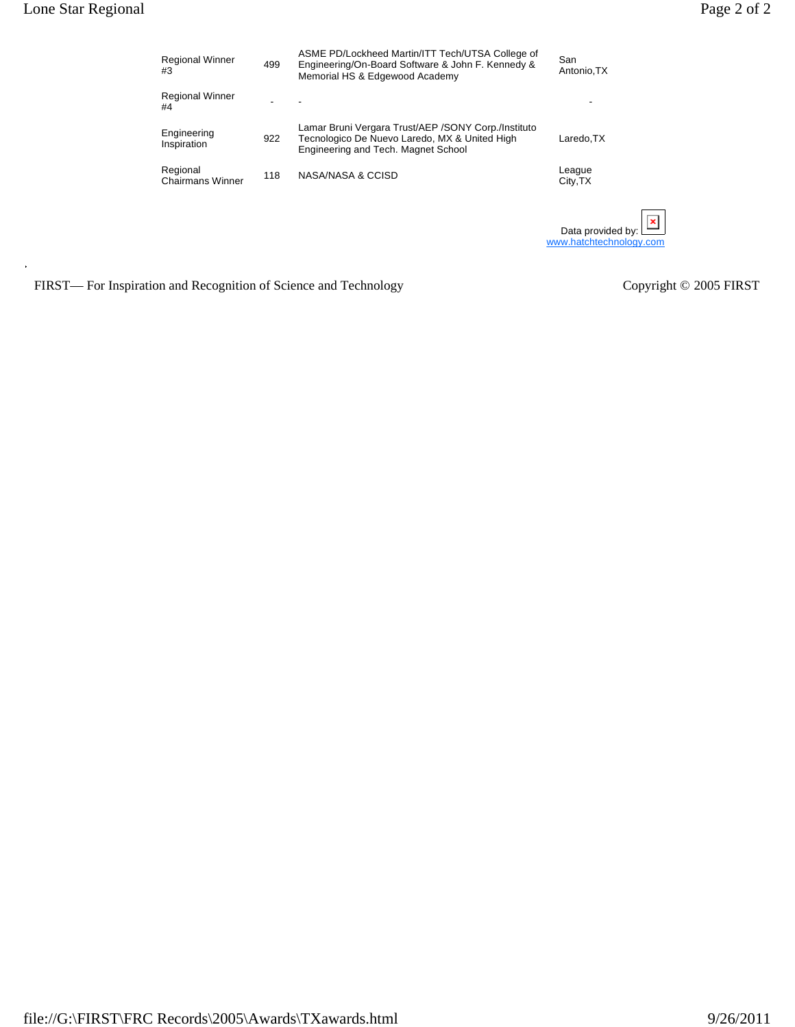| <b>Regional Winner</b><br>#3        | 499 | ASME PD/Lockheed Martin/ITT Tech/UTSA College of<br>Engineering/On-Board Software & John F. Kennedy &<br>Memorial HS & Edgewood Academy      | San<br>Antonio, TX                           |
|-------------------------------------|-----|----------------------------------------------------------------------------------------------------------------------------------------------|----------------------------------------------|
| <b>Regional Winner</b><br>#4        |     |                                                                                                                                              |                                              |
| Engineering<br>Inspiration          | 922 | Lamar Bruni Vergara Trust/AEP / SONY Corp./Instituto<br>Tecnologico De Nuevo Laredo, MX & United High<br>Engineering and Tech. Magnet School | Laredo, TX                                   |
| Regional<br><b>Chairmans Winner</b> | 118 | NASA/NASA & CCISD                                                                                                                            | League<br>City, TX                           |
|                                     |     |                                                                                                                                              | Data provided by:<br>www.hatchtechnology.com |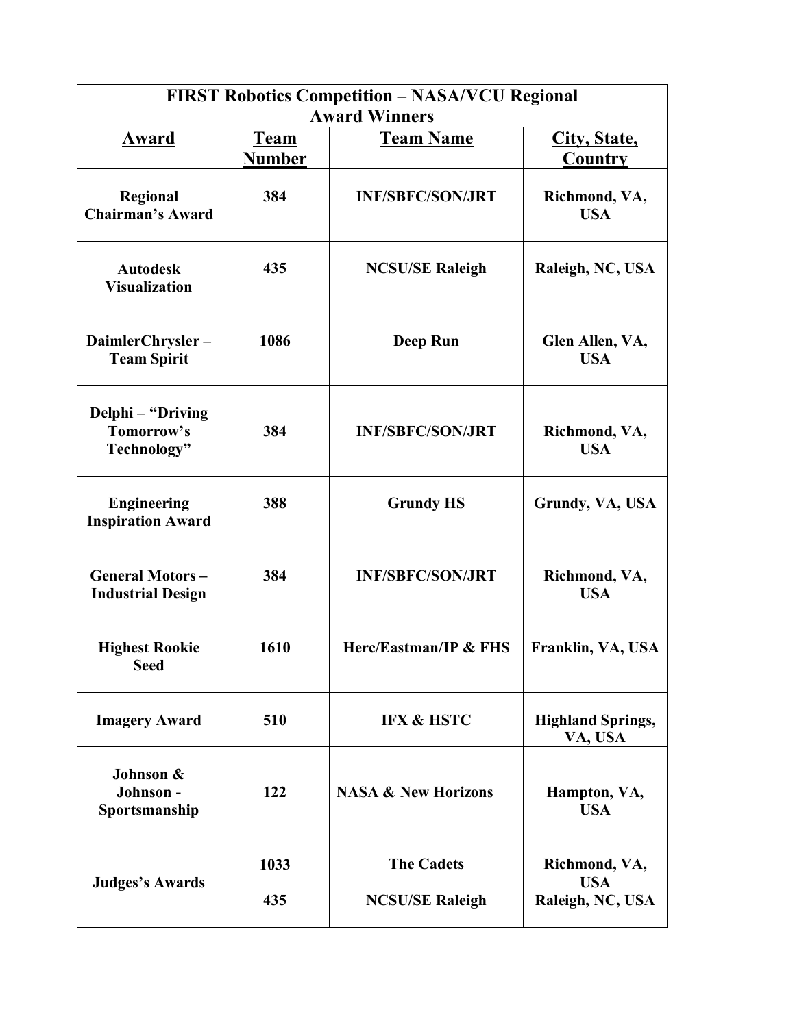| <b>FIRST Robotics Competition - NASA/VCU Regional</b><br><b>Award Winners</b> |               |                                |                                     |
|-------------------------------------------------------------------------------|---------------|--------------------------------|-------------------------------------|
| <u>Award</u>                                                                  | <u>Team</u>   | <b>Team Name</b>               | City, State,                        |
|                                                                               | <b>Number</b> |                                | Country                             |
| Regional<br><b>Chairman's Award</b>                                           | 384           | <b>INF/SBFC/SON/JRT</b>        | Richmond, VA,<br><b>USA</b>         |
| <b>Autodesk</b><br><b>Visualization</b>                                       | 435           | <b>NCSU/SE Raleigh</b>         | Raleigh, NC, USA                    |
| DaimlerChrysler-<br><b>Team Spirit</b>                                        | 1086          | <b>Deep Run</b>                | Glen Allen, VA,<br><b>USA</b>       |
| Delphi - "Driving<br>Tomorrow's<br>Technology"                                | 384           | <b>INF/SBFC/SON/JRT</b>        | Richmond, VA,<br><b>USA</b>         |
| <b>Engineering</b><br><b>Inspiration Award</b>                                | 388           | <b>Grundy HS</b>               | Grundy, VA, USA                     |
| <b>General Motors-</b><br><b>Industrial Design</b>                            | 384           | <b>INF/SBFC/SON/JRT</b>        | Richmond, VA,<br><b>USA</b>         |
| <b>Highest Rookie</b><br><b>Seed</b>                                          | 1610          | Herc/Eastman/IP & FHS          | Franklin, VA, USA                   |
| <b>Imagery Award</b>                                                          | 510           | <b>IFX &amp; HSTC</b>          | <b>Highland Springs,</b><br>VA, USA |
| Johnson &<br>Johnson-<br>Sportsmanship                                        | 122           | <b>NASA &amp; New Horizons</b> | Hampton, VA,<br><b>USA</b>          |
| <b>Judges's Awards</b>                                                        | 1033          | <b>The Cadets</b>              | Richmond, VA,<br><b>USA</b>         |
|                                                                               | 435           | <b>NCSU/SE Raleigh</b>         | Raleigh, NC, USA                    |